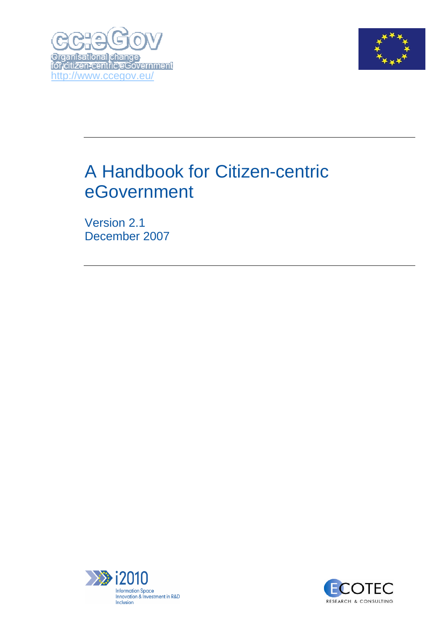



# A Handbook for Citizen-centric eGovernment

Version 2.1 December 2007



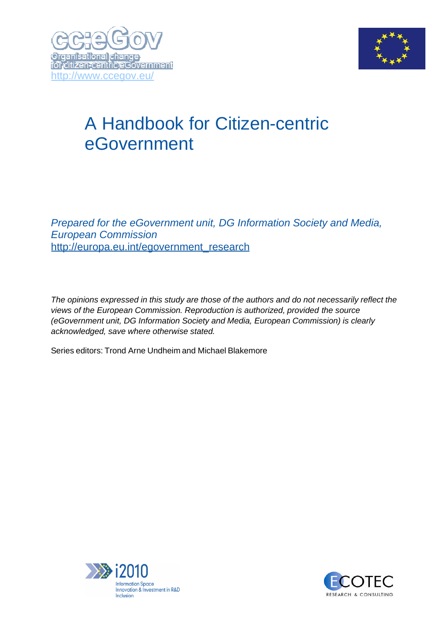



# A Handbook for Citizen-centric eGovernment

*Prepared for the eGovernment unit, DG Information Society and Media, European Commission* http://europa.eu.int/egovernment\_research

*The opinions expressed in this study are those of the authors and do not necessarily reflect the views of the European Commission. Reproduction is authorized, provided the source (eGovernment unit, DG Information Society and Media, European Commission) is clearly acknowledged, save where otherwise stated.*

Series editors: Trond Arne Undheim and Michael Blakemore



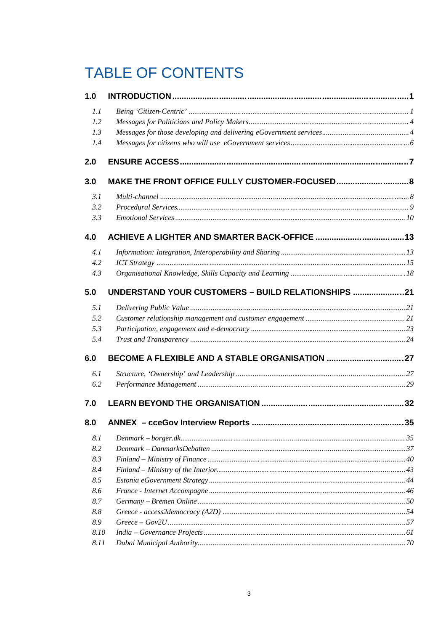# TABLE OF CONTENTS

| 1.0  |                                                     |  |
|------|-----------------------------------------------------|--|
| 1.1  |                                                     |  |
| 1.2  |                                                     |  |
| 1.3  |                                                     |  |
| 1.4  |                                                     |  |
| 2.0  |                                                     |  |
| 3.0  | MAKE THE FRONT OFFICE FULLY CUSTOMER-FOCUSED 8      |  |
| 3.1  |                                                     |  |
| 3.2  |                                                     |  |
| 3.3  |                                                     |  |
| 4.0  |                                                     |  |
| 4.1  |                                                     |  |
| 4.2  |                                                     |  |
| 4.3  |                                                     |  |
| 5.0  | UNDERSTAND YOUR CUSTOMERS - BUILD RELATIONSHIPS  21 |  |
| 5.1  |                                                     |  |
| 5.2  |                                                     |  |
| 5.3  |                                                     |  |
| 5.4  |                                                     |  |
| 6.0  | BECOME A FLEXIBLE AND A STABLE ORGANISATION 27      |  |
| 6.1  |                                                     |  |
| 6.2  |                                                     |  |
| 7.0  |                                                     |  |
| 8.0  |                                                     |  |
| 8.1  |                                                     |  |
| 8.2  |                                                     |  |
| 8.3  |                                                     |  |
| 8.4  |                                                     |  |
| 8.5  |                                                     |  |
| 8.6  |                                                     |  |
| 8.7  |                                                     |  |
| 8.8  |                                                     |  |
| 8.9  |                                                     |  |
| 8.10 |                                                     |  |
| 8.11 |                                                     |  |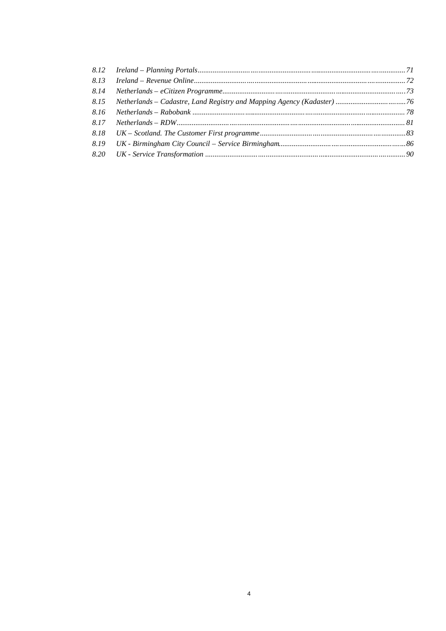| 8.13 |                          |  |
|------|--------------------------|--|
| 8.14 |                          |  |
| 8.15 |                          |  |
| 8.16 |                          |  |
| 8.17 | $Netherlands - RDW$ $81$ |  |
|      |                          |  |
| 8.19 |                          |  |
|      |                          |  |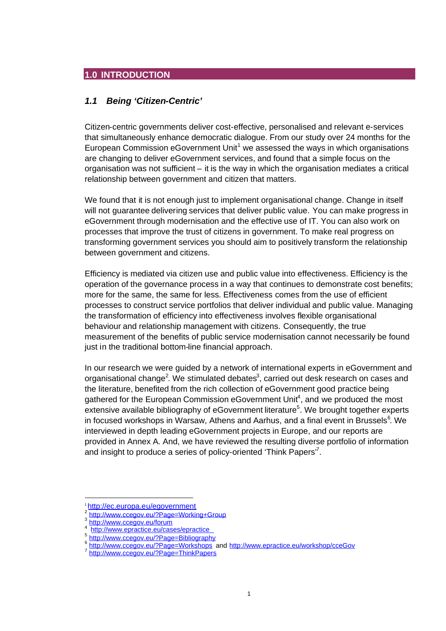#### **1.0 INTRODUCTION**

#### *1.1 Being 'Citizen-Centric'*

Citizen-centric governments deliver cost-effective, personalised and relevant e-services that simultaneously enhance democratic dialogue. From our study over 24 months for the European Commission eGovernment Unit<sup>1</sup> we assessed the ways in which organisations are changing to deliver eGovernment services, and found that a simple focus on the organisation was not sufficient – it is the way in which the organisation mediates a critical relationship between government and citizen that matters.

We found that it is not enough just to implement organisational change. Change in itself will not guarantee delivering services that deliver public value. You can make progress in eGovernment through modernisation and the effective use of IT. You can also work on processes that improve the trust of citizens in government. To make real progress on transforming government services you should aim to positively transform the relationship between government and citizens.

Efficiency is mediated via citizen use and public value into effectiveness. Efficiency is the operation of the governance process in a way that continues to demonstrate cost benefits; more for the same, the same for less. Effectiveness comes from the use of efficient processes to construct service portfolios that deliver individual and public value. Managing the transformation of efficiency into effectiveness involves flexible organisational behaviour and relationship management with citizens. Consequently, the true measurement of the benefits of public service modernisation cannot necessarily be found just in the traditional bottom-line financial approach.

In our research we were guided by a network of international experts in eGovernment and organisational change<sup>2</sup>. We stimulated debates<sup>3</sup>, carried out desk research on cases and the literature, benefited from the rich collection of eGovernment good practice being gathered for the European Commission eGovernment Unit<sup>4</sup>, and we produced the most extensive available bibliography of eGovernment literature<sup>5</sup>. We brought together experts in focused workshops in Warsaw, Athens and Aarhus, and a final event in Brussels<sup>6</sup>. We interviewed in depth leading eGovernment projects in Europe, and our reports are provided in Annex A. And, we have reviewed the resulting diverse portfolio of information and insight to produce a series of policy-oriented 'Think Papers'<sup>7</sup>.

<sup>1</sup> http://ec.europa.eu/egovernment

<sup>2</sup> http://www.ccegov.eu/?Page=Working+Group 3

http://www.ccegov.eu/forum

<sup>4</sup> http://www.epractice.eu/cases/epractice

<sup>&</sup>lt;sup>5</sup><br>http://www.ccegov.eu/?Page=Bibliography

http://www.ccegov.eu/?Page=Workshops and http://www.epractice.eu/workshop/cceGov

<sup>7</sup> http://www.ccegov.eu/?Page=ThinkPapers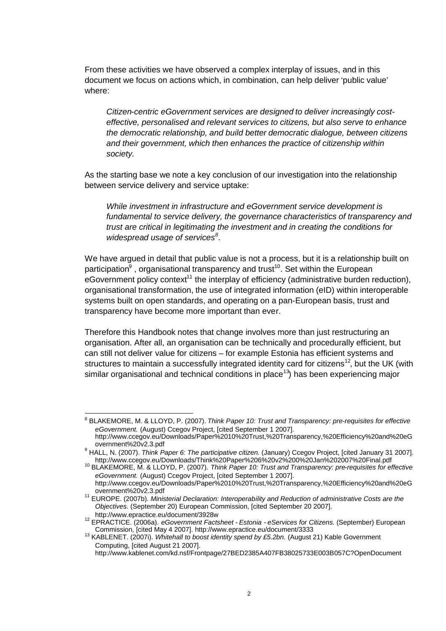From these activities we have observed a complex interplay of issues, and in this document we focus on actions which, in combination, can help deliver 'public value' where:

*Citizen-centric eGovernment services are designed to deliver increasingly costeffective, personalised and relevant services to citizens, but also serve to enhance the democratic relationship, and build better democratic dialogue, between citizens and their government, which then enhances the practice of citizenship within society.*

As the starting base we note a key conclusion of our investigation into the relationship between service delivery and service uptake:

*While investment in infrastructure and eGovernment service development is fundamental to service delivery, the governance characteristics of transparency and trust are critical in legitimating the investment and in creating the conditions for widespread usage of services<sup>8</sup>* .

We have argued in detail that public value is not a process, but it is a relationship built on participation $^9$  , organisational transparency and trust<sup>10</sup>. Set within the European eGovernment policy context<sup>11</sup> the interplay of efficiency (administrative burden reduction), organisational transformation, the use of integrated information (eID) within interoperable systems built on open standards, and operating on a pan-European basis, trust and transparency have become more important than ever.

Therefore this Handbook notes that change involves more than just restructuring an organisation. After all, an organisation can be technically and procedurally efficient, but can still not deliver value for citizens – for example Estonia has efficient systems and structures to maintain a successfully integrated identity card for citizens<sup>12</sup>, but the UK (with similar organisational and technical conditions in place<sup>13</sup>) has been experiencing major

<sup>8</sup> BLAKEMORE, M. & LLOYD, P. (2007). *Think Paper 10: Trust and Transparency: pre-requisites for effective eGovernment.* (August) Ccegov Project, [cited September 1 2007].

http://www.ccegov.eu/Downloads/Paper%2010%20Trust,%20Transparency,%20Efficiency%20and%20eG overnment%20v2.3.pdf

<sup>9</sup> HALL, N. (2007). *Think Paper 6: The participative citizen.* (January) Ccegov Project, [cited January 31 2007]. http://www.ccegov.eu/Downloads/Think%20Paper%206%20v2%200%20Jan%202007%20Final.pdf

<sup>10</sup> BLAKEMORE, M. & LLOYD, P. (2007). *Think Paper 10: Trust and Transparency: pre-requisites for effective eGovernment.* (August) Ccegov Project, [cited September 1 2007]. http://www.ccegov.eu/Downloads/Paper%2010%20Trust,%20Transparency,%20Efficiency%20and%20eG

overnment%20v2.3.pdf

<sup>11</sup> EUROPE. (2007b). *Ministerial Declaration: Interoperability and Reduction of administrative Costs are the Objectives.* (September 20) European Commission, [cited September 20 2007]. http://www.epractice.eu/document/3928w

<sup>12</sup> EPRACTICE. (2006a). *eGovernment Factsheet - Estonia - eServices for Citizens.* (September) European Commission, [cited May 4 2007]. http://www.epractice.eu/document/3333

<sup>13</sup> KABLENET. (2007i). *Whitehall to boost identity spend by £5.2bn.* (August 21) Kable Government Computing, [cited August 21 2007].

http://www.kablenet.com/kd.nsf/Frontpage/27BED2385A407FB38025733E003B057C?OpenDocument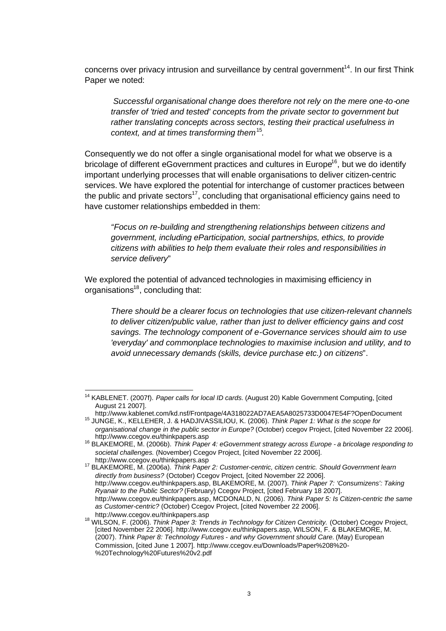concerns over privacy intrusion and surveillance by central government<sup>14</sup>. In our first Think Paper we noted:

*Successful organisational change does therefore not rely on the mere one-to-one transfer of 'tried and tested' concepts from the private sector to government but rather translating concepts across sectors, testing their practical usefulness in context, and at times transforming them*<sup>15</sup> .

Consequently we do not offer a single organisational model for what we observe is a bricolage of different eGovernment practices and cultures in Europe<sup>16</sup>, but we do identify important underlying processes that will enable organisations to deliver citizen-centric services. We have explored the potential for interchange of customer practices between the public and private sectors<sup>17</sup>, concluding that organisational efficiency gains need to have customer relationships embedded in them:

*"Focus on re-building and strengthening relationships between citizens and government, including eParticipation, social partnerships, ethics, to provide citizens with abilities to help them evaluate their roles and responsibilities in service delivery*"

We explored the potential of advanced technologies in maximising efficiency in organisations<sup>18</sup>, concluding that:

*There should be a clearer focus on technologies that use citizen-relevant channels to deliver citizen/public value, rather than just to deliver efficiency gains and cost savings. The technology component of e-Governance services should aim to use 'everyday' and commonplace technologies to maximise inclusion and utility, and to avoid unnecessary demands (skills, device purchase etc.) on citizens*".

<sup>17</sup> BLAKEMORE, M. (2006a). *Think Paper 2: Customer-centric, citizen centric. Should Government learn directly from business?* (October) Ccegov Project, [cited November 22 2006]. http://www.ccegov.eu/thinkpapers.asp, BLAKEMORE, M. (2007). *Think Paper 7: 'Consumizens': Taking Ryanair to the Public Sector?* (February) Ccegov Project, [cited February 18 2007]. http://www.ccegov.eu/thinkpapers.asp, MCDONALD, N. (2006). *Think Paper 5: Is Citizen-centric the same as Customer-centric?* (October) Ccegov Project, [cited November 22 2006]. http://www.ccegov.eu/thinkpapers.asp

<sup>14</sup> KABLENET. (2007f). *Paper calls for local ID cards.* (August 20) Kable Government Computing, [cited August 21 2007].

http://www.kablenet.com/kd.nsf/Frontpage/4A318022AD7AEA5A8025733D0047E54F?OpenDocument <sup>15</sup> JUNGE, K., KELLEHER, J. & HADJIVASSILIOU, K. (2006). *Think Paper 1: What is the scope for organisational change in the public sector in Europe?* (October) ccegov Project, [cited November 22 2006].

http://www.ccegov.eu/thinkpapers.asp <sup>16</sup> BLAKEMORE, M. (2006b). *Think Paper 4: eGovernment strategy across Europe - a bricolage responding to societal challenges.* (November) Ccegov Project, [cited November 22 2006]. http://www.ccegov.eu/thinkpapers.asp

<sup>18</sup> WILSON, F. (2006). *Think Paper 3: Trends in Technology for Citizen Centricity.* (October) Ccegov Project, [cited November 22 2006]. http://www.ccegov.eu/thinkpapers.asp, WILSON, F. & BLAKEMORE, M. (2007). *Think Paper 8: Technology Futures - and why Government should Care.* (May) European Commission, [cited June 1 2007]. http://www.ccegov.eu/Downloads/Paper%208%20- %20Technology%20Futures%20v2.pdf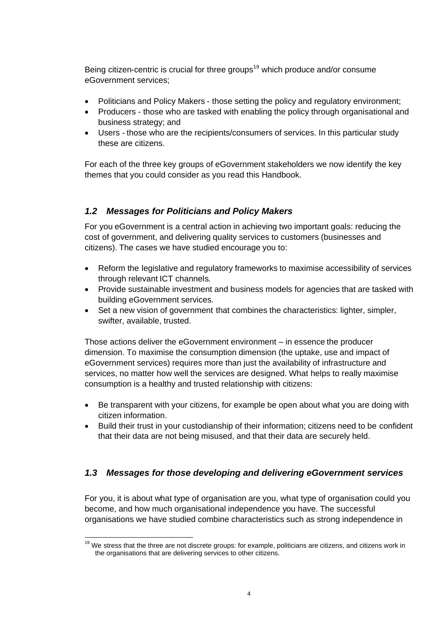Being citizen-centric is crucial for three groups<sup>19</sup> which produce and/or consume eGovernment services;

- Politicians and Policy Makers those setting the policy and regulatory environment;
- Producers those who are tasked with enabling the policy through organisational and business strategy; and
- Users those who are the recipients/consumers of services. In this particular study these are citizens.

For each of the three key groups of eGovernment stakeholders we now identify the key themes that you could consider as you read this Handbook.

#### *1.2 Messages for Politicians and Policy Makers*

For you eGovernment is a central action in achieving two important goals: reducing the cost of government, and delivering quality services to customers (businesses and citizens). The cases we have studied encourage you to:

- Reform the legislative and regulatory frameworks to maximise accessibility of services through relevant ICT channels.
- Provide sustainable investment and business models for agencies that are tasked with building eGovernment services.
- Set a new vision of government that combines the characteristics: lighter, simpler, swifter, available, trusted.

Those actions deliver the eGovernment environment – in essence the producer dimension. To maximise the consumption dimension (the uptake, use and impact of eGovernment services) requires more than just the availability of infrastructure and services, no matter how well the services are designed. What helps to really maximise consumption is a healthy and trusted relationship with citizens:

- Be transparent with your citizens, for example be open about what you are doing with citizen information.
- Build their trust in your custodianship of their information; citizens need to be confident that their data are not being misused, and that their data are securely held.

#### *1.3 Messages for those developing and delivering eGovernment services*

For you, it is about what type of organisation are you, what type of organisation could you become, and how much organisational independence you have. The successful organisations we have studied combine characteristics such as strong independence in

 $19$  We stress that the three are not discrete groups: for example, politicians are citizens, and citizens work in the organisations that are delivering services to other citizens.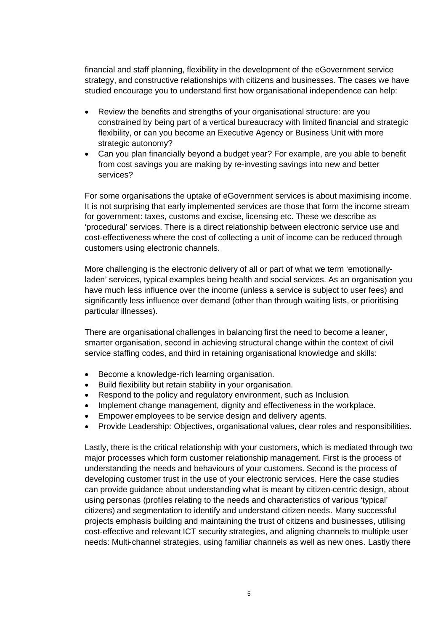financial and staff planning, flexibility in the development of the eGovernment service strategy, and constructive relationships with citizens and businesses. The cases we have studied encourage you to understand first how organisational independence can help:

- Review the benefits and strengths of your organisational structure: are you constrained by being part of a vertical bureaucracy with limited financial and strategic flexibility, or can you become an Executive Agency or Business Unit with more strategic autonomy?
- Can you plan financially beyond a budget year? For example, are you able to benefit from cost savings you are making by re-investing savings into new and better services?

For some organisations the uptake of eGovernment services is about maximising income. It is not surprising that early implemented services are those that form the income stream for government: taxes, customs and excise, licensing etc. These we describe as 'procedural' services. There is a direct relationship between electronic service use and cost-effectiveness where the cost of collecting a unit of income can be reduced through customers using electronic channels.

More challenging is the electronic delivery of all or part of what we term 'emotionallyladen' services, typical examples being health and social services. As an organisation you have much less influence over the income (unless a service is subject to user fees) and significantly less influence over demand (other than through waiting lists, or prioritising particular illnesses).

There are organisational challenges in balancing first the need to become a leaner, smarter organisation, second in achieving structural change within the context of civil service staffing codes, and third in retaining organisational knowledge and skills:

- Become a knowledge-rich learning organisation.
- Build flexibility but retain stability in your organisation.
- Respond to the policy and regulatory environment, such as Inclusion.
- Implement change management, dignity and effectiveness in the workplace.
- Empower employees to be service design and delivery agents.
- Provide Leadership: Objectives, organisational values, clear roles and responsibilities.

Lastly, there is the critical relationship with your customers, which is mediated through two major processes which form customer relationship management. First is the process of understanding the needs and behaviours of your customers. Second is the process of developing customer trust in the use of your electronic services. Here the case studies can provide guidance about understanding what is meant by citizen-centric design, about using personas (profiles relating to the needs and characteristics of various 'typical' citizens) and segmentation to identify and understand citizen needs. Many successful projects emphasis building and maintaining the trust of citizens and businesses, utilising cost-effective and relevant ICT security strategies, and aligning channels to multiple user needs: Multi-channel strategies, using familiar channels as well as new ones. Lastly there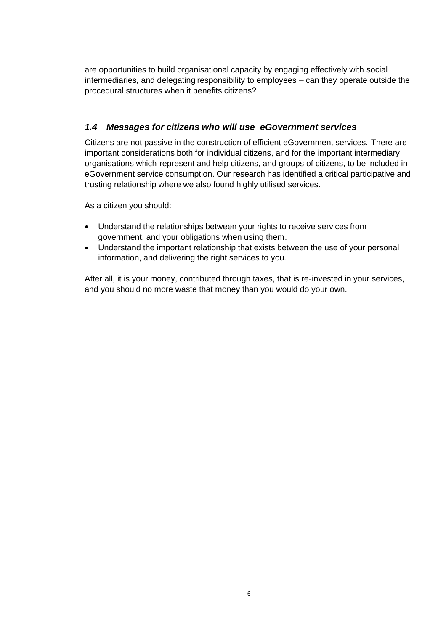are opportunities to build organisational capacity by engaging effectively with social intermediaries, and delegating responsibility to employees – can they operate outside the procedural structures when it benefits citizens?

## *1.4 Messages for citizens who will use eGovernment services*

Citizens are not passive in the construction of efficient eGovernment services. There are important considerations both for individual citizens, and for the important intermediary organisations which represent and help citizens, and groups of citizens, to be included in eGovernment service consumption. Our research has identified a critical participative and trusting relationship where we also found highly utilised services.

As a citizen you should:

- Understand the relationships between your rights to receive services from government, and your obligations when using them.
- Understand the important relationship that exists between the use of your personal information, and delivering the right services to you.

After all, it is your money, contributed through taxes, that is re-invested in your services, and you should no more waste that money than you would do your own.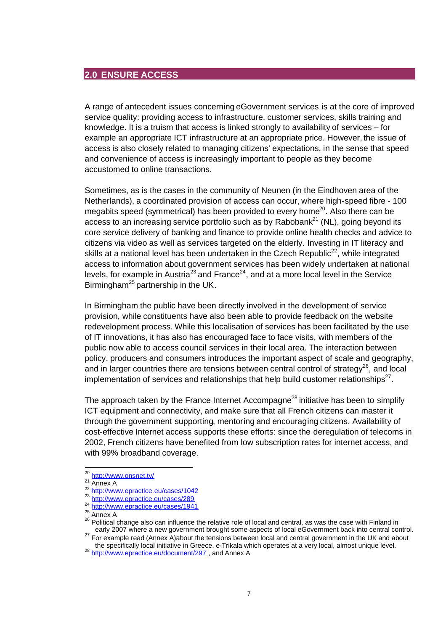#### **2.0 ENSURE ACCESS**

A range of antecedent issues concerning eGovernment services is at the core of improved service quality: providing access to infrastructure, customer services, skills training and knowledge. It is a truism that access is linked strongly to availability of services – for example an appropriate ICT infrastructure at an appropriate price. However, the issue of access is also closely related to managing citizens' expectations, in the sense that speed and convenience of access is increasingly important to people as they become accustomed to online transactions.

Sometimes, as is the cases in the community of Neunen (in the Eindhoven area of the Netherlands), a coordinated provision of access can occur, where high-speed fibre - 100 megabits speed (symmetrical) has been provided to every home<sup>20</sup>. Also there can be access to an increasing service portfolio such as by Raboban $k^{21}$  (NL), going beyond its core service delivery of banking and finance to provide online health checks and advice to citizens via video as well as services targeted on the elderly. Investing in IT literacy and skills at a national level has been undertaken in the Czech Republic<sup>22</sup>, while integrated access to information about government services has been widely undertaken at national levels, for example in Austria<sup>23</sup> and France<sup>24</sup>, and at a more local level in the Service Birmingham<sup>25</sup> partnership in the UK.

In Birmingham the public have been directly involved in the development of service provision, while constituents have also been able to provide feedback on the website redevelopment process. While this localisation of services has been facilitated by the use of IT innovations, it has also has encouraged face to face visits, with members of the public now able to access council services in their local area. The interaction between policy, producers and consumers introduces the important aspect of scale and geography, and in larger countries there are tensions between central control of strategy<sup>26</sup>, and local implementation of services and relationships that help build customer relationships<sup>27</sup>.

The approach taken by the France Internet Accompagne<sup>28</sup> initiative has been to simplify ICT equipment and connectivity, and make sure that all French citizens can master it through the government supporting, mentoring and encouraging citizens. Availability of cost-effective Internet access supports these efforts: since the deregulation of telecoms in 2002, French citizens have benefited from low subscription rates for internet access, and with 99% broadband coverage.

<sup>20</sup> http://www.onsnet.tv/

 $21$  Annex A

<sup>22</sup> http://www.epractice.eu/cases/1042

<sup>23</sup> http://www.epractice.eu/cases/289

<sup>24</sup> http://www.epractice.eu/cases/1941

 $25$  Annex A

<sup>26</sup> Political change also can influence the relative role of local and central, as was the case with Finland in early 2007 where a new government brought some aspects of local eGovernment back into central control.

<sup>&</sup>lt;sup>27</sup> For example read (Annex A)about the tensions between local and central government in the UK and about the specifically local initiative in Greece, e-Trikala which operates at a very local, almost unique level.

<sup>&</sup>lt;sup>28</sup> http://www.epractice.eu/document/297, and Annex A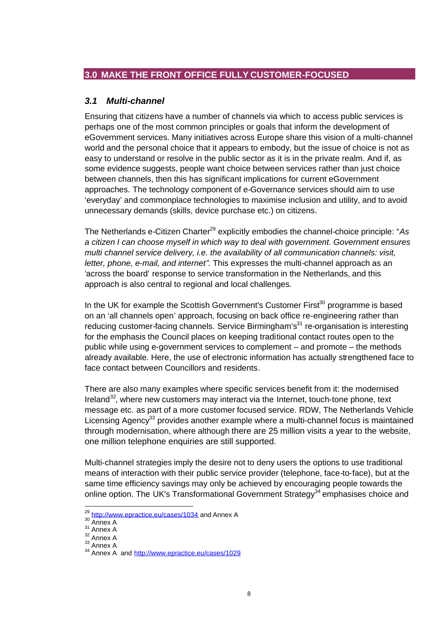## **3.0 MAKE THE FRONT OFFICE FULLY CUSTOMER-FOCUSED**

#### *3.1 Multi-channel*

Ensuring that citizens have a number of channels via which to access public services is perhaps one of the most common principles or goals that inform the development of eGovernment services. Many initiatives across Europe share this vision of a multi-channel world and the personal choice that it appears to embody, but the issue of choice is not as easy to understand or resolve in the public sector as it is in the private realm. And if, as some evidence suggests, people want choice between services rather than just choice between channels, then this has significant implications for current eGovernment approaches. The technology component of e-Governance services should aim to use 'everyday' and commonplace technologies to maximise inclusion and utility, and to avoid unnecessary demands (skills, device purchase etc.) on citizens.

The Netherlands e-Citizen Charter<sup>29</sup> explicitly embodies the channel-choice principle: "As *a citizen I can choose myself in which way to deal with government. Government ensures multi channel service delivery, i.e. the availability of all communication channels: visit, letter, phone, e-mail, and internet".* This expresses the multi-channel approach as an 'across the board' response to service transformation in the Netherlands, and this approach is also central to regional and local challenges.

In the UK for example the Scottish Government's Customer First $30$  programme is based on an 'all channels open' approach, focusing on back office re-engineering rather than reducing customer-facing channels. Service Birmingham's<sup>31</sup> re-organisation is interesting for the emphasis the Council places on keeping traditional contact routes open to the public while using e-government services to complement – and promote – the methods already available. Here, the use of electronic information has actually strengthened face to face contact between Councillors and residents.

There are also many examples where specific services benefit from it: the modernised Ireland<sup>32</sup>, where new customers may interact via the Internet, touch-tone phone, text message etc. as part of a more customer focused service. RDW, The Netherlands Vehicle Licensing Agency<sup>33</sup> provides another example where a multi-channel focus is maintained through modernisation, where although there are 25 million visits a year to the website, one million telephone enquiries are still supported.

Multi-channel strategies imply the desire not to deny users the options to use traditional means of interaction with their public service provider (telephone, face-to-face), but at the same time efficiency savings may only be achieved by encouraging people towards the online option. The UK's Transformational Government Strategy<sup>34</sup> emphasises choice and

<sup>&</sup>lt;sup>29</sup> http://www.epractice.eu/cases/1034 and Annex A

 $30$  Annex A

<sup>&</sup>lt;sup>31</sup> Annex A

 $32$  Annex A  $33$  Annex A

<sup>34</sup> Annex A and http://www.epractice.eu/cases/1029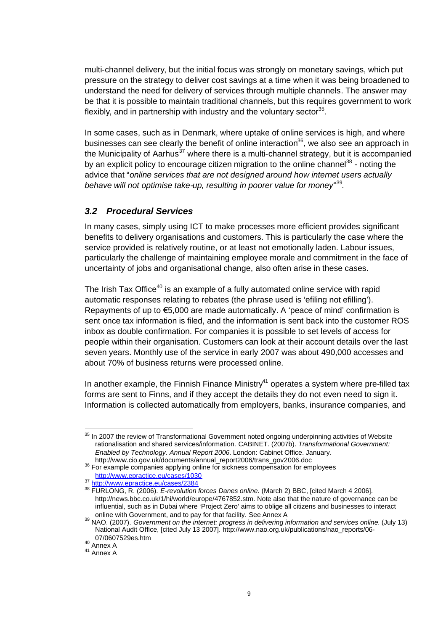multi-channel delivery, but the initial focus was strongly on monetary savings, which put pressure on the strategy to deliver cost savings at a time when it was being broadened to understand the need for delivery of services through multiple channels. The answer may be that it is possible to maintain traditional channels, but this requires government to work flexibly, and in partnership with industry and the voluntary sector $35$ .

In some cases, such as in Denmark, where uptake of online services is high, and where businesses can see clearly the benefit of online interaction<sup>36</sup>, we also see an approach in the Municipality of Aarhus<sup>37</sup> where there is a multi-channel strategy, but it is accompanied by an explicit policy to encourage citizen migration to the online channel<sup>38</sup> - noting the advice that "*online services that are not designed around how internet users actually behave will not optimise take-up, resulting in poorer value for money*" 39 .

#### *3.2 Procedural Services*

In many cases, simply using ICT to make processes more efficient provides significant benefits to delivery organisations and customers. This is particularly the case where the service provided is relatively routine, or at least not emotionally laden. Labour issues, particularly the challenge of maintaining employee morale and commitment in the face of uncertainty of jobs and organisational change, also often arise in these cases.

The Irish Tax Office<sup>40</sup> is an example of a fully automated online service with rapid automatic responses relating to rebates (the phrase used is 'efiling not efilling'). Repayments of up to €5,000 are made automatically. A 'peace of mind' confirmation is sent once tax information is filed, and the information is sent back into the customer ROS inbox as double confirmation. For companies it is possible to set levels of access for people within their organisation. Customers can look at their account details over the last seven years. Monthly use of the service in early 2007 was about 490,000 accesses and about 70% of business returns were processed online.

In another example, the Finnish Finance Ministry<sup>41</sup> operates a system where pre-filled tax forms are sent to Finns, and if they accept the details they do not even need to sign it. Information is collected automatically from employers, banks, insurance companies, and

<sup>&</sup>lt;sup>35</sup> In 2007 the review of Transformational Government noted ongoing underpinning activities of Website rationalisation and shared services/information. CABINET. (2007b). *Transformational Government: Enabled by Technology. Annual Report 2006*. London: Cabinet Office. January.

http://www.cio.gov.uk/documents/annual\_report2006/trans\_gov2006.doc

<sup>&</sup>lt;sup>36</sup> For example companies applying online for sickness compensation for employees http://www.epractice.eu/cases/1030

<sup>37</sup> http://www.epractice.eu/cases/2384

<sup>38</sup> FURLONG, R. (2006). *E-revolution forces Danes online.* (March 2) BBC, [cited March 4 2006]. http://news.bbc.co.uk/1/hi/world/europe/4767852.stm. Note also that the nature of governance can be influential, such as in Dubai where 'Project Zero' aims to oblige all citizens and businesses to interact online with Government, and to pay for that facility. See Annex A

<sup>39</sup> NAO. (2007). *Government on the internet: progress in delivering information and services online.* (July 13) National Audit Office, [cited July 13 2007]. http://www.nao.org.uk/publications/nao\_reports/06- 07/0607529es.htm <sup>40</sup> Annex A

<sup>&</sup>lt;sup>41</sup> Annex A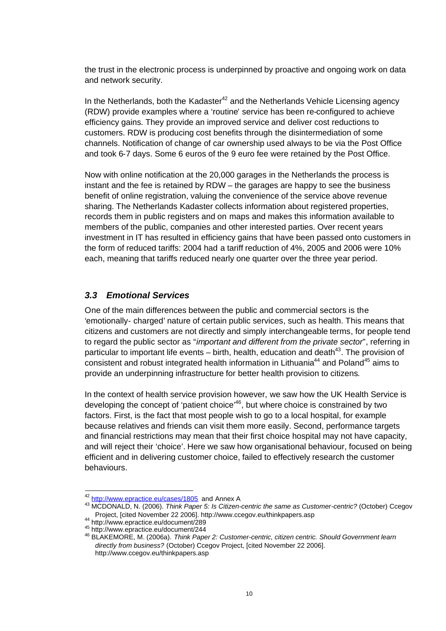the trust in the electronic process is underpinned by proactive and ongoing work on data and network security.

In the Netherlands, both the Kadaster<sup>42</sup> and the Netherlands Vehicle Licensing agency (RDW) provide examples where a 'routine' service has been re-configured to achieve efficiency gains. They provide an improved service and deliver cost reductions to customers. RDW is producing cost benefits through the disintermediation of some channels. Notification of change of car ownership used always to be via the Post Office and took 6-7 days. Some 6 euros of the 9 euro fee were retained by the Post Office.

Now with online notification at the 20,000 garages in the Netherlands the process is instant and the fee is retained by RDW – the garages are happy to see the business benefit of online registration, valuing the convenience of the service above revenue sharing. The Netherlands Kadaster collects information about registered properties, records them in public registers and on maps and makes this information available to members of the public, companies and other interested parties. Over recent years investment in IT has resulted in efficiency gains that have been passed onto customers in the form of reduced tariffs: 2004 had a tariff reduction of 4%, 2005 and 2006 were 10% each, meaning that tariffs reduced nearly one quarter over the three year period.

#### *3.3 Emotional Services*

One of the main differences between the public and commercial sectors is the 'emotionally- charged' nature of certain public services, such as health. This means that citizens and customers are not directly and simply interchangeable terms, for people tend to regard the public sector as "*important and different from the private sector*", referring in particular to important life events – birth, health, education and death<sup>43</sup>. The provision of consistent and robust integrated health information in Lithuania<sup>44</sup> and Poland<sup>45</sup> aims to provide an underpinning infrastructure for better health provision to citizens.

In the context of health service provision however, we saw how the UK Health Service is developing the concept of 'patient choice'<sup>46</sup>, but where choice is constrained by two factors. First, is the fact that most people wish to go to a local hospital, for example because relatives and friends can visit them more easily. Second, performance targets and financial restrictions may mean that their first choice hospital may not have capacity, and will reject their 'choice'. Here we saw how organisational behaviour, focused on being efficient and in delivering customer choice, failed to effectively research the customer behaviours.

<sup>42</sup> http://www.epractice.eu/cases/1805 and Annex A

<sup>43</sup> MCDONALD, N. (2006). *Think Paper 5: Is Citizen-centric the same as Customer-centric?* (October) Ccegov Project, [cited November 22 2006]. http://www.ccegov.eu/thinkpapers.asp

<sup>44</sup> http://www.epractice.eu/document/289

<sup>45</sup> http://www.epractice.eu/document/244

<sup>46</sup> BLAKEMORE, M. (2006a). *Think Paper 2: Customer-centric, citizen centric. Should Government learn directly from business?* (October) Ccegov Project, [cited November 22 2006]. http://www.ccegov.eu/thinkpapers.asp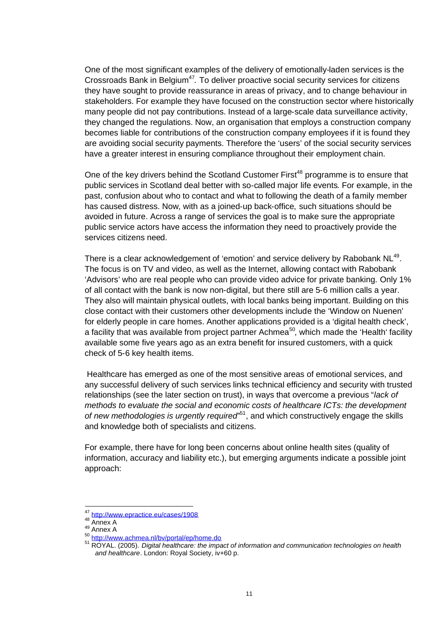One of the most significant examples of the delivery of emotionally-laden services is the Crossroads Bank in Belgium<sup>47</sup>. To deliver proactive social security services for citizens they have sought to provide reassurance in areas of privacy, and to change behaviour in stakeholders. For example they have focused on the construction sector where historically many people did not pay contributions. Instead of a large-scale data surveillance activity, they changed the regulations. Now, an organisation that employs a construction company becomes liable for contributions of the construction company employees if it is found they are avoiding social security payments. Therefore the 'users' of the social security services have a greater interest in ensuring compliance throughout their employment chain.

One of the key drivers behind the Scotland Customer First<sup>48</sup> programme is to ensure that public services in Scotland deal better with so-called major life events. For example, in the past, confusion about who to contact and what to following the death of a family member has caused distress. Now, with as a joined-up back-office, such situations should be avoided in future. Across a range of services the goal is to make sure the appropriate public service actors have access the information they need to proactively provide the services citizens need.

There is a clear acknowledgement of 'emotion' and service delivery by Rabobank  $NL^{49}$ . The focus is on TV and video, as well as the Internet, allowing contact with Rabobank 'Advisors' who are real people who can provide video advice for private banking. Only 1% of all contact with the bank is now non-digital, but there still are 5-6 million calls a year. They also will maintain physical outlets, with local banks being important. Building on this close contact with their customers other developments include the 'Window on Nuenen' for elderly people in care homes. Another applications provided is a 'digital health check', a facility that was available from project partner Achmea<sup>50</sup>, which made the 'Health' facility available some five years ago as an extra benefit for insured customers, with a quick check of 5-6 key health items.

Healthcare has emerged as one of the most sensitive areas of emotional services, and any successful delivery of such services links technical efficiency and security with trusted relationships (see the later section on trust), in ways that overcome a previous "*lack of methods to evaluate the social and economic costs of healthcare ICTs: the development* of new methodologies is urgently required<sup>, 51</sup>, and which constructively engage the skills and knowledge both of specialists and citizens.

For example, there have for long been concerns about online health sites (quality of information, accuracy and liability etc.), but emerging arguments indicate a possible joint approach:

<sup>47</sup> http://www.epractice.eu/cases/1908

 $48$  Annex A

 $^{49}$  Annex A

http://www.achmea.nl/bv/portal/ep/home.do

<sup>51</sup> ROYAL. (2005). *Digital healthcare: the impact of information and communication technologies on health and healthcare*. London: Royal Society, iv+60 p.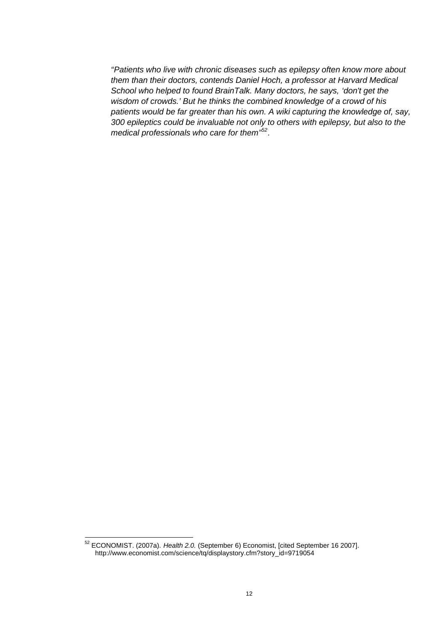*"Patients who live with chronic diseases such as epilepsy often know more about them than their doctors, contends Daniel Hoch, a professor at Harvard Medical School who helped to found BrainTalk. Many doctors, he says, 'don't get the wisdom of crowds.' But he thinks the combined knowledge of a crowd of his patients would be far greater than his own. A wiki capturing the knowledge of, say, 300 epileptics could be invaluable not only to others with epilepsy, but also to the medical professionals who care for them" 52* .

<sup>52</sup> ECONOMIST. (2007a). *Health 2.0.* (September 6) Economist, [cited September 16 2007]. http://www.economist.com/science/tq/displaystory.cfm?story\_id=9719054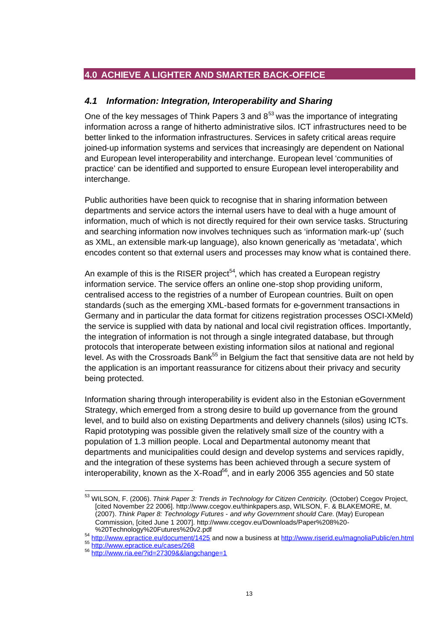# **4.0 ACHIEVE A LIGHTER AND SMARTER BACK-OFFICE**

#### *4.1 Information: Integration, Interoperability and Sharing*

One of the key messages of Think Papers 3 and  $8^{53}$  was the importance of integrating information across a range of hitherto administrative silos. ICT infrastructures need to be better linked to the information infrastructures. Services in safety critical areas require joined-up information systems and services that increasingly are dependent on National and European level interoperability and interchange. European level 'communities of practice' can be identified and supported to ensure European level interoperability and interchange.

Public authorities have been quick to recognise that in sharing information between departments and service actors the internal users have to deal with a huge amount of information, much of which is not directly required for their own service tasks. Structuring and searching information now involves techniques such as 'information mark-up' (such as XML, an extensible mark-up language), also known generically as 'metadata', which encodes content so that external users and processes may know what is contained there.

An example of this is the RISER project<sup>54</sup>, which has created a European registry information service. The service offers an online one-stop shop providing uniform, centralised access to the registries of a number of European countries. Built on open standards (such as the emerging XML-based formats for e-government transactions in Germany and in particular the data format for citizens registration processes OSCI-XMeld) the service is supplied with data by national and local civil registration offices. Importantly, the integration of information is not through a single integrated database, but through protocols that interoperate between existing information silos at national and regional level. As with the Crossroads Bank<sup>55</sup> in Belgium the fact that sensitive data are not held by the application is an important reassurance for citizens about their privacy and security being protected.

Information sharing through interoperability is evident also in the Estonian eGovernment Strategy, which emerged from a strong desire to build up governance from the ground level, and to build also on existing Departments and delivery channels (silos) using ICTs. Rapid prototyping was possible given the relatively small size of the country with a population of 1.3 million people. Local and Departmental autonomy meant that departments and municipalities could design and develop systems and services rapidly, and the integration of these systems has been achieved through a secure system of interoperability, known as the X-Road<sup>56</sup>, and in early 2006 355 agencies and 50 state

<sup>54</sup> http://www.epractice.eu/document/1425 and now a business at http://www.riserid.eu/magnoliaPublic/en.html

<sup>53</sup> WILSON, F. (2006). *Think Paper 3: Trends in Technology for Citizen Centricity.* (October) Ccegov Project, [cited November 22 2006]. http://www.ccegov.eu/thinkpapers.asp, WILSON, F. & BLAKEMORE, M. (2007). *Think Paper 8: Technology Futures - and why Government should Care.* (May) European Commission, [cited June 1 2007]. http://www.ccegov.eu/Downloads/Paper%208%20- %20Technology%20Futures%20v2.pdf

http://www.epractice.eu/cases/268

<sup>56</sup> http://www.ria.ee/?id=27309&&langchange=1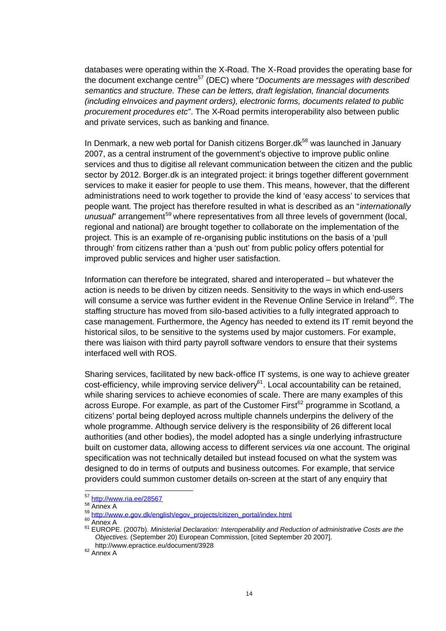databases were operating within the X-Road. The X-Road provides the operating base for the document exchange centre<sup>57</sup> (DEC) where "*Documents are messages with described semantics and structure. These can be letters, draft legislation, financial documents (including eInvoices and payment orders), electronic forms, documents related to public procurement procedures etc*". The X-Road permits interoperability also between public and private services, such as banking and finance.

In Denmark, a new web portal for Danish citizens Borger.dk<sup>58</sup> was launched in January 2007, as a central instrument of the government's objective to improve public online services and thus to digitise all relevant communication between the citizen and the public sector by 2012. Borger.dk is an integrated project: it brings together different government services to make it easier for people to use them. This means, however, that the different administrations need to work together to provide the kind of 'easy access' to services that people want. The project has therefore resulted in what is described as an "*internationally unusual*" arrangement<sup>59</sup> where representatives from all three levels of government (local, regional and national) are brought together to collaborate on the implementation of the project. This is an example of re-organising public institutions on the basis of a 'pull through' from citizens rather than a 'push out' from public policy offers potential for improved public services and higher user satisfaction.

Information can therefore be integrated, shared and interoperated – but whatever the action is needs to be driven by citizen needs. Sensitivity to the ways in which end-users will consume a service was further evident in the Revenue Online Service in Ireland $^{60}$ . The staffing structure has moved from silo-based activities to a fully integrated approach to case management. Furthermore, the Agency has needed to extend its IT remit beyond the historical silos, to be sensitive to the systems used by major customers. For example, there was liaison with third party payroll software vendors to ensure that their systems interfaced well with ROS.

Sharing services, facilitated by new back-office IT systems, is one way to achieve greater cost-efficiency, while improving service delivery<sup>61</sup>. Local accountability can be retained, while sharing services to achieve economies of scale. There are many examples of this across Europe. For example, as part of the Customer First<sup>62</sup> programme in Scotland, a citizens' portal being deployed across multiple channels underpins the delivery of the whole programme. Although service delivery is the responsibility of 26 different local authorities (and other bodies), the model adopted has a single underlying infrastructure built on customer data, allowing access to different services *via* one account. The original specification was not technically detailed but instead focused on what the system was designed to do in terms of outputs and business outcomes. For example, that service providers could summon customer details on-screen at the start of any enquiry that

<sup>&</sup>lt;sup>57</sup> http://www.ria.ee/28567

<sup>58</sup> Annex A

<sup>59</sup> http://www.e.gov.dk/english/egov\_projects/citizen\_portal/index.html

 $60$  Annex A

<sup>61</sup> EUROPE. (2007b). *Ministerial Declaration: Interoperability and Reduction of administrative Costs are the Objectives.* (September 20) European Commission, [cited September 20 2007].

http://www.epractice.eu/document/3928

<sup>62</sup> Annex A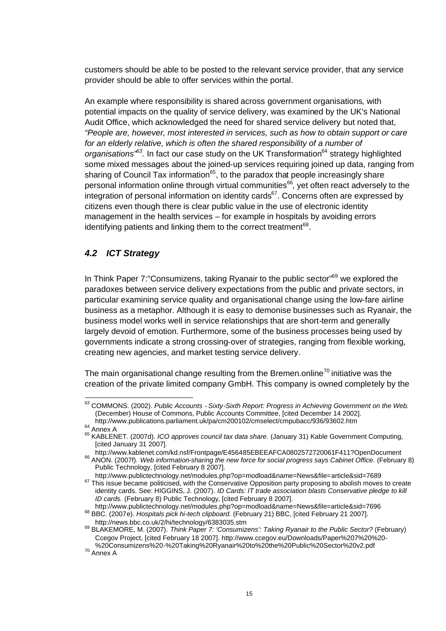customers should be able to be posted to the relevant service provider, that any service provider should be able to offer services within the portal.

An example where responsibility is shared across government organisations, with potential impacts on the quality of service delivery, was examined by the UK's National Audit Office, which acknowledged the need for shared service delivery but noted that, *"People are, however, most interested in services, such as how to obtain support or care for an elderly relative, which is often the shared responsibility of a number of* organisations<sup>,63</sup>. In fact our case study on the UK Transformation<sup>64</sup> strategy highlighted some mixed messages about the joined-up services requiring joined up data, ranging from sharing of Council Tax information<sup>65</sup>, to the paradox that people increasingly share personal information online through virtual communities<sup>66</sup>, yet often react adversely to the  $\overline{a}$  integration of personal information on identity cards<sup>67</sup>. Concerns often are expressed by citizens even though there is clear public value in the use of electronic identity management in the health services – for example in hospitals by avoiding errors identifying patients and linking them to the correct treatment $^{68}$ .

#### *4.2 ICT Strategy*

In Think Paper 7: "Consumizens, taking Ryanair to the public sector"<sup>69</sup> we explored the paradoxes between service delivery expectations from the public and private sectors, in particular examining service quality and organisational change using the low-fare airline business as a metaphor. Although it is easy to demonise businesses such as Ryanair, the business model works well in service relationships that are short-term and generally largely devoid of emotion. Furthermore, some of the business processes being used by governments indicate a strong crossing-over of strategies, ranging from flexible working, creating new agencies, and market testing service delivery.

The main organisational change resulting from the Bremen.online<sup>70</sup> initiative was the creation of the private limited company GmbH. This company is owned completely by the

<sup>63</sup> COMMONS. (2002). *Public Accounts - Sixty-Sixth Report: Progress in Achieving Government on the Web.* (December) House of Commons, Public Accounts Committee, [cited December 14 2002]. http://www.publications.parliament.uk/pa/cm200102/cmselect/cmpubacc/936/93602.htm

 $64$  Annex A

<sup>65</sup> KABLENET. (2007d). *ICO approves council tax data share.* (January 31) Kable Government Computing, [cited January 31 2007].

http://www.kablenet.com/kd.nsf/Frontpage/E456485EBEEAFCA0802572720061F411?OpenDocument <sup>66</sup> ANON. (2007f). *Web information-sharing the new force for social progress says Cabinet Office.* (February 8) Public Technology, [cited February 8 2007].

http://www.publictechnology.net/modules.php?op=modload&name=News&file=article&sid=7689

<sup>&</sup>lt;sup>67</sup> This issue became politicised, with the Conservative Opposition party proposing to abolish moves to create identity cards. See: HIGGINS, J. (2007). *ID Cards: IT trade association blasts Conservative pledge to kill ID cards.* (February 8) Public Technology, [cited February 8 2007].

http://www.publictechnology.net/modules.php?op=modload&name=News&file=article&sid=7696 <sup>68</sup> BBC. (2007e). *Hospitals pick hi-tech clipboard.* (February 21) BBC, [cited February 21 2007]. http://news.bbc.co.uk/2/hi/technology/6383035.stm

<sup>69</sup> BLAKEMORE, M. (2007). *Think Paper 7: 'Consumizens': Taking Ryanair to the Public Sector?* (February) Ccegov Project, [cited February 18 2007]. http://www.ccegov.eu/Downloads/Paper%207%20%20- %20Consumizens%20-%20Taking%20Ryanair%20to%20the%20Public%20Sector%20v2.pdf

<sup>70</sup> Annex A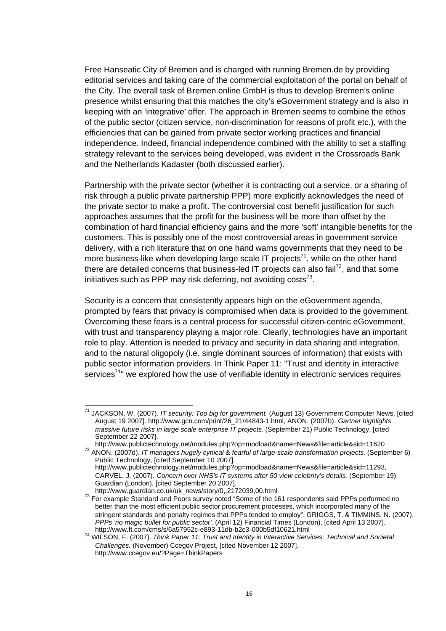Free Hanseatic City of Bremen and is charged with running Bremen.de by providing editorial services and taking care of the commercial exploitation of the portal on behalf of the City. The overall task of Bremen.online GmbH is thus to develop Bremen's online presence whilst ensuring that this matches the city's eGovernment strategy and is also in keeping with an 'integrative' offer. The approach in Bremen seems to combine the ethos of the public sector (citizen service, non-discrimination for reasons of profit etc.), with the efficiencies that can be gained from private sector working practices and financial independence. Indeed, financial independence combined with the ability to set a staffing strategy relevant to the services being developed, was evident in the Crossroads Bank and the Netherlands Kadaster (both discussed earlier).

Partnership with the private sector (whether it is contracting out a service, or a sharing of risk through a public private partnership PPP) more explicitly acknowledges the need of the private sector to make a profit. The controversial cost benefit justification for such approaches assumes that the profit for the business will be more than offset by the combination of hard financial efficiency gains and the more 'soft' intangible benefits for the customers. This is possibly one of the most controversial areas in government service delivery, with a rich literature that on one hand warns governments that they need to be more business-like when developing large scale IT projects<sup>71</sup>, while on the other hand there are detailed concerns that business-led IT projects can also fail<sup>72</sup>, and that some initiatives such as PPP may risk deferring, not avoiding  $costs^{73}$ .

Security is a concern that consistently appears high on the eGovernment agenda, prompted by fears that privacy is compromised when data is provided to the government. Overcoming these fears is a central process for successful citizen-centric eGovernment, with trust and transparency playing a major role. Clearly, technologies have an important role to play. Attention is needed to privacy and security in data sharing and integration, and to the natural oligopoly (i.e. single dominant sources of information) that exists with public sector information providers. In Think Paper 11: "Trust and identity in interactive services<sup>74</sup> we explored how the use of verifiable identity in electronic services requires

<sup>71</sup> JACKSON, W. (2007). *IT security: Too big for government.* (August 13) Government Computer News, [cited August 19 2007]. http://www.gcn.com/print/26\_21/44843-1.html, ANON. (2007b). *Gartner highlights massive future risks in large scale enterprise IT projects.* (September 21) Public Technology, [cited September 22 2007]. http://www.publictechnology.net/modules.php?op=modload&name=News&file=article&sid=11620

<sup>72</sup> ANON. (2007d). *IT managers hugely cynical & fearful of large-scale transformation projects.* (September 6) Public Technology, [cited September 10 2007]. http://www.publictechnology.net/modules.php?op=modload&name=News&file=article&sid=11293, CARVEL, J. (2007). *Concern over NHS's IT systems after 50 view celebrity's details.* (September 19)

Guardian (London), [cited September 20 2007]. http://www.guardian.co.uk/uk\_news/story/0,,2172039,00.html

<sup>&</sup>lt;sup>73</sup> For example Standard and Poors survey noted "Some of the 161 respondents said PPPs performed no better than the most efficient public sector procurement processes, which incorporated many of the stringent standards and penalty regimes that PPPs tended to employ". GRIGGS, T. & TIMMINS, N. (2007). *PPPs 'no magic bullet for public sector'.* (April 12) Financial Times (London), [cited April 13 2007]. http://www.ft.com/cms/s/6a57952c-e893-11db-b2c3-000b5df10621.html

<sup>74</sup> WILSON, F. (2007). *Think Paper 11: Trust and Identity in Interactive Services: Technical and Societal Challenges.* (November) Ccegov Project, [cited November 12 2007]. http://www.ccegov.eu/?Page=ThinkPapers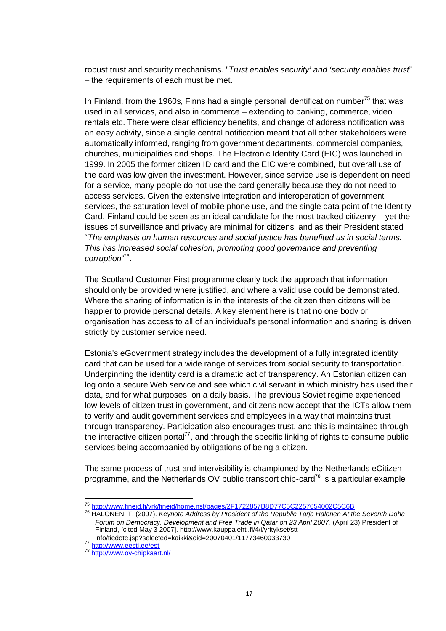robust trust and security mechanisms. "*Trust enables security' and 'security enables trust*" – the requirements of each must be met.

In Finland, from the 1960s. Finns had a single personal identification number $^{75}$  that was used in all services, and also in commerce – extending to banking, commerce, video rentals etc. There were clear efficiency benefits, and change of address notification was an easy activity, since a single central notification meant that all other stakeholders were automatically informed, ranging from government departments, commercial companies, churches, municipalities and shops. The Electronic Identity Card (EIC) was launched in 1999. In 2005 the former citizen ID card and the EIC were combined, but overall use of the card was low given the investment. However, since service use is dependent on need for a service, many people do not use the card generally because they do not need to access services. Given the extensive integration and interoperation of government services, the saturation level of mobile phone use, and the single data point of the Identity Card, Finland could be seen as an ideal candidate for the most tracked citizenry – yet the issues of surveillance and privacy are minimal for citizens, and as their President stated "*The emphasis on human resources and social justice has benefited us in social terms. This has increased social cohesion, promoting good governance and preventing* corruption<sup>"76</sup>.

The Scotland Customer First programme clearly took the approach that information should only be provided where justified, and where a valid use could be demonstrated. Where the sharing of information is in the interests of the citizen then citizens will be happier to provide personal details. A key element here is that no one body or organisation has access to all of an individual's personal information and sharing is driven strictly by customer service need.

Estonia's eGovernment strategy includes the development of a fully integrated identity card that can be used for a wide range of services from social security to transportation. Underpinning the identity card is a dramatic act of transparency. An Estonian citizen can log onto a secure Web service and see which civil servant in which ministry has used their data, and for what purposes, on a daily basis. The previous Soviet regime experienced low levels of citizen trust in government, and citizens now accept that the ICTs allow them to verify and audit government services and employees in a way that maintains trust through transparency. Participation also encourages trust, and this is maintained through the interactive citizen portal<sup>77</sup>, and through the specific linking of rights to consume public services being accompanied by obligations of being a citizen.

The same process of trust and intervisibility is championed by the Netherlands eCitizen programme, and the Netherlands OV public transport chip-card<sup>78</sup> is a particular example

<sup>75</sup> http://www.fineid.fi/vrk/fineid/home.nsf/pages/2F1722857B8D77C5C2257054002C5C6B

<sup>76</sup> HALONEN, T. (2007). *Keynote Address by President of the Republic Tarja Halonen At the Seventh Doha Forum on Democracy, Development and Free Trade in Qatar on 23 April 2007.* (April 23) President of Finland, [cited May 3 2007]. http://www.kauppalehti.fi/4/i/yritykset/stt-

info/tiedote.jsp?selected=kaikki&oid=20070401/11773460033730 <sup>77</sup> http://www.eesti.ee/est

<sup>78</sup> http://www.ov-chipkaart.nl/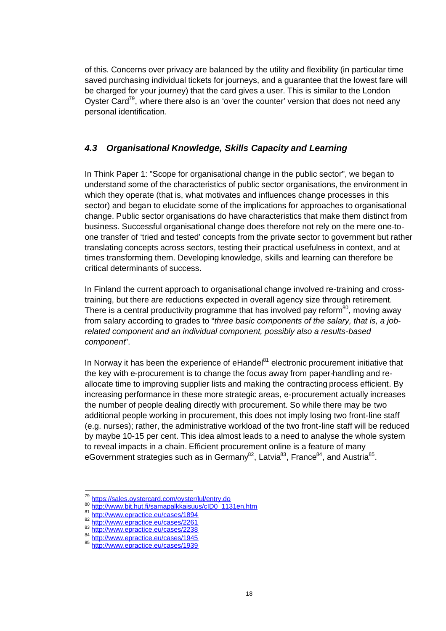of this. Concerns over privacy are balanced by the utility and flexibility (in particular time saved purchasing individual tickets for journeys, and a guarantee that the lowest fare will be charged for your journey) that the card gives a user. This is similar to the London Oyster Card<sup>79</sup>, where there also is an 'over the counter' version that does not need any personal identification.

# *4.3 Organisational Knowledge, Skills Capacity and Learning*

In Think Paper 1: "Scope for organisational change in the public sector", we began to understand some of the characteristics of public sector organisations, the environment in which they operate (that is, what motivates and influences change processes in this sector) and began to elucidate some of the implications for approaches to organisational change. Public sector organisations do have characteristics that make them distinct from business. Successful organisational change does therefore not rely on the mere one-toone transfer of 'tried and tested' concepts from the private sector to government but rather translating concepts across sectors, testing their practical usefulness in context, and at times transforming them. Developing knowledge, skills and learning can therefore be critical determinants of success.

In Finland the current approach to organisational change involved re-training and crosstraining, but there are reductions expected in overall agency size through retirement. There is a central productivity programme that has involved pay reform<sup>80</sup>, moving away from salary according to grades to "*three basic components of the salary, that is, a jobrelated component and an individual component, possibly also a results-based component*".

In Norway it has been the experience of eHandel $^{81}$  electronic procurement initiative that the key with e-procurement is to change the focus away from paper-handling and reallocate time to improving supplier lists and making the contracting process efficient. By increasing performance in these more strategic areas, e-procurement actually increases the number of people dealing directly with procurement. So while there may be two additional people working in procurement, this does not imply losing two front-line staff (e.g. nurses); rather, the administrative workload of the two front-line staff will be reduced by maybe 10-15 per cent. This idea almost leads to a need to analyse the whole system to reveal impacts in a chain. Efficient procurement online is a feature of many eGovernment strategies such as in Germany<sup>82</sup>, Latvia<sup>83</sup>, France<sup>84</sup>, and Austria<sup>85</sup>.

<sup>&</sup>lt;sup>79</sup> https://sales.oystercard.com/oyster/lul/entry.do<br><sup>80</sup> http://www.bit.but.fi/enmopell/egguug/elDQ\_113

http://www.bit.hut.fi/samapalkkaisuus/cID0\_1131en.htm

<sup>81</sup> http://www.epractice.eu/cases/1894

<sup>82</sup> http://www.epractice.eu/cases/2261

<sup>83</sup> http://www.epractice.eu/cases/2238

http://www.epractice.eu/cases/1945

<sup>85</sup> http://www.epractice.eu/cases/1939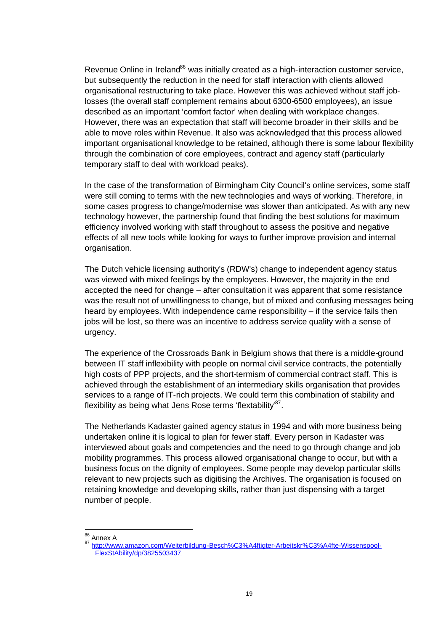Revenue Online in Ireland<sup>86</sup> was initially created as a high-interaction customer service, but subsequently the reduction in the need for staff interaction with clients allowed organisational restructuring to take place. However this was achieved without staff joblosses (the overall staff complement remains about 6300-6500 employees), an issue described as an important 'comfort factor' when dealing with workplace changes. However, there was an expectation that staff will become broader in their skills and be able to move roles within Revenue. It also was acknowledged that this process allowed important organisational knowledge to be retained, although there is some labour flexibility through the combination of core employees, contract and agency staff (particularly temporary staff to deal with workload peaks).

In the case of the transformation of Birmingham City Council's online services, some staff were still coming to terms with the new technologies and ways of working. Therefore, in some cases progress to change/modernise was slower than anticipated. As with any new technology however, the partnership found that finding the best solutions for maximum efficiency involved working with staff throughout to assess the positive and negative effects of all new tools while looking for ways to further improve provision and internal organisation.

The Dutch vehicle licensing authority's (RDW's) change to independent agency status was viewed with mixed feelings by the employees. However, the majority in the end accepted the need for change – after consultation it was apparent that some resistance was the result not of unwillingness to change, but of mixed and confusing messages being heard by employees. With independence came responsibility – if the service fails then jobs will be lost, so there was an incentive to address service quality with a sense of urgency.

The experience of the Crossroads Bank in Belgium shows that there is a middle-ground between IT staff inflexibility with people on normal civil service contracts, the potentially high costs of PPP projects, and the short-termism of commercial contract staff. This is achieved through the establishment of an intermediary skills organisation that provides services to a range of IT-rich projects. We could term this combination of stability and flexibility as being what Jens Rose terms 'flextability'<sup>87</sup>.

The Netherlands Kadaster gained agency status in 1994 and with more business being undertaken online it is logical to plan for fewer staff. Every person in Kadaster was interviewed about goals and competencies and the need to go through change and job mobility programmes. This process allowed organisational change to occur, but with a business focus on the dignity of employees. Some people may develop particular skills relevant to new projects such as digitising the Archives. The organisation is focused on retaining knowledge and developing skills, rather than just dispensing with a target number of people.

<sup>&</sup>lt;sup>86</sup> Annex A

<sup>&</sup>lt;sup>87</sup> http://www.amazon.com/Weiterbildung-Besch%C3%A4ftigter-Arbeitskr%C3%A4fte-Wissenspool-FlexStAbility/dp/3825503437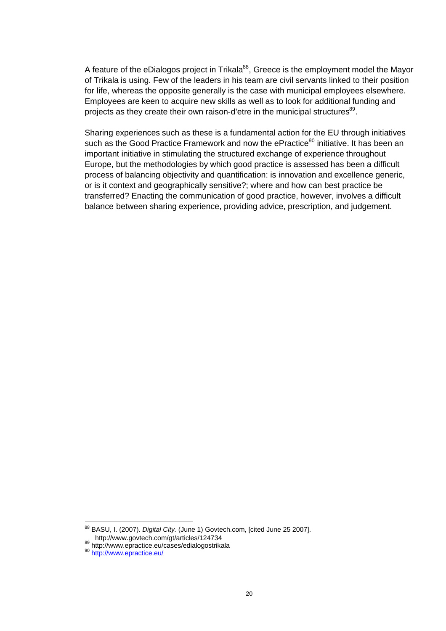A feature of the eDialogos project in Trikala<sup>88</sup>, Greece is the employment model the Mayor of Trikala is using. Few of the leaders in his team are civil servants linked to their position for life, whereas the opposite generally is the case with municipal employees elsewhere. Employees are keen to acquire new skills as well as to look for additional funding and projects as they create their own raison-d'etre in the municipal structures $^{89}$ .

Sharing experiences such as these is a fundamental action for the EU through initiatives such as the Good Practice Framework and now the ePractice<sup>90</sup> initiative. It has been an important initiative in stimulating the structured exchange of experience throughout Europe, but the methodologies by which good practice is assessed has been a difficult process of balancing objectivity and quantification: is innovation and excellence generic, or is it context and geographically sensitive?; where and how can best practice be transferred? Enacting the communication of good practice, however, involves a difficult balance between sharing experience, providing advice, prescription, and judgement.

<sup>88</sup> BASU, I. (2007). *Digital City.* (June 1) Govtech.com, [cited June 25 2007]. http://www.govtech.com/gt/articles/124734

<sup>89</sup> http://www.goviecin.com/gvandoco/n=1101

<sup>90</sup> http://www.epractice.eu/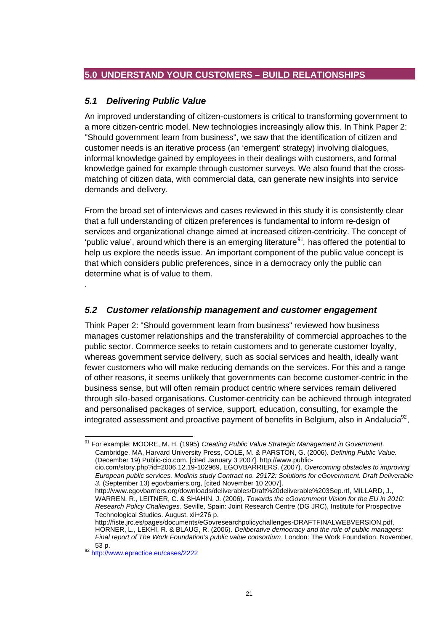## **5.0 UNDERSTAND YOUR CUSTOMERS – BUILD RELATIONSHIPS**

#### *5.1 Delivering Public Value*

.

An improved understanding of citizen-customers is critical to transforming government to a more citizen-centric model. New technologies increasingly allow this. In Think Paper 2: "Should government learn from business", we saw that the identification of citizen and customer needs is an iterative process (an 'emergent' strategy) involving dialogues, informal knowledge gained by employees in their dealings with customers, and formal knowledge gained for example through customer surveys. We also found that the crossmatching of citizen data, with commercial data, can generate new insights into service demands and delivery.

From the broad set of interviews and cases reviewed in this study it is consistently clear that a full understanding of citizen preferences is fundamental to inform re-design of services and organizational change aimed at increased citizen-centricity. The concept of 'public value', around which there is an emerging literature<sup>91</sup>, has offered the potential to help us explore the needs issue. An important component of the public value concept is that which considers public preferences, since in a democracy only the public can determine what is of value to them.

#### *5.2 Customer relationship management and customer engagement*

Think Paper 2: "Should government learn from business" reviewed how business manages customer relationships and the transferability of commercial approaches to the public sector. Commerce seeks to retain customers and to generate customer loyalty, whereas government service delivery, such as social services and health, ideally want fewer customers who will make reducing demands on the services. For this and a range of other reasons, it seems unlikely that governments can become customer-centric in the business sense, but will often remain product centric where services remain delivered through silo-based organisations. Customer-centricity can be achieved through integrated and personalised packages of service, support, education, consulting, for example the integrated assessment and proactive payment of benefits in Belgium, also in Andalucia $^{92}$ ,

<sup>91</sup> For example: MOORE, M. H. (1995) *Creating Public Value Strategic Management in Government,* Cambridge, MA, Harvard University Press, COLE, M. & PARSTON, G. (2006). *Defining Public Value.* (December 19) Public-cio.com, [cited January 3 2007]. http://www.publiccio.com/story.php?id=2006.12.19-102969, EGOVBARRIERS. (2007). *Overcoming obstacles to improving*

*European public services. Modinis study Contract no. 29172: Solutions for eGovernment. Draft Deliverable 3.* (September 13) egovbarriers.org, [cited November 10 2007].

http://www.egovbarriers.org/downloads/deliverables/Draft%20deliverable%203Sep.rtf, MILLARD, J., WARREN, R., LEITNER, C. & SHAHIN, J. (2006). *Towards the eGovernment Vision for the EU in 2010: Research Policy Challenges*. Seville, Spain: Joint Research Centre (DG JRC), Institute for Prospective Technological Studies. August, xii+276 p.

http://fiste.jrc.es/pages/documents/eGovresearchpolicychallenges-DRAFTFINALWEBVERSION.pdf, HORNER, L., LEKHI, R. & BLAUG, R. (2006). *Deliberative democracy and the role of public managers: Final report of The Work Foundation's public value consortium*. London: The Work Foundation. November, 53 p.

<sup>92</sup> http://www.epractice.eu/cases/2222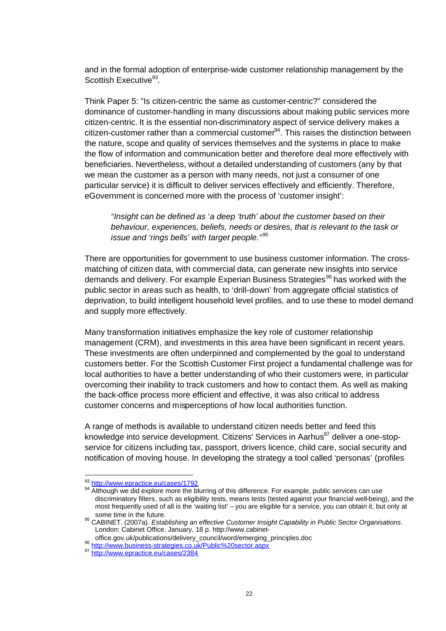and in the formal adoption of enterprise-wide customer relationship management by the Scottish Executive<sup>93</sup>.

Think Paper 5: "Is citizen-centric the same as customer-centric?" considered the dominance of customer-handling in many discussions about making public services more citizen-centric. It is the essential non-discriminatory aspect of service delivery makes a  $c$ itizen-customer rather than a commercial customer $94$ . This raises the distinction between the nature, scope and quality of services themselves and the systems in place to make the flow of information and communication better and therefore deal more effectively with beneficiaries. Nevertheless, without a detailed understanding of customers (any by that we mean the customer as a person with many needs, not just a consumer of one particular service) it is difficult to deliver services effectively and efficiently. Therefore, eGovernment is concerned more with the process of 'customer insight':

*"Insight can be defined as 'a deep 'truth' about the customer based on their behaviour, experiences, beliefs, needs or desires, that is relevant to the task or issue and 'rings bells' with target people."<sup>95</sup>*

There are opportunities for government to use business customer information. The crossmatching of citizen data, with commercial data, can generate new insights into service demands and delivery. For example Experian Business Strategies<sup>96</sup> has worked with the public sector in areas such as health, to 'drill-down' from aggregate official statistics of deprivation, to build intelligent household level profiles, and to use these to model demand and supply more effectively.

Many transformation initiatives emphasize the key role of customer relationship management (CRM), and investments in this area have been significant in recent years. These investments are often underpinned and complemented by the goal to understand customers better. For the Scottish Customer First project a fundamental challenge was for local authorities to have a better understanding of who their customers were, in particular overcoming their inability to track customers and how to contact them. As well as making the back-office process more efficient and effective, it was also critical to address customer concerns and misperceptions of how local authorities function.

A range of methods is available to understand citizen needs better and feed this knowledge into service development. Citizens' Services in Aarhus<sup>97</sup> deliver a one-stopservice for citizens including tax, passport, drivers licence, child care, social security and notification of moving house. In developing the strategy a tool called 'personas' (profiles

<sup>93</sup> http://www.epractice.eu/cases/1792

<sup>94</sup> Although we did explore more the blurring of this difference. For example, public services can use discriminatory filters, such as eligibility tests, means tests (tested against your financial well-being), and the most frequently used of all is the 'waiting list' – you are eligible for a service, you can obtain it, but only at some time in the future.

<sup>95</sup> CABINET. (2007a). *Establishing an effective Customer Insight Capability in Public Sector Organisations*. London: Cabinet Office. January, 18 p. http://www.cabinet-

office.gov.uk/publications/delivery\_council/word/emerging\_principles.doc

<sup>96</sup> http://www.business-strategies.co.uk/Public%20sector.aspx

<sup>97</sup> http://www.epractice.eu/cases/2384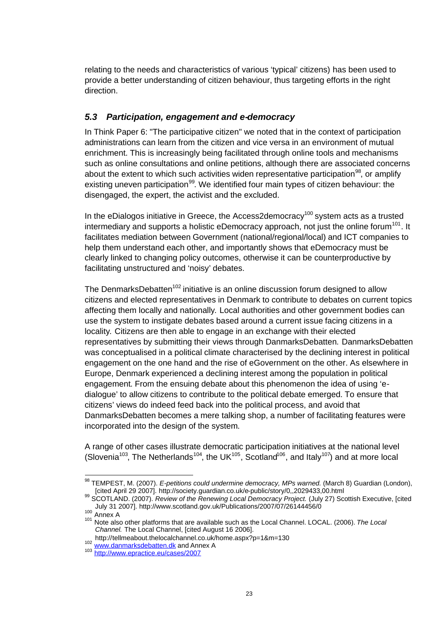relating to the needs and characteristics of various 'typical' citizens) has been used to provide a better understanding of citizen behaviour, thus targeting efforts in the right direction.

#### *5.3 Participation, engagement and e-democracy*

In Think Paper 6: "The participative citizen" we noted that in the context of participation administrations can learn from the citizen and vice versa in an environment of mutual enrichment. This is increasingly being facilitated through online tools and mechanisms such as online consultations and online petitions, although there are associated concerns about the extent to which such activities widen representative participation<sup>98</sup>, or amplify existing uneven participation<sup>99</sup>. We identified four main types of citizen behaviour: the disengaged, the expert, the activist and the excluded.

In the eDialogos initiative in Greece, the Access2democracy<sup>100</sup> system acts as a trusted intermediary and supports a holistic eDemocracy approach, not just the online forum<sup>101</sup>. It facilitates mediation between Government (national/regional/local) and ICT companies to help them understand each other, and importantly shows that eDemocracy must be clearly linked to changing policy outcomes, otherwise it can be counterproductive by facilitating unstructured and 'noisy' debates.

The DenmarksDebatten<sup>102</sup> initiative is an online discussion forum designed to allow citizens and elected representatives in Denmark to contribute to debates on current topics affecting them locally and nationally. Local authorities and other government bodies can use the system to instigate debates based around a current issue facing citizens in a locality. Citizens are then able to engage in an exchange with their elected representatives by submitting their views through DanmarksDebatten. DanmarksDebatten was conceptualised in a political climate characterised by the declining interest in political engagement on the one hand and the rise of eGovernment on the other. As elsewhere in Europe, Denmark experienced a declining interest among the population in political engagement. From the ensuing debate about this phenomenon the idea of using 'edialogue' to allow citizens to contribute to the political debate emerged. To ensure that citizens' views do indeed feed back into the political process, and avoid that DanmarksDebatten becomes a mere talking shop, a number of facilitating features were incorporated into the design of the system.

A range of other cases illustrate democratic participation initiatives at the national level (Slovenia<sup>103</sup>, The Netherlands<sup>104</sup>, the UK<sup>105</sup>, Scotland<sup>106</sup>, and Italy<sup>107</sup>) and at more local

<sup>98</sup> TEMPEST, M. (2007). *E-petitions could undermine democracy, MPs warned.* (March 8) Guardian (London), [cited April 29 2007]. http://society.guardian.co.uk/e-public/story/0,,2029433,00.html

<sup>99</sup> SCOTLAND. (2007). *Review of the Renewing Local Democracy Project.* (July 27) Scottish Executive, [cited July 31 2007]. http://www.scotland.gov.uk/Publications/2007/07/26144456/0

 $100 \text{ A}$ nnex A

<sup>101</sup> Note also other platforms that are available such as the Local Channel. LOCAL. (2006). *The Local Channel.* The Local Channel, [cited August 16 2006].

http://tellmeabout.thelocalchannel.co.uk/home.aspx?p=1&m=130

www.danmarksdebatten.dk and Annex A

<sup>103</sup> http://www.epractice.eu/cases/2007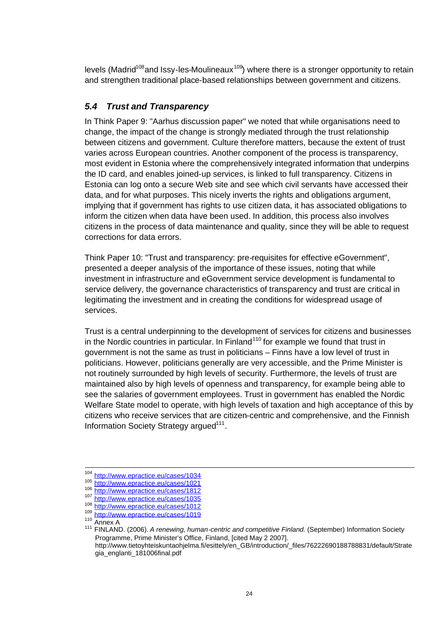levels (Madrid<sup>108</sup>and Issy-les-Moulineaux<sup>109</sup>) where there is a stronger opportunity to retain and strengthen traditional place-based relationships between government and citizens.

#### *5.4 Trust and Transparency*

In Think Paper 9: "Aarhus discussion paper" we noted that while organisations need to change, the impact of the change is strongly mediated through the trust relationship between citizens and government. Culture therefore matters, because the extent of trust varies across European countries. Another component of the process is transparency, most evident in Estonia where the comprehensively integrated information that underpins the ID card, and enables joined-up services, is linked to full transparency. Citizens in Estonia can log onto a secure Web site and see which civil servants have accessed their data, and for what purposes. This nicely inverts the rights and obligations argument, implying that if government has rights to use citizen data, it has associated obligations to inform the citizen when data have been used. In addition, this process also involves citizens in the process of data maintenance and quality, since they will be able to request corrections for data errors.

Think Paper 10: "Trust and transparency: pre-requisites for effective eGovernment", presented a deeper analysis of the importance of these issues, noting that while investment in infrastructure and eGovernment service development is fundamental to service delivery, the governance characteristics of transparency and trust are critical in legitimating the investment and in creating the conditions for widespread usage of services.

Trust is a central underpinning to the development of services for citizens and businesses in the Nordic countries in particular. In  $Find and <sup>110</sup>$  for example we found that trust in government is not the same as trust in politicians – Finns have a low level of trust in politicians. However, politicians generally are very accessible, and the Prime Minister is not routinely surrounded by high levels of security. Furthermore, the levels of trust are maintained also by high levels of openness and transparency, for example being able to see the salaries of government employees. Trust in government has enabled the Nordic Welfare State model to operate, with high levels of taxation and high acceptance of this by citizens who receive services that are citizen-centric and comprehensive, and the Finnish Information Society Strategy argued<sup>111</sup>.

<sup>104</sup> http://www.epractice.eu/cases/1034

<sup>105</sup> http://www.epractice.eu/cases/1021

<sup>106</sup> http://www.epractice.eu/cases/1812

<sup>&</sup>lt;sup>107</sup> http://www.epractice.eu/cases/1035<br><sup>108</sup> http://www.epractice.eu/cases/1012

<sup>108</sup> http://www.epractice.eu/cases/1012

http://www.epractice.eu/cases/1019

 $110$  Annex A

<sup>111</sup> FINLAND. (2006). *A renewing, human-centric and competitive Finland.* (September) Information Society Programme, Prime Minister's Office, Finland, [cited May 2 2007]. http://www.tietoyhteiskuntaohjelma.fi/esittely/en\_GB/introduction/\_files/76222690188788831/default/Strate gia\_englanti\_181006final.pdf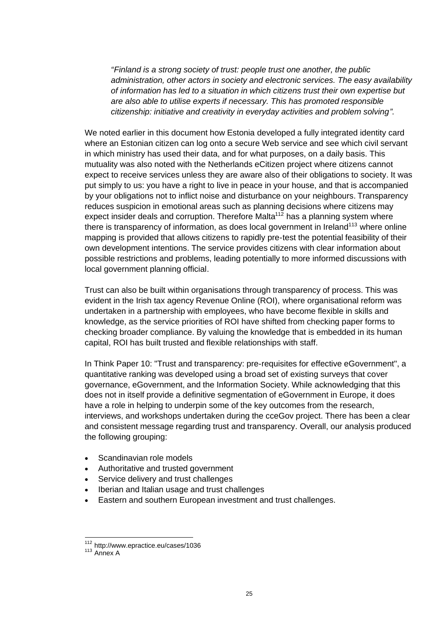*"Finland is a strong society of trust: people trust one another, the public administration, other actors in society and electronic services. The easy availability of information has led to a situation in which citizens trust their own expertise but are also able to utilise experts if necessary. This has promoted responsible citizenship: initiative and creativity in everyday activities and problem solving"*.

We noted earlier in this document how Estonia developed a fully integrated identity card where an Estonian citizen can log onto a secure Web service and see which civil servant in which ministry has used their data, and for what purposes, on a daily basis. This mutuality was also noted with the Netherlands eCitizen project where citizens cannot expect to receive services unless they are aware also of their obligations to society. It was put simply to us: you have a right to live in peace in your house, and that is accompanied by your obligations not to inflict noise and disturbance on your neighbours. Transparency reduces suspicion in emotional areas such as planning decisions where citizens may expect insider deals and corruption. Therefore Malta<sup>112</sup> has a planning system where there is transparency of information, as does local government in Ireland<sup>113</sup> where online mapping is provided that allows citizens to rapidly pre-test the potential feasibility of their own development intentions. The service provides citizens with clear information about possible restrictions and problems, leading potentially to more informed discussions with local government planning official.

Trust can also be built within organisations through transparency of process. This was evident in the Irish tax agency Revenue Online (ROI), where organisational reform was undertaken in a partnership with employees, who have become flexible in skills and knowledge, as the service priorities of ROI have shifted from checking paper forms to checking broader compliance. By valuing the knowledge that is embedded in its human capital, ROI has built trusted and flexible relationships with staff.

In Think Paper 10: "Trust and transparency: pre-requisites for effective eGovernment", a quantitative ranking was developed using a broad set of existing surveys that cover governance, eGovernment, and the Information Society. While acknowledging that this does not in itself provide a definitive segmentation of eGovernment in Europe, it does have a role in helping to underpin some of the key outcomes from the research, interviews, and workshops undertaken during the cceGov project. There has been a clear and consistent message regarding trust and transparency. Overall, our analysis produced the following grouping:

- Scandinavian role models
- Authoritative and trusted government
- Service delivery and trust challenges
- Iberian and Italian usage and trust challenges
- Eastern and southern European investment and trust challenges.

<sup>112</sup> http://www.epractice.eu/cases/1036

<sup>113</sup> Annex A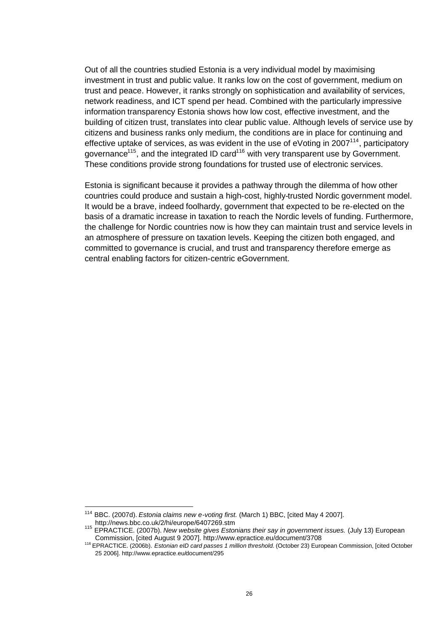Out of all the countries studied Estonia is a very individual model by maximising investment in trust and public value. It ranks low on the cost of government, medium on trust and peace. However, it ranks strongly on sophistication and availability of services, network readiness, and ICT spend per head. Combined with the particularly impressive information transparency Estonia shows how low cost, effective investment, and the building of citizen trust, translates into clear public value. Although levels of service use by citizens and business ranks only medium, the conditions are in place for continuing and effective uptake of services, as was evident in the use of eVoting in 2007<sup>114</sup>, participatory governance<sup>115</sup>, and the integrated ID card<sup>116</sup> with very transparent use by Government. These conditions provide strong foundations for trusted use of electronic services.

Estonia is significant because it provides a pathway through the dilemma of how other countries could produce and sustain a high-cost, highly-trusted Nordic government model. It would be a brave, indeed foolhardy, government that expected to be re-elected on the basis of a dramatic increase in taxation to reach the Nordic levels of funding. Furthermore, the challenge for Nordic countries now is how they can maintain trust and service levels in an atmosphere of pressure on taxation levels. Keeping the citizen both engaged, and committed to governance is crucial, and trust and transparency therefore emerge as central enabling factors for citizen-centric eGovernment.

<sup>&</sup>lt;sup>114</sup> BBC. (2007d). *Estonia claims new e-voting first.* (March 1) BBC, [cited May 4 2007].<br>
... http://news.bbc.co.uk/2/hi/europe/6407269.stm

http://news.bbc.co.uk/2/hi/europe/o4o7203.stm<br><sup>115</sup> EPRACTICE. (2007b). *New website gives Estonians their say in government issues.* (July 13) European Commission, [cited August 9 2007]. http://www.epractice.eu/document/3708

<sup>116</sup> EPRACTICE. (2006b). *Estonian eID card passes 1 million threshold.* (October 23) European Commission, [cited October 25 2006]. http://www.epractice.eu/document/295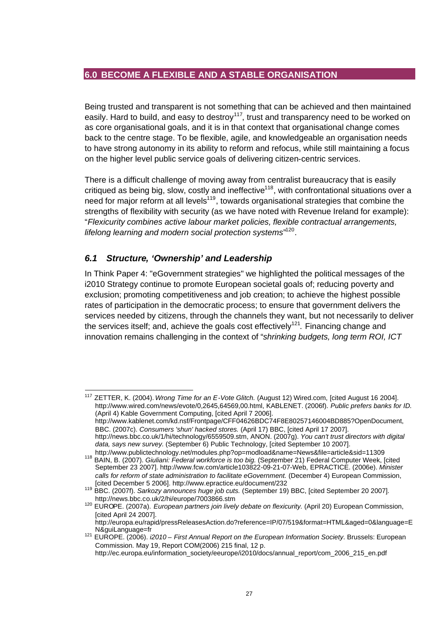#### **6.0 BECOME A FLEXIBLE AND A STABLE ORGANISATION**

Being trusted and transparent is not something that can be achieved and then maintained easily. Hard to build, and easy to destroy<sup>117</sup>, trust and transparency need to be worked on as core organisational goals, and it is in that context that organisational change comes back to the centre stage. To be flexible, agile, and knowledgeable an organisation needs to have strong autonomy in its ability to reform and refocus, while still maintaining a focus on the higher level public service goals of delivering citizen-centric services.

There is a difficult challenge of moving away from centralist bureaucracy that is easily critiqued as being big, slow, costly and ineffective<sup>118</sup>, with confrontational situations over a need for major reform at all levels<sup>119</sup>, towards organisational strategies that combine the strengths of flexibility with security (as we have noted with Revenue Ireland for example): "*Flexicurity combines active labour market policies, flexible contractual arrangements,* lifelong learning and modern social protection systems"<sup>120</sup>.

#### *6.1 Structure, 'Ownership' and Leadership*

In Think Paper 4: "eGovernment strategies" we highlighted the political messages of the i2010 Strategy continue to promote European societal goals of; reducing poverty and exclusion; promoting competitiveness and job creation; to achieve the highest possible rates of participation in the democratic process; to ensure that government delivers the services needed by citizens, through the channels they want, but not necessarily to deliver the services itself; and, achieve the goals cost effectively<sup>121</sup>. Financing change and innovation remains challenging in the context of "*shrinking budgets, long term ROI, ICT*

<sup>117</sup> ZETTER, K. (2004). *Wrong Time for an E-Vote Glitch.* (August 12) Wired.com, [cited August 16 2004]. http://www.wired.com/news/evote/0,2645,64569,00.html, KABLENET. (2006f). *Public prefers banks for ID.* (April 4) Kable Government Computing, [cited April 7 2006]. http://www.kablenet.com/kd.nsf/Frontpage/CFF04626BDC74F8E80257146004BD885?OpenDocument, BBC. (2007c). *Consumers 'shun' hacked stores.* (April 17) BBC, [cited April 17 2007]. http://news.bbc.co.uk/1/hi/technology/6559509.stm, ANON. (2007g). *You can't trust directors with digital data, says new survey.* (September 6) Public Technology, [cited September 10 2007].

http://www.publictechnology.net/modules.php?op=modload&name=News&file=article&sid=11309 <sup>118</sup> BAIN, B. (2007). *Giuliani: Federal workforce is too big.* (September 21) Federal Computer Week, [cited September 23 2007]. http://www.fcw.com/article103822-09-21-07-Web, EPRACTICE. (2006e). *Minister calls for reform of state administration to facilitate eGovernment.* (December 4) European Commission, [cited December 5 2006]. http://www.epractice.eu/document/232

<sup>119</sup> BBC. (2007f). *Sarkozy announces huge job cuts.* (September 19) BBC, [cited September 20 2007]. http://news.bbc.co.uk/2/hi/europe/7003866.stm

<sup>120</sup> EUROPE. (2007a). *European partners join lively debate on flexicurity.* (April 20) European Commission, [cited April 24 2007]. http://europa.eu/rapid/pressReleasesAction.do?reference=IP/07/519&format=HTML&aged=0&language=E N&guiLanguage=fr

<sup>121</sup> EUROPE. (2006). *i2010 – First Annual Report on the European Information Society*. Brussels: European Commission. May 19, Report COM(2006) 215 final, 12 p. http://ec.europa.eu/information\_society/eeurope/i2010/docs/annual\_report/com\_2006\_215\_en.pdf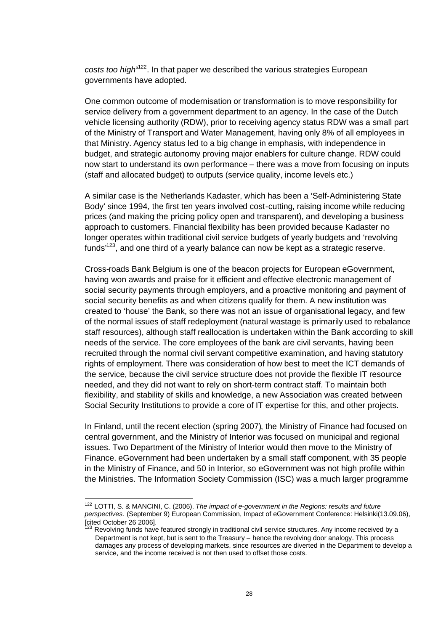costs too high<sup>"122</sup>. In that paper we described the various strategies European governments have adopted.

One common outcome of modernisation or transformation is to move responsibility for service delivery from a government department to an agency. In the case of the Dutch vehicle licensing authority (RDW), prior to receiving agency status RDW was a small part of the Ministry of Transport and Water Management, having only 8% of all employees in that Ministry. Agency status led to a big change in emphasis, with independence in budget, and strategic autonomy proving major enablers for culture change. RDW could now start to understand its own performance – there was a move from focusing on inputs (staff and allocated budget) to outputs (service quality, income levels etc.)

A similar case is the Netherlands Kadaster, which has been a 'Self-Administering State Body' since 1994, the first ten years involved cost-cutting, raising income while reducing prices (and making the pricing policy open and transparent), and developing a business approach to customers. Financial flexibility has been provided because Kadaster no longer operates within traditional civil service budgets of yearly budgets and 'revolving funds<sup> $123$ </sup>, and one third of a yearly balance can now be kept as a strategic reserve.

Cross-roads Bank Belgium is one of the beacon projects for European eGovernment, having won awards and praise for it efficient and effective electronic management of social security payments through employers, and a proactive monitoring and payment of social security benefits as and when citizens qualify for them. A new institution was created to 'house' the Bank, so there was not an issue of organisational legacy, and few of the normal issues of staff redeployment (natural wastage is primarily used to rebalance staff resources), although staff reallocation is undertaken within the Bank according to skill needs of the service. The core employees of the bank are civil servants, having been recruited through the normal civil servant competitive examination, and having statutory rights of employment. There was consideration of how best to meet the ICT demands of the service, because the civil service structure does not provide the flexible IT resource needed, and they did not want to rely on short-term contract staff. To maintain both flexibility, and stability of skills and knowledge, a new Association was created between Social Security Institutions to provide a core of IT expertise for this, and other projects.

In Finland, until the recent election (spring 2007), the Ministry of Finance had focused on central government, and the Ministry of Interior was focused on municipal and regional issues. Two Department of the Ministry of Interior would then move to the Ministry of Finance. eGovernment had been undertaken by a small staff component, with 35 people in the Ministry of Finance, and 50 in Interior, so eGovernment was not high profile within the Ministries. The Information Society Commission (ISC) was a much larger programme

<sup>122</sup> LOTTI, S. & MANCINI, C. (2006). *The impact of e-government in the Regions: results and future perspectives.* (September 9) European Commission, Impact of eGovernment Conference: Helsinki(13.09.06), [cited October 26 2006].

Revolving funds have featured strongly in traditional civil service structures. Any income received by a Department is not kept, but is sent to the Treasury – hence the revolving door analogy. This process damages any process of developing markets, since resources are diverted in the Department to develop a service, and the income received is not then used to offset those costs.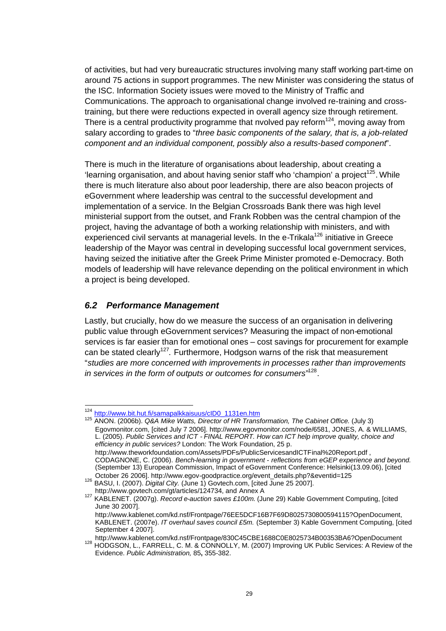of activities, but had very bureaucratic structures involving many staff working part-time on around 75 actions in support programmes. The new Minister was considering the status of the ISC. Information Society issues were moved to the Ministry of Traffic and Communications. The approach to organisational change involved re-training and crosstraining, but there were reductions expected in overall agency size through retirement. There is a central productivity programme that nvolved pay reform $124$ , moving away from salary according to grades to "*three basic components of the salary, that is, a job-related component and an individual component, possibly also a results-based component*".

There is much in the literature of organisations about leadership, about creating a 'learning organisation, and about having senior staff who 'champion' a project $^{125}$ . While there is much literature also about poor leadership, there are also beacon projects of eGovernment where leadership was central to the successful development and implementation of a service. In the Belgian Crossroads Bank there was high level ministerial support from the outset, and Frank Robben was the central champion of the project, having the advantage of both a working relationship with ministers, and with experienced civil servants at managerial levels. In the e-Trikala<sup>126</sup> initiative in Greece leadership of the Mayor was central in developing successful local government services, having seized the initiative after the Greek Prime Minister promoted e-Democracy. Both models of leadership will have relevance depending on the political environment in which a project is being developed.

#### *6.2 Performance Management*

Lastly, but crucially, how do we measure the success of an organisation in delivering public value through eGovernment services? Measuring the impact of non-emotional services is far easier than for emotional ones – cost savings for procurement for example can be stated clearly<sup>127</sup>. Furthermore, Hodgson warns of the risk that measurement "*studies are more concerned with improvements in processes rather than improvements* in services in the form of outputs or outcomes for consumers"<sup>128</sup>.

<sup>&</sup>lt;sup>124</sup> http://www.bit.hut.fi/samapalkkaisuus/cID0\_1131en.htm

<sup>125</sup> ANON. (2006b). *Q&A Mike Watts, Director of HR Transformation, The Cabinet Office.* (July 3) Egovmonitor.com, [cited July 7 2006]. http://www.egovmonitor.com/node/6581, JONES, A. & WILLIAMS, L. (2005). *Public Services and ICT - FINAL REPORT. How can ICT help improve quality, choice and efficiency in public services?* London: The Work Foundation, 25 p. http://www.theworkfoundation.com/Assets/PDFs/PublicServicesandICTFinal%20Report.pdf. CODAGNONE, C. (2006). *Bench-learning in government - reflections from eGEP experience and beyond.* (September 13) European Commission, Impact of eGovernment Conference: Helsinki(13.09.06), [cited October 26 2006]. http://www.egov-goodpractice.org/event\_details.php?&eventid=125

<sup>126</sup> BASU, I. (2007). *Digital City.* (June 1) Govtech.com, [cited June 25 2007]. http://www.govtech.com/gt/articles/124734, and Annex A

<sup>127</sup> KABLENET. (2007g). *Record e-auction saves £100m.* (June 29) Kable Government Computing, [cited June 30 2007].

http://www.kablenet.com/kd.nsf/Frontpage/76EE5DCF16B7F69D8025730800594115?OpenDocument, KABLENET. (2007e). *IT overhaul saves council £5m.* (September 3) Kable Government Computing, [cited September 4 2007].

http://www.kablenet.com/kd.nsf/Frontpage/830C45CBE1688C0E8025734B00353BA6?OpenDocument<br><sup>128</sup> HODGSON, L., FARRELL, C. M. & CONNOLLY, M. (2007) Improving UK Public Services: A Review of the Evidence. *Public Administration,* 85**,** 355-382.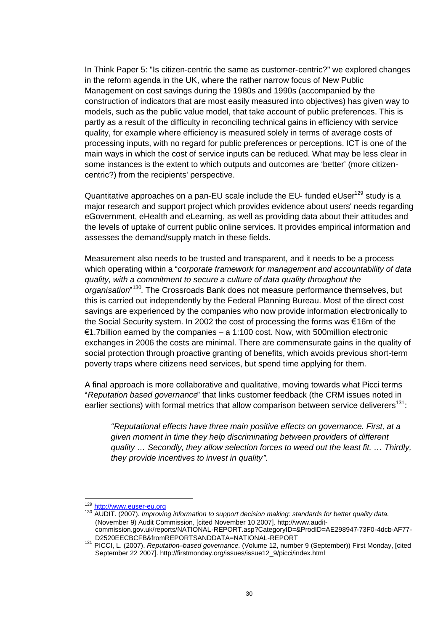In Think Paper 5: "Is citizen-centric the same as customer-centric?" we explored changes in the reform agenda in the UK, where the rather narrow focus of New Public Management on cost savings during the 1980s and 1990s (accompanied by the construction of indicators that are most easily measured into objectives) has given way to models, such as the public value model, that take account of public preferences. This is partly as a result of the difficulty in reconciling technical gains in efficiency with service quality, for example where efficiency is measured solely in terms of average costs of processing inputs, with no regard for public preferences or perceptions. ICT is one of the main ways in which the cost of service inputs can be reduced. What may be less clear in some instances is the extent to which outputs and outcomes are 'better' (more citizencentric?) from the recipients' perspective.

Quantitative approaches on a pan-EU scale include the EU- funded eUser<sup>129</sup> study is a major research and support project which provides evidence about users' needs regarding eGovernment, eHealth and eLearning, as well as providing data about their attitudes and the levels of uptake of current public online services. It provides empirical information and assesses the demand/supply match in these fields.

Measurement also needs to be trusted and transparent, and it needs to be a process which operating within a "*corporate framework for management and accountability of data quality, with a commitment to secure a culture of data quality throughout the organisation*" <sup>130</sup>. The Crossroads Bank does not measure performance themselves, but this is carried out independently by the Federal Planning Bureau. Most of the direct cost savings are experienced by the companies who now provide information electronically to the Social Security system. In 2002 the cost of processing the forms was €16m of the €1.7billion earned by the companies – a 1:100 cost. Now, with 500million electronic exchanges in 2006 the costs are minimal. There are commensurate gains in the quality of social protection through proactive granting of benefits, which avoids previous short-term poverty traps where citizens need services, but spend time applying for them.

A final approach is more collaborative and qualitative, moving towards what Picci terms "*Reputation based governance*" that links customer feedback (the CRM issues noted in earlier sections) with formal metrics that allow comparison between service deliverers<sup>131</sup>:

*"Reputational effects have three main positive effects on governance. First, at a given moment in time they help discriminating between providers of different quality … Secondly, they allow selection forces to weed out the least fit. … Thirdly, they provide incentives to invest in quality"*.

<sup>129</sup> http://www.euser-eu.org

<sup>130</sup> AUDIT. (2007). *Improving information to support decision making: standards for better quality data.* (November 9) Audit Commission, [cited November 10 2007]. http://www.auditcommission.gov.uk/reports/NATIONAL-REPORT.asp?CategoryID=&ProdID=AE298947-73F0-4dcb-AF77- D2520EECBCFB&fromREPORTSANDDATA=NATIONAL-REPORT

<sup>131</sup> PICCI, L. (2007). *Reputation–based governance.* (Volume 12, number 9 (September)) First Monday, [cited September 22 2007]. http://firstmonday.org/issues/issue12\_9/picci/index.html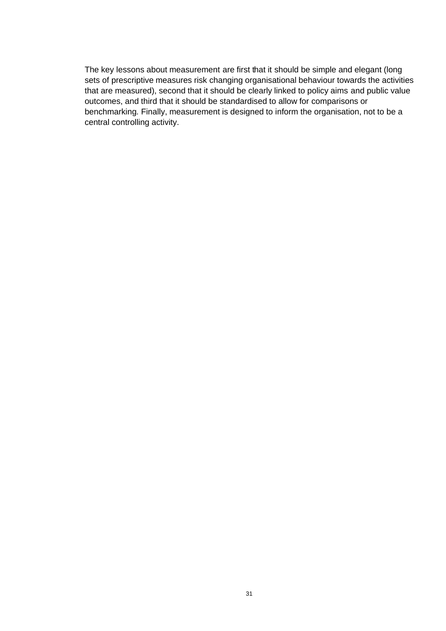The key lessons about measurement are first that it should be simple and elegant (long sets of prescriptive measures risk changing organisational behaviour towards the activities that are measured), second that it should be clearly linked to policy aims and public value outcomes, and third that it should be standardised to allow for comparisons or benchmarking. Finally, measurement is designed to inform the organisation, not to be a central controlling activity.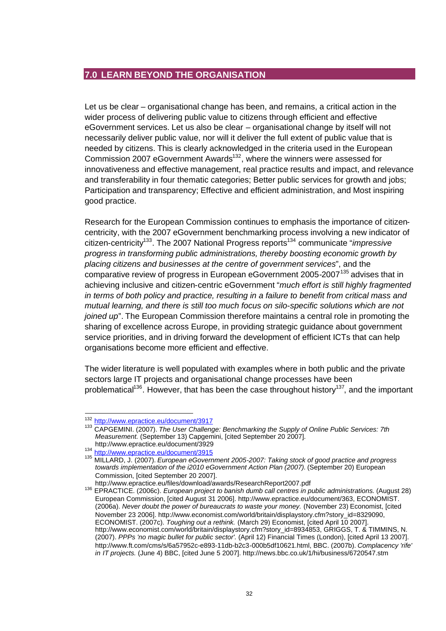#### **7.0 LEARN BEYOND THE ORGANISATION**

Let us be clear – organisational change has been, and remains, a critical action in the wider process of delivering public value to citizens through efficient and effective eGovernment services. Let us also be clear – organisational change by itself will not necessarily deliver public value, nor will it deliver the full extent of public value that is needed by citizens. This is clearly acknowledged in the criteria used in the European Commission 2007 eGovernment Awards<sup>132</sup>, where the winners were assessed for innovativeness and effective management, real practice results and impact, and relevance and transferability in four thematic categories; Better public services for growth and jobs; Participation and transparency; Effective and efficient administration, and Most inspiring good practice.

Research for the European Commission continues to emphasis the importance of citizencentricity, with the 2007 eGovernment benchmarking process involving a new indicator of citizen-centricity<sup>133</sup> . The 2007 National Progress reports<sup>134</sup> communicate "*impressive progress in transforming public administrations, thereby boosting economic growth by placing citizens and businesses at the centre of government services*", and the comparative review of progress in European eGovernment 2005-2007<sup>135</sup> advises that in achieving inclusive and citizen-centric eGovernment "*much effort is still highly fragmented in terms of both policy and practice, resulting in a failure to benefit from critical mass and mutual learning, and there is still too much focus on silo-specific solutions which are not joined up*". The European Commission therefore maintains a central role in promoting the sharing of excellence across Europe, in providing strategic guidance about government service priorities, and in driving forward the development of efficient ICTs that can help organisations become more efficient and effective.

The wider literature is well populated with examples where in both public and the private sectors large IT projects and organisational change processes have been problematical<sup>136</sup>. However, that has been the case throughout history<sup>137</sup>, and the important

<sup>132</sup> http://www.epractice.eu/document/3917

<sup>133</sup> CAPGEMINI. (2007). *The User Challenge: Benchmarking the Supply of Online Public Services: 7th Measurement.* (September 13) Capgemini, [cited September 20 2007]. http://www.epractice.eu/document/3929

<sup>134</sup> http://www.epractice.eu/document/3915

<sup>135</sup> MILLARD, J. (2007). *European eGovernment 2005-2007: Taking stock of good practice and progress towards implementation of the i2010 eGovernment Action Plan (2007).* (September 20) European Commission, [cited September 20 2007].

http://www.epractice.eu/files/download/awards/ResearchReport2007.pdf <sup>136</sup> EPRACTICE. (2006c). *European project to banish dumb call centres in public administrations.* (August 28) European Commission, [cited August 31 2006]. http://www.epractice.eu/document/363, ECONOMIST. (2006a). *Never doubt the power of bureaucrats to waste your money.* (November 23) Economist, [cited November 23 2006]. http://www.economist.com/world/britain/displaystory.cfm?story\_id=8329090, ECONOMIST. (2007c). *Toughing out a rethink.* (March 29) Economist, [cited April 10 2007]. http://www.economist.com/world/britain/displaystory.cfm?story\_id=8934853, GRIGGS, T. & TIMMINS, N. (2007). *PPPs 'no magic bullet for public sector'.* (April 12) Financial Times (London), [cited April 13 2007]. http://www.ft.com/cms/s/6a57952c-e893-11db-b2c3-000b5df10621.html, BBC. (2007b). *Complacency 'rife' in IT projects.* (June 4) BBC, [cited June 5 2007]. http://news.bbc.co.uk/1/hi/business/6720547.stm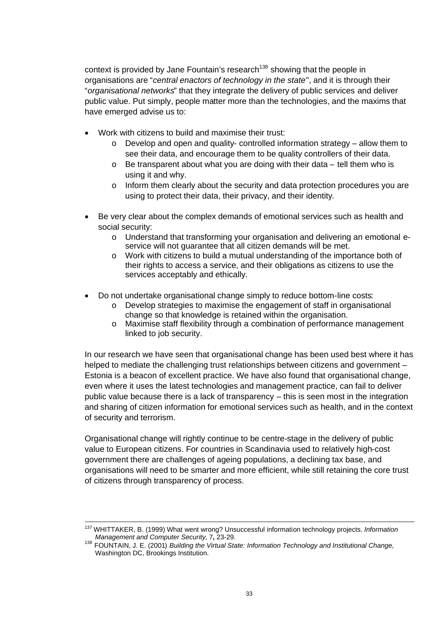context is provided by Jane Fountain's research<sup>138</sup> showing that the people in organisations are "*central enactors of technology in the state*'', and it is through their "*organisational networks*" that they integrate the delivery of public services and deliver public value. Put simply, people matter more than the technologies, and the maxims that have emerged advise us to:

- Work with citizens to build and maximise their trust:
	- o Develop and open and quality- controlled information strategy allow them to see their data, and encourage them to be quality controllers of their data.
	- $\circ$  Be transparent about what you are doing with their data tell them who is using it and why.
	- o Inform them clearly about the security and data protection procedures you are using to protect their data, their privacy, and their identity.
- Be very clear about the complex demands of emotional services such as health and social security:
	- o Understand that transforming your organisation and delivering an emotional eservice will not guarantee that all citizen demands will be met.
	- o Work with citizens to build a mutual understanding of the importance both of their rights to access a service, and their obligations as citizens to use the services acceptably and ethically.
- Do not undertake organisational change simply to reduce bottom-line costs:
	- $\circ$  Develop strategies to maximise the engagement of staff in organisational change so that knowledge is retained within the organisation.
	- o Maximise staff flexibility through a combination of performance management linked to job security.

In our research we have seen that organisational change has been used best where it has helped to mediate the challenging trust relationships between citizens and government – Estonia is a beacon of excellent practice. We have also found that organisational change, even where it uses the latest technologies and management practice, can fail to deliver public value because there is a lack of transparency – this is seen most in the integration and sharing of citizen information for emotional services such as health, and in the context of security and terrorism.

Organisational change will rightly continue to be centre-stage in the delivery of public value to European citizens. For countries in Scandinavia used to relatively high-cost government there are challenges of ageing populations, a declining tax base, and organisations will need to be smarter and more efficient, while still retaining the core trust of citizens through transparency of process.

<sup>137</sup> WHITTAKER, B. (1999) What went wrong? Unsuccessful information technology projects. *Information Management and Computer Security,* 7**,** 23-29.

<sup>138</sup> FOUNTAIN, J. E. (2001) *Building the Virtual State: Information Technology and Institutional Change,* Washington DC, Brookings Institution.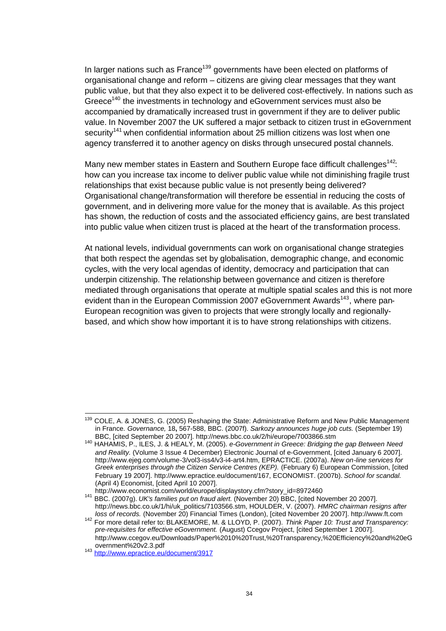In larger nations such as France<sup>139</sup> governments have been elected on platforms of organisational change and reform – citizens are giving clear messages that they want public value, but that they also expect it to be delivered cost-effectively. In nations such as Greece<sup>140</sup> the investments in technology and eGovernment services must also be accompanied by dramatically increased trust in government if they are to deliver public value. In November 2007 the UK suffered a major setback to citizen trust in eGovernment security<sup>141</sup> when confidential information about 25 million citizens was lost when one agency transferred it to another agency on disks through unsecured postal channels.

Many new member states in Eastern and Southern Europe face difficult challenges<sup>142</sup>: how can you increase tax income to deliver public value while not diminishing fragile trust relationships that exist because public value is not presently being delivered? Organisational change/transformation will therefore be essential in reducing the costs of government, and in delivering more value for the money that is available. As this project has shown, the reduction of costs and the associated efficiency gains, are best translated into public value when citizen trust is placed at the heart of the transformation process.

At national levels, individual governments can work on organisational change strategies that both respect the agendas set by globalisation, demographic change, and economic cycles, with the very local agendas of identity, democracy and participation that can underpin citizenship. The relationship between governance and citizen is therefore mediated through organisations that operate at multiple spatial scales and this is not more evident than in the European Commission 2007 eGovernment Awards<sup>143</sup>, where pan-European recognition was given to projects that were strongly locally and regionallybased, and which show how important it is to have strong relationships with citizens.

http://www.economist.com/world/europe/displaystory.cfm?story\_id=8972460

<sup>&</sup>lt;sup>139</sup> COLE, A. & JONES, G. (2005) Reshaping the State: Administrative Reform and New Public Management in France. *Governance,* 18**,** 567-588, BBC. (2007f). *Sarkozy announces huge job cuts.* (September 19) BBC, [cited September 20 2007]. http://news.bbc.co.uk/2/hi/europe/7003866.stm

<sup>140</sup> HAHAMIS, P., ILES, J. & HEALY, M. (2005). *e-Government in Greece: Bridging the gap Between Need and Reality.* (Volume 3 Issue 4 December) Electronic Journal of e-Government, [cited January 6 2007]. http://www.ejeg.com/volume-3/vol3-iss4/v3-i4-art4.htm, EPRACTICE. (2007a). *New on-line services for Greek enterprises through the Citizen Service Centres (KEP).* (February 6) European Commission, [cited February 19 2007]. http://www.epractice.eu/document/167, ECONOMIST. (2007b). *School for scandal.* (April 4) Economist, [cited April 10 2007].

<sup>141</sup> BBC. (2007a). *UK's families put on fraud alert.* (November 20) BBC, [cited November 20 2007]. http://news.bbc.co.uk/1/hi/uk\_politics/7103566.stm, HOULDER, V. (2007). *HMRC chairman resigns after loss of records.* (November 20) Financial Times (London), [cited November 20 2007]. http://www.ft.com

<sup>142</sup> For more detail refer to: BLAKEMORE, M. & LLOYD, P. (2007). *Think Paper 10: Trust and Transparency: pre-requisites for effective eGovernment.* (August) Ccegov Project, [cited September 1 2007]. http://www.ccegov.eu/Downloads/Paper%2010%20Trust,%20Transparency,%20Efficiency%20and%20eG overnment%20v2.3.pdf

<sup>&</sup>lt;sup>143</sup> http://www.epractice.eu/document/3917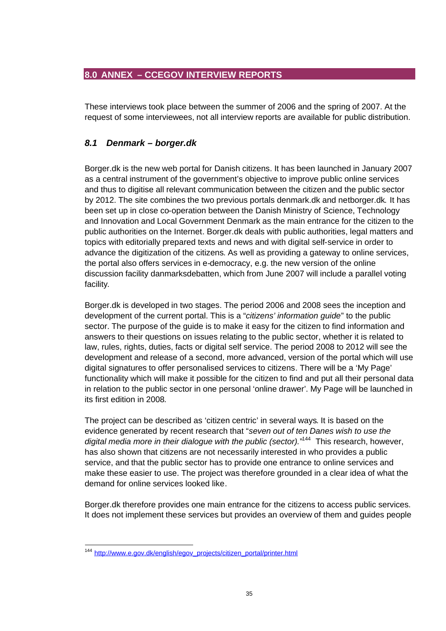# **8.0 ANNEX – CCEGOV INTERVIEW REPORTS**

These interviews took place between the summer of 2006 and the spring of 2007. At the request of some interviewees, not all interview reports are available for public distribution.

# *8.1 Denmark – borger.dk*

Borger.dk is the new web portal for Danish citizens. It has been launched in January 2007 as a central instrument of the government's objective to improve public online services and thus to digitise all relevant communication between the citizen and the public sector by 2012. The site combines the two previous portals denmark.dk and netborger.dk. It has been set up in close co-operation between the Danish Ministry of Science, Technology and Innovation and Local Government Denmark as the main entrance for the citizen to the public authorities on the Internet. Borger.dk deals with public authorities, legal matters and topics with editorially prepared texts and news and with digital self-service in order to advance the digitization of the citizens. As well as providing a gateway to online services, the portal also offers services in e-democracy, e.g. the new version of the online discussion facility danmarksdebatten, which from June 2007 will include a parallel voting facility.

Borger.dk is developed in two stages. The period 2006 and 2008 sees the inception and development of the current portal. This is a "*citizens' information guide*" to the public sector. The purpose of the guide is to make it easy for the citizen to find information and answers to their questions on issues relating to the public sector, whether it is related to law, rules, rights, duties, facts or digital self service. The period 2008 to 2012 will see the development and release of a second, more advanced, version of the portal which will use digital signatures to offer personalised services to citizens. There will be a 'My Page' functionality which will make it possible for the citizen to find and put all their personal data in relation to the public sector in one personal 'online drawer'. My Page will be launched in its first edition in 2008.

The project can be described as 'citizen centric' in several ways. It is based on the evidence generated by recent research that "*seven out of ten Danes wish to use the* digital media more in their dialogue with the public (sector)."<sup>144</sup> This research, however, has also shown that citizens are not necessarily interested in who provides a public service, and that the public sector has to provide one entrance to online services and make these easier to use. The project was therefore grounded in a clear idea of what the demand for online services looked like.

Borger.dk therefore provides one main entrance for the citizens to access public services. It does not implement these services but provides an overview of them and guides people

<sup>144</sup> http://www.e.gov.dk/english/egov\_projects/citizen\_portal/printer.html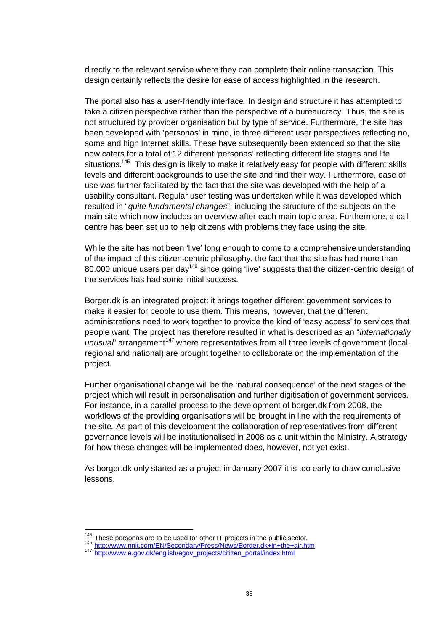directly to the relevant service where they can complete their online transaction. This design certainly reflects the desire for ease of access highlighted in the research.

The portal also has a user-friendly interface. In design and structure it has attempted to take a citizen perspective rather than the perspective of a bureaucracy. Thus, the site is not structured by provider organisation but by type of service. Furthermore, the site has been developed with 'personas' in mind, ie three different user perspectives reflecting no, some and high Internet skills. These have subsequently been extended so that the site now caters for a total of 12 different 'personas' reflecting different life stages and life situations.<sup>145</sup> This design is likely to make it relatively easy for people with different skills levels and different backgrounds to use the site and find their way. Furthermore, ease of use was further facilitated by the fact that the site was developed with the help of a usability consultant. Regular user testing was undertaken while it was developed which resulted in "*quite fundamental changes*", including the structure of the subjects on the main site which now includes an overview after each main topic area. Furthermore, a call centre has been set up to help citizens with problems they face using the site.

While the site has not been 'live' long enough to come to a comprehensive understanding of the impact of this citizen-centric philosophy, the fact that the site has had more than 80.000 unique users per day<sup>146</sup> since going 'live' suggests that the citizen-centric design of the services has had some initial success.

Borger.dk is an integrated project: it brings together different government services to make it easier for people to use them. This means, however, that the different administrations need to work together to provide the kind of 'easy access' to services that people want. The project has therefore resulted in what is described as an "*internationally unusual*" arrangement<sup>147</sup> where representatives from all three levels of government (local, regional and national) are brought together to collaborate on the implementation of the project.

Further organisational change will be the 'natural consequence' of the next stages of the project which will result in personalisation and further digitisation of government services. For instance, in a parallel process to the development of borger.dk from 2008, the workflows of the providing organisations will be brought in line with the requirements of the site. As part of this development the collaboration of representatives from different governance levels will be institutionalised in 2008 as a unit within the Ministry. A strategy for how these changes will be implemented does, however, not yet exist.

As borger.dk only started as a project in January 2007 it is too early to draw conclusive lessons.

 $\frac{145}{146}$  These personas are to be used for other IT projects in the public sector.

<sup>146</sup> http://www.nnit.com/EN/Secondary/Press/News/Borger.dk+in+the+air.htm

<sup>147</sup> http://www.e.gov.dk/english/egov\_projects/citizen\_portal/index.html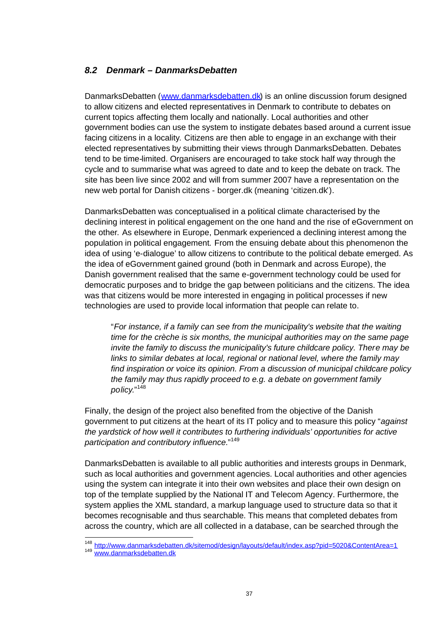## *8.2 Denmark – DanmarksDebatten*

DanmarksDebatten (www.danmarksdebatten.dk) is an online discussion forum designed to allow citizens and elected representatives in Denmark to contribute to debates on current topics affecting them locally and nationally. Local authorities and other government bodies can use the system to instigate debates based around a current issue facing citizens in a locality. Citizens are then able to engage in an exchange with their elected representatives by submitting their views through DanmarksDebatten. Debates tend to be time-limited. Organisers are encouraged to take stock half way through the cycle and to summarise what was agreed to date and to keep the debate on track. The site has been live since 2002 and will from summer 2007 have a representation on the new web portal for Danish citizens - borger.dk (meaning 'citizen.dk').

DanmarksDebatten was conceptualised in a political climate characterised by the declining interest in political engagement on the one hand and the rise of eGovernment on the other. As elsewhere in Europe, Denmark experienced a declining interest among the population in political engagement. From the ensuing debate about this phenomenon the idea of using 'e-dialogue' to allow citizens to contribute to the political debate emerged. As the idea of eGovernment gained ground (both in Denmark and across Europe), the Danish government realised that the same e-government technology could be used for democratic purposes and to bridge the gap between politicians and the citizens. The idea was that citizens would be more interested in engaging in political processes if new technologies are used to provide local information that people can relate to.

"*For instance, if a family can see from the municipality's website that the waiting time for the crèche is six months, the municipal authorities may on the same page invite the family to discuss the municipality's future childcare policy. There may be links to similar debates at local, regional or national level, where the family may find inspiration or voice its opinion. From a discussion of municipal childcare policy the family may thus rapidly proceed to e.g. a debate on government family policy*."<sup>148</sup>

Finally, the design of the project also benefited from the objective of the Danish government to put citizens at the heart of its IT policy and to measure this policy "*against the yardstick of how well it contributes to furthering individuals' opportunities for active participation and contributory influence*."<sup>149</sup>

DanmarksDebatten is available to all public authorities and interests groups in Denmark, such as local authorities and government agencies. Local authorities and other agencies using the system can integrate it into their own websites and place their own design on top of the template supplied by the National IT and Telecom Agency. Furthermore, the system applies the XML standard, a markup language used to structure data so that it becomes recognisable and thus searchable. This means that completed debates from across the country, which are all collected in a database, can be searched through the

<sup>148</sup> http://www.danmarksdebatten.dk/sitemod/design/layouts/default/index.asp?pid=5020&ContentArea=1 149 www.danmarksdebatten.dk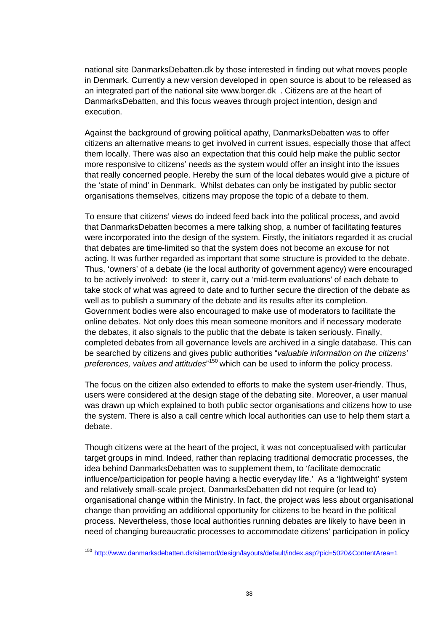national site DanmarksDebatten.dk by those interested in finding out what moves people in Denmark. Currently a new version developed in open source is about to be released as an integrated part of the national site www.borger.dk . Citizens are at the heart of DanmarksDebatten, and this focus weaves through project intention, design and execution.

Against the background of growing political apathy, DanmarksDebatten was to offer citizens an alternative means to get involved in current issues, especially those that affect them locally. There was also an expectation that this could help make the public sector more responsive to citizens' needs as the system would offer an insight into the issues that really concerned people. Hereby the sum of the local debates would give a picture of the 'state of mind' in Denmark. Whilst debates can only be instigated by public sector organisations themselves, citizens may propose the topic of a debate to them.

To ensure that citizens' views do indeed feed back into the political process, and avoid that DanmarksDebatten becomes a mere talking shop, a number of facilitating features were incorporated into the design of the system. Firstly, the initiators regarded it as crucial that debates are time-limited so that the system does not become an excuse for not acting. It was further regarded as important that some structure is provided to the debate. Thus, 'owners' of a debate (ie the local authority of government agency) were encouraged to be actively involved: to steer it, carry out a 'mid-term evaluations' of each debate to take stock of what was agreed to date and to further secure the direction of the debate as well as to publish a summary of the debate and its results after its completion. Government bodies were also encouraged to make use of moderators to facilitate the online debates. Not only does this mean someone monitors and if necessary moderate the debates, it also signals to the public that the debate is taken seriously. Finally, completed debates from all governance levels are archived in a single database. This can be searched by citizens and gives public authorities "*valuable information on the citizens' preferences, values and attitudes*" <sup>150</sup> which can be used to inform the policy process.

The focus on the citizen also extended to efforts to make the system user-friendly. Thus, users were considered at the design stage of the debating site. Moreover, a user manual was drawn up which explained to both public sector organisations and citizens how to use the system. There is also a call centre which local authorities can use to help them start a debate.

Though citizens were at the heart of the project, it was not conceptualised with particular target groups in mind. Indeed, rather than replacing traditional democratic processes, the idea behind DanmarksDebatten was to supplement them, to 'facilitate democratic influence/participation for people having a hectic everyday life.' As a 'lightweight' system and relatively small-scale project, DanmarksDebatten did not require (or lead to) organisational change within the Ministry. In fact, the project was less about organisational change than providing an additional opportunity for citizens to be heard in the political process. Nevertheless, those local authorities running debates are likely to have been in need of changing bureaucratic processes to accommodate citizens' participation in policy

<sup>150</sup> http://www.danmarksdebatten.dk/sitemod/design/layouts/default/index.asp?pid=5020&ContentArea=1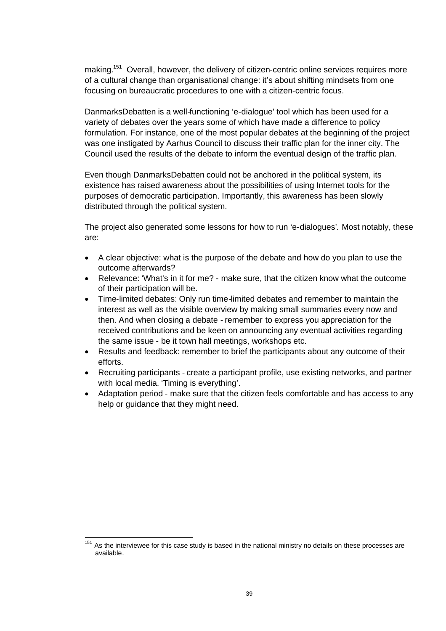making.<sup>151</sup> Overall, however, the delivery of citizen-centric online services requires more of a cultural change than organisational change: it's about shifting mindsets from one focusing on bureaucratic procedures to one with a citizen-centric focus.

DanmarksDebatten is a well-functioning 'e-dialogue' tool which has been used for a variety of debates over the years some of which have made a difference to policy formulation. For instance, one of the most popular debates at the beginning of the project was one instigated by Aarhus Council to discuss their traffic plan for the inner city. The Council used the results of the debate to inform the eventual design of the traffic plan.

Even though DanmarksDebatten could not be anchored in the political system, its existence has raised awareness about the possibilities of using Internet tools for the purposes of democratic participation. Importantly, this awareness has been slowly distributed through the political system.

The project also generated some lessons for how to run 'e-dialogues'. Most notably, these are:

- A clear objective: what is the purpose of the debate and how do you plan to use the outcome afterwards?
- Relevance: 'What's in it for me? make sure, that the citizen know what the outcome of their participation will be.
- Time-limited debates: Only run time-limited debates and remember to maintain the interest as well as the visible overview by making small summaries every now and then. And when closing a debate - remember to express you appreciation for the received contributions and be keen on announcing any eventual activities regarding the same issue - be it town hall meetings, workshops etc.
- Results and feedback: remember to brief the participants about any outcome of their efforts.
- Recruiting participants create a participant profile, use existing networks, and partner with local media. 'Timing is everything'.
- Adaptation period make sure that the citizen feels comfortable and has access to any help or guidance that they might need.

 $151$  As the interviewee for this case study is based in the national ministry no details on these processes are available.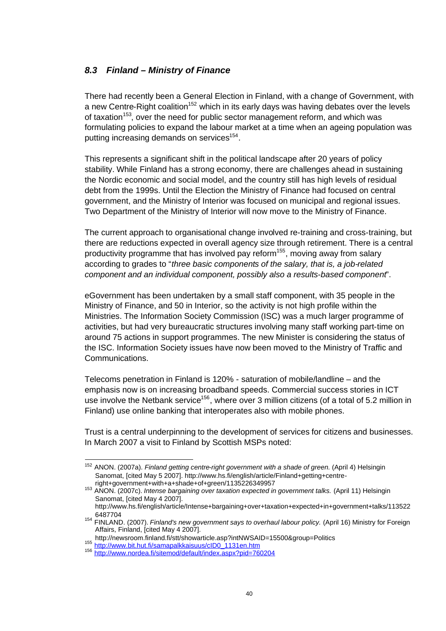## *8.3 Finland – Ministry of Finance*

There had recently been a General Election in Finland, with a change of Government, with a new Centre-Right coalition<sup>152</sup> which in its early days was having debates over the levels of taxation<sup>153</sup>, over the need for public sector management reform, and which was formulating policies to expand the labour market at a time when an ageing population was putting increasing demands on services<sup>154</sup>.

This represents a significant shift in the political landscape after 20 years of policy stability. While Finland has a strong economy, there are challenges ahead in sustaining the Nordic economic and social model, and the country still has high levels of residual debt from the 1999s. Until the Election the Ministry of Finance had focused on central government, and the Ministry of Interior was focused on municipal and regional issues. Two Department of the Ministry of Interior will now move to the Ministry of Finance.

The current approach to organisational change involved re-training and cross-training, but there are reductions expected in overall agency size through retirement. There is a central productivity programme that has involved pay reform<sup>155</sup>, moving away from salary according to grades to "*three basic components of the salary, that is, a job-related component and an individual component, possibly also a results-based component*".

eGovernment has been undertaken by a small staff component, with 35 people in the Ministry of Finance, and 50 in Interior, so the activity is not high profile within the Ministries. The Information Society Commission (ISC) was a much larger programme of activities, but had very bureaucratic structures involving many staff working part-time on around 75 actions in support programmes. The new Minister is considering the status of the ISC. Information Society issues have now been moved to the Ministry of Traffic and Communications.

Telecoms penetration in Finland is 120% - saturation of mobile/landline – and the emphasis now is on increasing broadband speeds. Commercial success stories in ICT use involve the Netbank service<sup>156</sup>, where over 3 million citizens (of a total of 5.2 million in Finland) use online banking that interoperates also with mobile phones.

Trust is a central underpinning to the development of services for citizens and businesses. In March 2007 a visit to Finland by Scottish MSPs noted:

<sup>152</sup> ANON. (2007a). *Finland getting centre-right government with a shade of green.* (April 4) Helsingin Sanomat, [cited May 5 2007]. http://www.hs.fi/english/article/Finland+getting+centreright+government+with+a+shade+of+green/1135226349957

<sup>153</sup> ANON. (2007c). *Intense bargaining over taxation expected in government talks.* (April 11) Helsingin Sanomat, [cited May 4 2007].

http://www.hs.fi/english/article/Intense+bargaining+over+taxation+expected+in+government+talks/113522 6487704 <sup>154</sup> FINLAND. (2007). *Finland's new government says to overhaul labour policy.* (April 16) Ministry for Foreign

Affairs, Finland, [cited May 4 2007].

http://newsroom.finland.fi/stt/showarticle.asp?intNWSAID=15500&group=Politics

http://www.bit.hut.fi/samapalkkaisuus/cID0\_1131en.htm

<sup>156</sup> http://www.nordea.fi/sitemod/default/index.aspx?pid=760204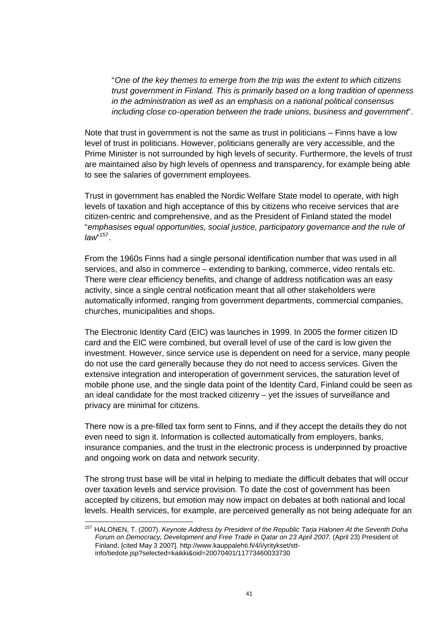"*One of the key themes to emerge from the trip was the extent to which citizens trust government in Finland. This is primarily based on a long tradition of openness in the administration as well as an emphasis on a national political consensus including close co-operation between the trade unions, business and government*".

Note that trust in government is not the same as trust in politicians – Finns have a low level of trust in politicians. However, politicians generally are very accessible, and the Prime Minister is not surrounded by high levels of security. Furthermore, the levels of trust are maintained also by high levels of openness and transparency, for example being able to see the salaries of government employees.

Trust in government has enabled the Nordic Welfare State model to operate, with high levels of taxation and high acceptance of this by citizens who receive services that are citizen-centric and comprehensive, and as the President of Finland stated the model "*emphasises equal opportunities, social justice, participatory governance and the rule of law*" 157 .

From the 1960s Finns had a single personal identification number that was used in all services, and also in commerce – extending to banking, commerce, video rentals etc. There were clear efficiency benefits, and change of address notification was an easy activity, since a single central notification meant that all other stakeholders were automatically informed, ranging from government departments, commercial companies, churches, municipalities and shops.

The Electronic Identity Card (EIC) was launches in 1999. In 2005 the former citizen ID card and the EIC were combined, but overall level of use of the card is low given the investment. However, since service use is dependent on need for a service, many people do not use the card generally because they do not need to access services. Given the extensive integration and interoperation of government services, the saturation level of mobile phone use, and the single data point of the Identity Card, Finland could be seen as an ideal candidate for the most tracked citizenry – yet the issues of surveillance and privacy are minimal for citizens.

There now is a pre-filled tax form sent to Finns, and if they accept the details they do not even need to sign it. Information is collected automatically from employers, banks, insurance companies, and the trust in the electronic process is underpinned by proactive and ongoing work on data and network security.

The strong trust base will be vital in helping to mediate the difficult debates that will occur over taxation levels and service provision. To date the cost of government has been accepted by citizens, but emotion may now impact on debates at both national and local levels. Health services, for example, are perceived generally as not being adequate for an

<sup>157</sup> HALONEN, T. (2007). *Keynote Address by President of the Republic Tarja Halonen At the Seventh Doha Forum on Democracy, Development and Free Trade in Qatar on 23 April 2007.* (April 23) President of Finland, [cited May 3 2007]. http://www.kauppalehti.fi/4/i/yritykset/sttinfo/tiedote.jsp?selected=kaikki&oid=20070401/11773460033730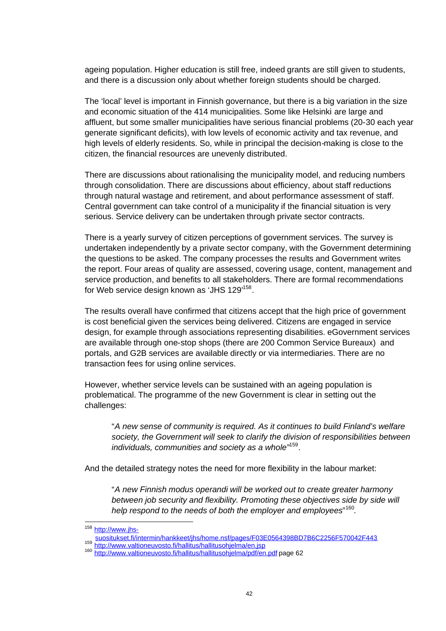ageing population. Higher education is still free, indeed grants are still given to students, and there is a discussion only about whether foreign students should be charged.

The 'local' level is important in Finnish governance, but there is a big variation in the size and economic situation of the 414 municipalities. Some like Helsinki are large and affluent, but some smaller municipalities have serious financial problems (20-30 each year generate significant deficits), with low levels of economic activity and tax revenue, and high levels of elderly residents. So, while in principal the decision-making is close to the citizen, the financial resources are unevenly distributed.

There are discussions about rationalising the municipality model, and reducing numbers through consolidation. There are discussions about efficiency, about staff reductions through natural wastage and retirement, and about performance assessment of staff. Central government can take control of a municipality if the financial situation is very serious. Service delivery can be undertaken through private sector contracts.

There is a yearly survey of citizen perceptions of government services. The survey is undertaken independently by a private sector company, with the Government determining the questions to be asked. The company processes the results and Government writes the report. Four areas of quality are assessed, covering usage, content, management and service production, and benefits to all stakeholders. There are formal recommendations for Web service design known as 'JHS 129'<sup>158</sup>.

The results overall have confirmed that citizens accept that the high price of government is cost beneficial given the services being delivered. Citizens are engaged in service design, for example through associations representing disabilities. eGovernment services are available through one-stop shops (there are 200 Common Service Bureaux) and portals, and G2B services are available directly or via intermediaries. There are no transaction fees for using online services.

However, whether service levels can be sustained with an ageing population is problematical. The programme of the new Government is clear in setting out the challenges:

"*A new sense of community is required. As it continues to build Finland's welfare society, the Government will seek to clarify the division of responsibilities between* individuals, communities and society as a whole"<sup>159</sup>.

And the detailed strategy notes the need for more flexibility in the labour market:

"*A new Finnish modus operandi will be worked out to create greater harmony between job security and flexibility. Promoting these objectives side by side will* help respond to the needs of both the employer and employees"<sup>160</sup>.

<sup>158</sup> http://www.jhs-

suositukset.fi/intermin/hankkeet/jhs/home.nsf/pages/F03E0564398BD7B6C2256F570042F443

http://www.valtioneuvosto.fi/hallitus/hallitusohjelma/en.jsp

<sup>160</sup> http://www.valtioneuvosto.fi/hallitus/hallitusohjelma/pdf/en.pdf page 62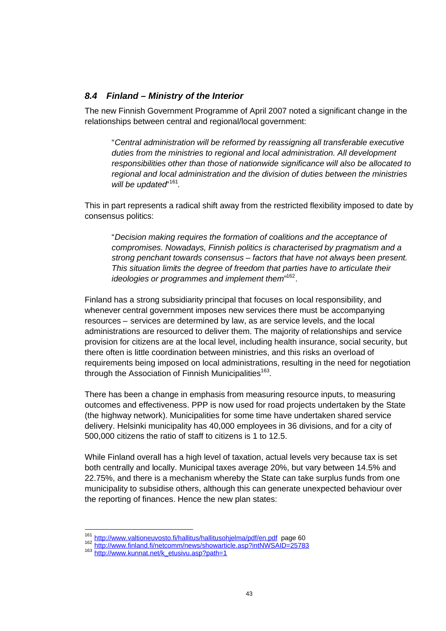#### *8.4 Finland – Ministry of the Interior*

The new Finnish Government Programme of April 2007 noted a significant change in the relationships between central and regional/local government:

"*Central administration will be reformed by reassigning all transferable executive duties from the ministries to regional and local administration. All development responsibilities other than those of nationwide significance will also be allocated to regional and local administration and the division of duties between the ministries* will be updated"<sup>161</sup>.

This in part represents a radical shift away from the restricted flexibility imposed to date by consensus politics:

"*Decision making requires the formation of coalitions and the acceptance of compromises. Nowadays, Finnish politics is characterised by pragmatism and a strong penchant towards consensus – factors that have not always been present. This situation limits the degree of freedom that parties have to articulate their* ideologies or programmes and implement them<sup>"162</sup>.

Finland has a strong subsidiarity principal that focuses on local responsibility, and whenever central government imposes new services there must be accompanying resources – services are determined by law, as are service levels, and the local administrations are resourced to deliver them. The majority of relationships and service provision for citizens are at the local level, including health insurance, social security, but there often is little coordination between ministries, and this risks an overload of requirements being imposed on local administrations, resulting in the need for negotiation through the Association of Finnish Municipalities<sup>163</sup>.

There has been a change in emphasis from measuring resource inputs, to measuring outcomes and effectiveness. PPP is now used for road projects undertaken by the State (the highway network). Municipalities for some time have undertaken shared service delivery. Helsinki municipality has 40,000 employees in 36 divisions, and for a city of 500,000 citizens the ratio of staff to citizens is 1 to 12.5.

While Finland overall has a high level of taxation, actual levels very because tax is set both centrally and locally. Municipal taxes average 20%, but vary between 14.5% and 22.75%, and there is a mechanism whereby the State can take surplus funds from one municipality to subsidise others, although this can generate unexpected behaviour over the reporting of finances. Hence the new plan states:

<sup>161</sup> http://www.valtioneuvosto.fi/hallitus/hallitusohjelma/pdf/en.pdf page 60

<sup>162</sup> http://www.finland.fi/netcomm/news/showarticle.asp?intNWSAID=25783

<sup>163</sup> http://www.kunnat.net/k\_etusivu.asp?path=1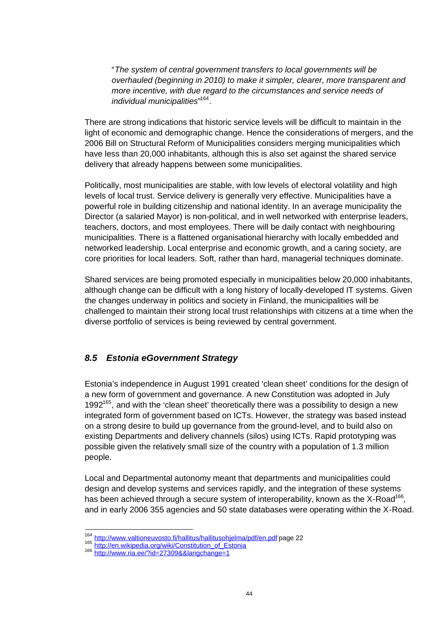"*The system of central government transfers to local governments will be overhauled (beginning in 2010) to make it simpler, clearer, more transparent and more incentive, with due regard to the circumstances and service needs of individual municipalities*" 164 .

There are strong indications that historic service levels will be difficult to maintain in the light of economic and demographic change. Hence the considerations of mergers, and the 2006 Bill on Structural Reform of Municipalities considers merging municipalities which have less than 20,000 inhabitants, although this is also set against the shared service delivery that already happens between some municipalities.

Politically, most municipalities are stable, with low levels of electoral volatility and high levels of local trust. Service delivery is generally very effective. Municipalities have a powerful role in building citizenship and national identity. In an average municipality the Director (a salaried Mayor) is non-political, and in well networked with enterprise leaders, teachers, doctors, and most employees. There will be daily contact with neighbouring municipalities. There is a flattened organisational hierarchy with locally embedded and networked leadership. Local enterprise and economic growth, and a caring society, are core priorities for local leaders. Soft, rather than hard, managerial techniques dominate.

Shared services are being promoted especially in municipalities below 20,000 inhabitants, although change can be difficult with a long history of locally-developed IT systems. Given the changes underway in politics and society in Finland, the municipalities will be challenged to maintain their strong local trust relationships with citizens at a time when the diverse portfolio of services is being reviewed by central government.

# *8.5 Estonia eGovernment Strategy*

Estonia's independence in August 1991 created 'clean sheet' conditions for the design of a new form of government and governance. A new Constitution was adopted in July 1992 $165$ , and with the 'clean sheet' theoretically there was a possibility to design a new integrated form of government based on ICTs. However, the strategy was based instead on a strong desire to build up governance from the ground-level, and to build also on existing Departments and delivery channels (silos) using ICTs. Rapid prototyping was possible given the relatively small size of the country with a population of 1.3 million people.

Local and Departmental autonomy meant that departments and municipalities could design and develop systems and services rapidly, and the integration of these systems has been achieved through a secure system of interoperability, known as the X-Road<sup>166</sup>, and in early 2006 355 agencies and 50 state databases were operating within the X-Road.

<sup>164</sup> http://www.valtioneuvosto.fi/hallitus/hallitusohjelma/pdf/en.pdf page 22

<sup>165</sup> http://en.wikipedia.org/wiki/Constitution\_of\_Estonia

<sup>166</sup> http://www.ria.ee/?id=27309&&langchange=1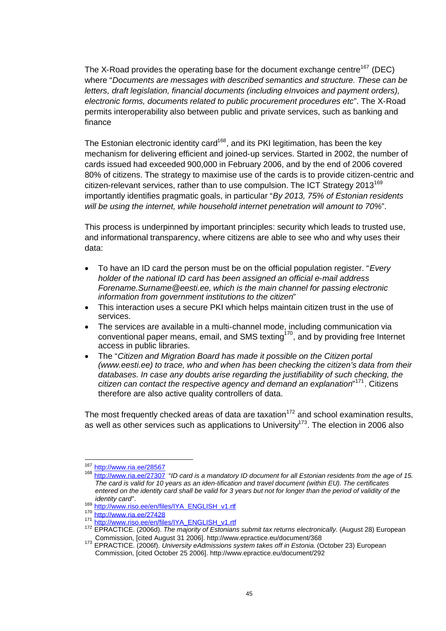The X-Road provides the operating base for the document exchange centre<sup>167</sup> (DEC) where "*Documents are messages with described semantics and structure. These can be letters, draft legislation, financial documents (including eInvoices and payment orders), electronic forms, documents related to public procurement procedures etc*". The X-Road permits interoperability also between public and private services, such as banking and finance

The Estonian electronic identity card<sup>168</sup>, and its PKI legitimation, has been the key mechanism for delivering efficient and joined-up services. Started in 2002, the number of cards issued had exceeded 900,000 in February 2006, and by the end of 2006 covered 80% of citizens. The strategy to maximise use of the cards is to provide citizen-centric and citizen-relevant services, rather than to use compulsion. The ICT Strategy 2013<sup>169</sup> importantly identifies pragmatic goals, in particular "*By 2013, 75% of Estonian residents will be using the internet, while household internet penetration will amount to 70%*".

This process is underpinned by important principles: security which leads to trusted use, and informational transparency, where citizens are able to see who and why uses their data:

- To have an ID card the person must be on the official population register. "*Every holder of the national ID card has been assigned an official e-mail address Forename.Surname@eesti.ee, which is the main channel for passing electronic information from government institutions to the citizen*"
- This interaction uses a secure PKI which helps maintain citizen trust in the use of services.
- The services are available in a multi-channel mode, including communication via conventional paper means, email, and SMS texting<sup>170</sup>, and by providing free Internet access in public libraries.
- The "*Citizen and Migration Board has made it possible on the Citizen portal (www.eesti.ee) to trace, who and when has been checking the citizen's data from their databases. In case any doubts arise regarding the justifiability of such checking, the citizen can contact the respective agency and demand an explanation*" <sup>171</sup>. Citizens therefore are also active quality controllers of data.

The most frequently checked areas of data are taxation<sup>172</sup> and school examination results, as well as other services such as applications to University<sup>173</sup>. The election in 2006 also

<sup>167</sup> http://www.ria.ee/28567

<sup>168</sup> http://www.ria.ee/27307 "*ID card is a mandatory ID document for all Estonian residents from the age of 15. The card is valid for 10 years as an iden-tification and travel document (within EU). The certificates entered on the identity card shall be valid for 3 years but not for longer than the period of validity of the identity card*".

<sup>169</sup> http://www.riso.ee/en/files/IYA\_ENGLISH\_v1.rtf

<sup>170</sup> http://www.ria.ee/27428

http://www.riso.ee/en/files/IYA\_ENGLISH\_v1.rtf

<sup>172</sup> EPRACTICE. (2006d). *The majority of Estonians submit tax returns electronically.* (August 28) European

Commission, [cited August 31 2006]. http://www.epractice.eu/document/368 <sup>173</sup> EPRACTICE. (2006f). *University eAdmissions system takes off in Estonia.* (October 23) European Commission, [cited October 25 2006]. http://www.epractice.eu/document/292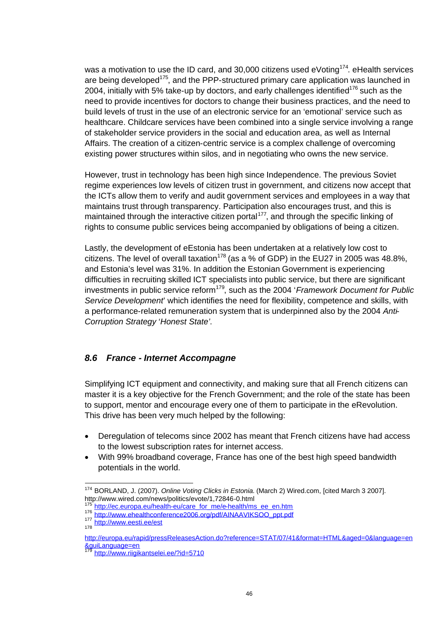was a motivation to use the ID card, and 30,000 citizens used eVoting<sup>174</sup>. eHealth services are being developed<sup>175</sup>, and the PPP-structured primary care application was launched in 2004, initially with 5% take-up by doctors, and early challenges identified<sup>176</sup> such as the need to provide incentives for doctors to change their business practices, and the need to build levels of trust in the use of an electronic service for an 'emotional' service such as healthcare. Childcare services have been combined into a single service involving a range of stakeholder service providers in the social and education area, as well as Internal Affairs. The creation of a citizen-centric service is a complex challenge of overcoming existing power structures within silos, and in negotiating who owns the new service.

However, trust in technology has been high since Independence. The previous Soviet regime experiences low levels of citizen trust in government, and citizens now accept that the ICTs allow them to verify and audit government services and employees in a way that maintains trust through transparency. Participation also encourages trust, and this is maintained through the interactive citizen portal<sup>177</sup>, and through the specific linking of rights to consume public services being accompanied by obligations of being a citizen.

Lastly, the development of eEstonia has been undertaken at a relatively low cost to citizens. The level of overall taxation<sup>178</sup> (as a % of GDP) in the EU27 in 2005 was 48.8%. and Estonia's level was 31%. In addition the Estonian Government is experiencing difficulties in recruiting skilled ICT specialists into public service, but there are significant investments in public service reform<sup>179</sup>, such as the 2004 '*Framework Document for Public Service Development*' which identifies the need for flexibility, competence and skills, with a performance-related remuneration system that is underpinned also by the 2004 *Anti-Corruption Strategy 'Honest State'*.

### *8.6 France - Internet Accompagne*

Simplifying ICT equipment and connectivity, and making sure that all French citizens can master it is a key objective for the French Government; and the role of the state has been to support, mentor and encourage every one of them to participate in the eRevolution. This drive has been very much helped by the following:

- Deregulation of telecoms since 2002 has meant that French citizens have had access to the lowest subscription rates for internet access.
- With 99% broadband coverage, France has one of the best high speed bandwidth potentials in the world.

<sup>174</sup> BORLAND, J. (2007). *Online Voting Clicks in Estonia.* (March 2) Wired.com, [cited March 3 2007]. http://www.wired.com/news/politics/evote/1,72846-0.html

http://ec.europa.eu/health-eu/care\_for\_me/e-health/ms\_ee\_en.htm

<sup>176&</sup>lt;br>http://www.ehealthconference2006.org/pdf/AINAAVIKSOO\_ppt.pdf

http://www.eesti.ee/est 178

http://europa.eu/rapid/pressReleasesAction.do?reference=STAT/07/41&format=HTML&aged=0&language=en **&guiLanguage=en**<br><sup>179</sup> btt=://

http://www.riigikantselei.ee/?id=5710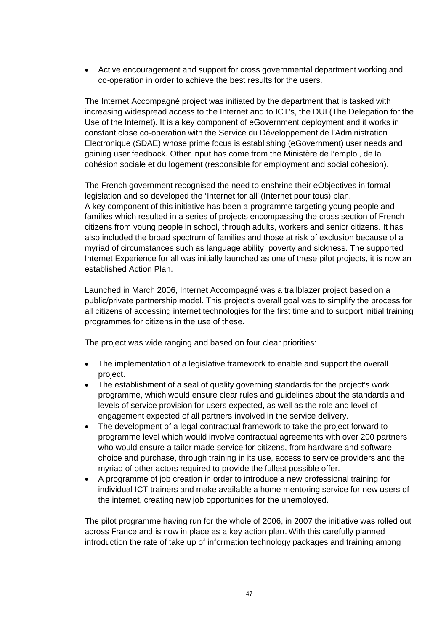Active encouragement and support for cross governmental department working and co-operation in order to achieve the best results for the users.

The Internet Accompagné project was initiated by the department that is tasked with increasing widespread access to the Internet and to ICT's, the DUI (The Delegation for the Use of the Internet). It is a key component of eGovernment deployment and it works in constant close co-operation with the Service du Développement de l'Administration Electronique (SDAE) whose prime focus is establishing (eGovernment) user needs and gaining user feedback. Other input has come from the Ministère de l'emploi, de la cohésion sociale et du logement (responsible for employment and social cohesion).

The French government recognised the need to enshrine their eObjectives in formal legislation and so developed the 'Internet for all' (Internet pour tous) plan. A key component of this initiative has been a programme targeting young people and families which resulted in a series of projects encompassing the cross section of French citizens from young people in school, through adults, workers and senior citizens. It has also included the broad spectrum of families and those at risk of exclusion because of a myriad of circumstances such as language ability, poverty and sickness. The supported Internet Experience for all was initially launched as one of these pilot projects, it is now an established Action Plan.

Launched in March 2006, Internet Accompagné was a trailblazer project based on a public/private partnership model. This project's overall goal was to simplify the process for all citizens of accessing internet technologies for the first time and to support initial training programmes for citizens in the use of these.

The project was wide ranging and based on four clear priorities:

- The implementation of a legislative framework to enable and support the overall project.
- The establishment of a seal of quality governing standards for the project's work programme, which would ensure clear rules and guidelines about the standards and levels of service provision for users expected, as well as the role and level of engagement expected of all partners involved in the service delivery.
- The development of a legal contractual framework to take the project forward to programme level which would involve contractual agreements with over 200 partners who would ensure a tailor made service for citizens, from hardware and software choice and purchase, through training in its use, access to service providers and the myriad of other actors required to provide the fullest possible offer.
- A programme of job creation in order to introduce a new professional training for individual ICT trainers and make available a home mentoring service for new users of the internet, creating new job opportunities for the unemployed.

The pilot programme having run for the whole of 2006, in 2007 the initiative was rolled out across France and is now in place as a key action plan. With this carefully planned introduction the rate of take up of information technology packages and training among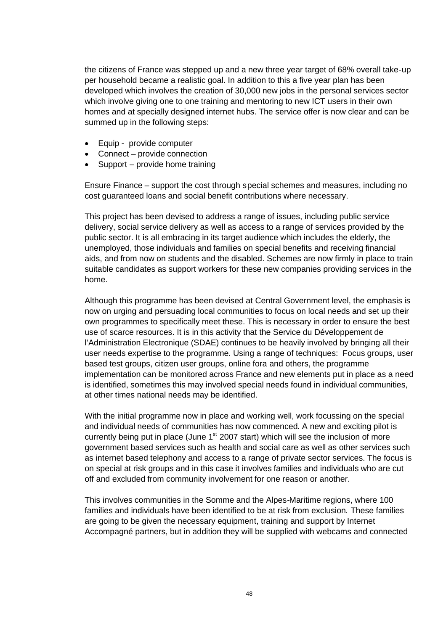the citizens of France was stepped up and a new three year target of 68% overall take-up per household became a realistic goal. In addition to this a five year plan has been developed which involves the creation of 30,000 new jobs in the personal services sector which involve giving one to one training and mentoring to new ICT users in their own homes and at specially designed internet hubs. The service offer is now clear and can be summed up in the following steps:

- Equip provide computer
- Connect provide connection
- Support provide home training

Ensure Finance – support the cost through special schemes and measures, including no cost guaranteed loans and social benefit contributions where necessary.

This project has been devised to address a range of issues, including public service delivery, social service delivery as well as access to a range of services provided by the public sector. It is all embracing in its target audience which includes the elderly, the unemployed, those individuals and families on special benefits and receiving financial aids, and from now on students and the disabled. Schemes are now firmly in place to train suitable candidates as support workers for these new companies providing services in the home.

Although this programme has been devised at Central Government level, the emphasis is now on urging and persuading local communities to focus on local needs and set up their own programmes to specifically meet these. This is necessary in order to ensure the best use of scarce resources. It is in this activity that the Service du Développement de l'Administration Electronique (SDAE) continues to be heavily involved by bringing all their user needs expertise to the programme. Using a range of techniques: Focus groups, user based test groups, citizen user groups, online fora and others, the programme implementation can be monitored across France and new elements put in place as a need is identified, sometimes this may involved special needs found in individual communities, at other times national needs may be identified.

With the initial programme now in place and working well, work focussing on the special and individual needs of communities has now commenced. A new and exciting pilot is currently being put in place (June  $1<sup>st</sup>$  2007 start) which will see the inclusion of more government based services such as health and social care as well as other services such as internet based telephony and access to a range of private sector services. The focus is on special at risk groups and in this case it involves families and individuals who are cut off and excluded from community involvement for one reason or another.

This involves communities in the Somme and the Alpes-Maritime regions, where 100 families and individuals have been identified to be at risk from exclusion. These families are going to be given the necessary equipment, training and support by Internet Accompagné partners, but in addition they will be supplied with webcams and connected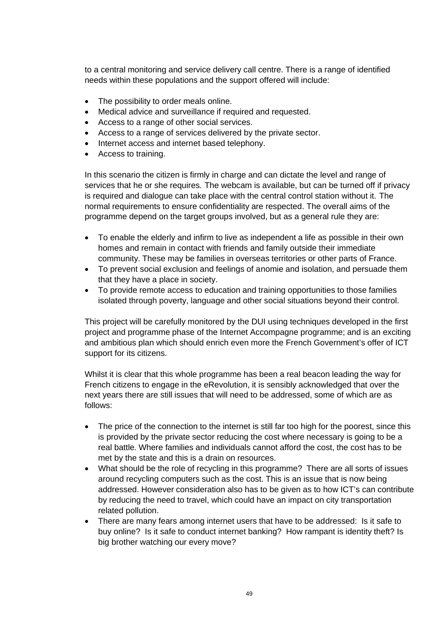to a central monitoring and service delivery call centre. There is a range of identified needs within these populations and the support offered will include:

- The possibility to order meals online.
- Medical advice and surveillance if required and requested.
- Access to a range of other social services.
- Access to a range of services delivered by the private sector.
- Internet access and internet based telephony.
- Access to training.

In this scenario the citizen is firmly in charge and can dictate the level and range of services that he or she requires. The webcam is available, but can be turned off if privacy is required and dialogue can take place with the central control station without it. The normal requirements to ensure confidentiality are respected. The overall aims of the programme depend on the target groups involved, but as a general rule they are:

- To enable the elderly and infirm to live as independent a life as possible in their own homes and remain in contact with friends and family outside their immediate community. These may be families in overseas territories or other parts of France.
- To prevent social exclusion and feelings of anomie and isolation, and persuade them that they have a place in society.
- To provide remote access to education and training opportunities to those families isolated through poverty, language and other social situations beyond their control.

This project will be carefully monitored by the DUI using techniques developed in the first project and programme phase of the Internet Accompagne programme; and is an exciting and ambitious plan which should enrich even more the French Government's offer of ICT support for its citizens.

Whilst it is clear that this whole programme has been a real beacon leading the way for French citizens to engage in the eRevolution, it is sensibly acknowledged that over the next years there are still issues that will need to be addressed, some of which are as follows:

- The price of the connection to the internet is still far too high for the poorest, since this is provided by the private sector reducing the cost where necessary is going to be a real battle. Where families and individuals cannot afford the cost, the cost has to be met by the state and this is a drain on resources.
- What should be the role of recycling in this programme? There are all sorts of issues around recycling computers such as the cost. This is an issue that is now being addressed. However consideration also has to be given as to how ICT's can contribute by reducing the need to travel, which could have an impact on city transportation related pollution.
- There are many fears among internet users that have to be addressed: Is it safe to buy online? Is it safe to conduct internet banking? How rampant is identity theft? Is big brother watching our every move?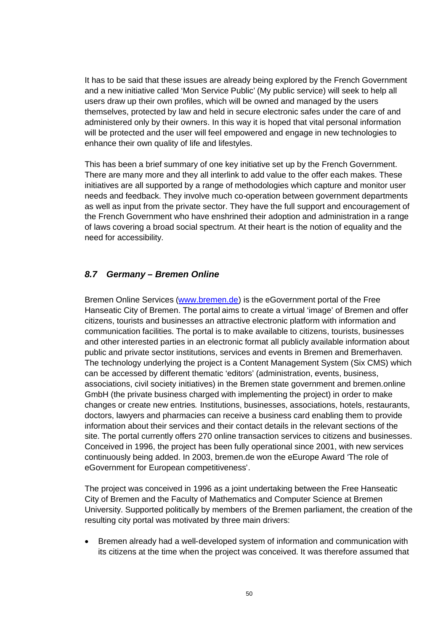It has to be said that these issues are already being explored by the French Government and a new initiative called 'Mon Service Public' (My public service) will seek to help all users draw up their own profiles, which will be owned and managed by the users themselves, protected by law and held in secure electronic safes under the care of and administered only by their owners. In this way it is hoped that vital personal information will be protected and the user will feel empowered and engage in new technologies to enhance their own quality of life and lifestyles.

This has been a brief summary of one key initiative set up by the French Government. There are many more and they all interlink to add value to the offer each makes. These initiatives are all supported by a range of methodologies which capture and monitor user needs and feedback. They involve much co-operation between government departments as well as input from the private sector. They have the full support and encouragement of the French Government who have enshrined their adoption and administration in a range of laws covering a broad social spectrum. At their heart is the notion of equality and the need for accessibility.

# *8.7 Germany – Bremen Online*

Bremen Online Services (www.bremen.de) is the eGovernment portal of the Free Hanseatic City of Bremen. The portal aims to create a virtual 'image' of Bremen and offer citizens, tourists and businesses an attractive electronic platform with information and communication facilities. The portal is to make available to citizens, tourists, businesses and other interested parties in an electronic format all publicly available information about public and private sector institutions, services and events in Bremen and Bremerhaven. The technology underlying the project is a Content Management System (Six CMS) which can be accessed by different thematic 'editors' (administration, events, business, associations, civil society initiatives) in the Bremen state government and bremen.online GmbH (the private business charged with implementing the project) in order to make changes or create new entries. Institutions, businesses, associations, hotels, restaurants, doctors, lawyers and pharmacies can receive a business card enabling them to provide information about their services and their contact details in the relevant sections of the site. The portal currently offers 270 online transaction services to citizens and businesses. Conceived in 1996, the project has been fully operational since 2001, with new services continuously being added. In 2003, bremen.de won the eEurope Award 'The role of eGovernment for European competitiveness'.

The project was conceived in 1996 as a joint undertaking between the Free Hanseatic City of Bremen and the Faculty of Mathematics and Computer Science at Bremen University. Supported politically by members of the Bremen parliament, the creation of the resulting city portal was motivated by three main drivers:

 Bremen already had a well-developed system of information and communication with its citizens at the time when the project was conceived. It was therefore assumed that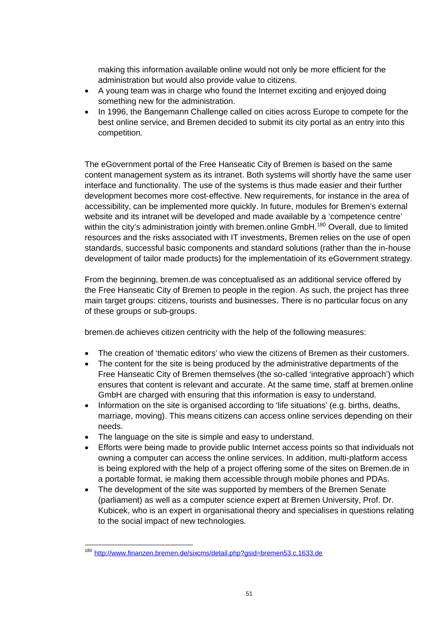making this information available online would not only be more efficient for the administration but would also provide value to citizens.

- A young team was in charge who found the Internet exciting and enjoyed doing something new for the administration.
- In 1996, the Bangemann Challenge called on cities across Europe to compete for the best online service, and Bremen decided to submit its city portal as an entry into this competition.

The eGovernment portal of the Free Hanseatic City of Bremen is based on the same content management system as its intranet. Both systems will shortly have the same user interface and functionality. The use of the systems is thus made easier and their further development becomes more cost-effective. New requirements, for instance in the area of accessibility, can be implemented more quickly. In future, modules for Bremen's external website and its intranet will be developed and made available by a 'competence centre' within the city's administration jointly with bremen.online GmbH.<sup>180</sup> Overall. due to limited resources and the risks associated with IT investments, Bremen relies on the use of open standards, successful basic components and standard solutions (rather than the in-house development of tailor made products) for the implementatioin of its eGovernment strategy.

From the beginning, bremen.de was conceptualised as an additional service offered by the Free Hanseatic City of Bremen to people in the region. As such, the project has three main target groups: citizens, tourists and businesses. There is no particular focus on any of these groups or sub-groups.

bremen.de achieves citizen centricity with the help of the following measures:

- The creation of 'thematic editors' who view the citizens of Bremen as their customers.
- The content for the site is being produced by the administrative departments of the Free Hanseatic City of Bremen themselves (the so-called 'integrative approach') which ensures that content is relevant and accurate. At the same time, staff at bremen.online GmbH are charged with ensuring that this information is easy to understand.
- Information on the site is organised according to 'life situations' (e.g. births, deaths, marriage, moving). This means citizens can access online services depending on their needs.
- The language on the site is simple and easy to understand.
- Efforts were being made to provide public Internet access points so that individuals not owning a computer can access the online services. In addition, multi-platform access is being explored with the help of a project offering some of the sites on Bremen.de in a portable format, ie making them accessible through mobile phones and PDAs.
- The development of the site was supported by members of the Bremen Senate (parliament) as well as a computer science expert at Bremen University, Prof. Dr. Kubicek, who is an expert in organisational theory and specialises in questions relating to the social impact of new technologies.

<sup>180</sup> http://www.finanzen.bremen.de/sixcms/detail.php?gsid=bremen53.c.1633.de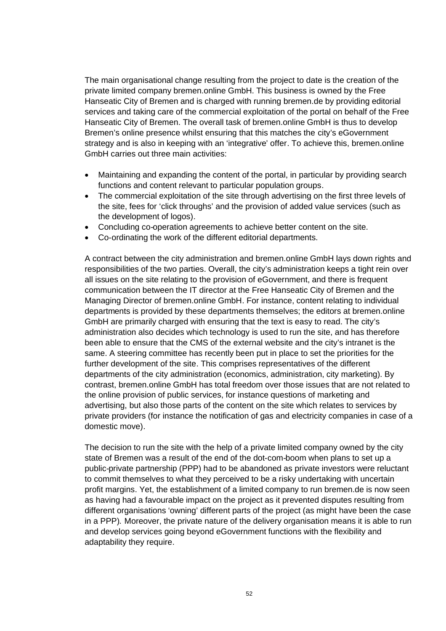The main organisational change resulting from the project to date is the creation of the private limited company bremen.online GmbH. This business is owned by the Free Hanseatic City of Bremen and is charged with running bremen.de by providing editorial services and taking care of the commercial exploitation of the portal on behalf of the Free Hanseatic City of Bremen. The overall task of bremen.online GmbH is thus to develop Bremen's online presence whilst ensuring that this matches the city's eGovernment strategy and is also in keeping with an 'integrative' offer. To achieve this, bremen.online GmbH carries out three main activities:

- Maintaining and expanding the content of the portal, in particular by providing search functions and content relevant to particular population groups.
- The commercial exploitation of the site through advertising on the first three levels of the site, fees for 'click throughs' and the provision of added value services (such as the development of logos).
- Concluding co-operation agreements to achieve better content on the site.
- Co-ordinating the work of the different editorial departments.

A contract between the city administration and bremen.online GmbH lays down rights and responsibilities of the two parties. Overall, the city's administration keeps a tight rein over all issues on the site relating to the provision of eGovernment, and there is frequent communication between the IT director at the Free Hanseatic City of Bremen and the Managing Director of bremen.online GmbH. For instance, content relating to individual departments is provided by these departments themselves; the editors at bremen.online GmbH are primarily charged with ensuring that the text is easy to read. The city's administration also decides which technology is used to run the site, and has therefore been able to ensure that the CMS of the external website and the city's intranet is the same. A steering committee has recently been put in place to set the priorities for the further development of the site. This comprises representatives of the different departments of the city administration (economics, administration, city marketing). By contrast, bremen.online GmbH has total freedom over those issues that are not related to the online provision of public services, for instance questions of marketing and advertising, but also those parts of the content on the site which relates to services by private providers (for instance the notification of gas and electricity companies in case of a domestic move).

The decision to run the site with the help of a private limited company owned by the city state of Bremen was a result of the end of the dot-com-boom when plans to set up a public-private partnership (PPP) had to be abandoned as private investors were reluctant to commit themselves to what they perceived to be a risky undertaking with uncertain profit margins. Yet, the establishment of a limited company to run bremen.de is now seen as having had a favourable impact on the project as it prevented disputes resulting from different organisations 'owning' different parts of the project (as might have been the case in a PPP). Moreover, the private nature of the delivery organisation means it is able to run and develop services going beyond eGovernment functions with the flexibility and adaptability they require.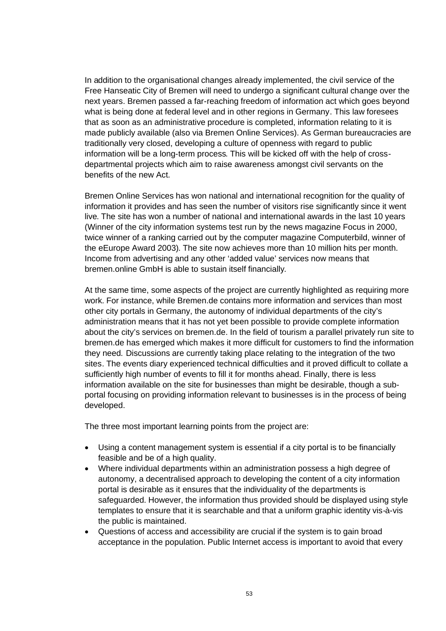In addition to the organisational changes already implemented, the civil service of the Free Hanseatic City of Bremen will need to undergo a significant cultural change over the next years. Bremen passed a far-reaching freedom of information act which goes beyond what is being done at federal level and in other regions in Germany. This law foresees that as soon as an administrative procedure is completed, information relating to it is made publicly available (also via Bremen Online Services). As German bureaucracies are traditionally very closed, developing a culture of openness with regard to public information will be a long-term process. This will be kicked off with the help of crossdepartmental projects which aim to raise awareness amongst civil servants on the benefits of the new Act.

Bremen Online Services has won national and international recognition for the quality of information it provides and has seen the number of visitors rise significantly since it went live. The site has won a number of national and international awards in the last 10 years (Winner of the city information systems test run by the news magazine Focus in 2000, twice winner of a ranking carried out by the computer magazine Computerbild, winner of the eEurope Award 2003). The site now achieves more than 10 million hits per month. Income from advertising and any other 'added value' services now means that bremen.online GmbH is able to sustain itself financially.

At the same time, some aspects of the project are currently highlighted as requiring more work. For instance, while Bremen.de contains more information and services than most other city portals in Germany, the autonomy of individual departments of the city's administration means that it has not yet been possible to provide complete information about the city's services on bremen.de. In the field of tourism a parallel privately run site to bremen.de has emerged which makes it more difficult for customers to find the information they need. Discussions are currently taking place relating to the integration of the two sites. The events diary experienced technical difficulties and it proved difficult to collate a sufficiently high number of events to fill it for months ahead. Finally, there is less information available on the site for businesses than might be desirable, though a subportal focusing on providing information relevant to businesses is in the process of being developed.

The three most important learning points from the project are:

- Using a content management system is essential if a city portal is to be financially feasible and be of a high quality.
- Where individual departments within an administration possess a high degree of autonomy, a decentralised approach to developing the content of a city information portal is desirable as it ensures that the individuality of the departments is safeguarded. However, the information thus provided should be displayed using style templates to ensure that it is searchable and that a uniform graphic identity vis-à-vis the public is maintained.
- Questions of access and accessibility are crucial if the system is to gain broad acceptance in the population. Public Internet access is important to avoid that every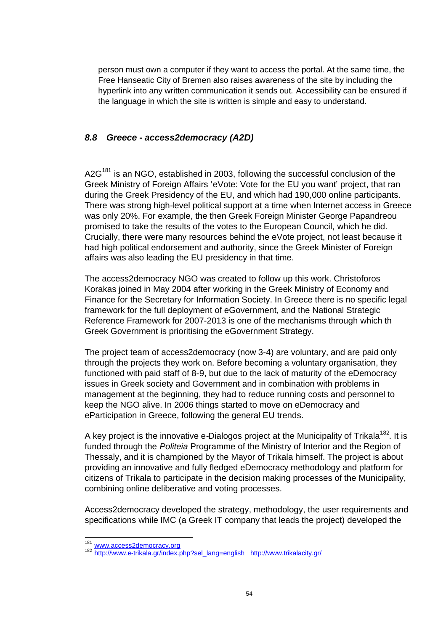person must own a computer if they want to access the portal. At the same time, the Free Hanseatic City of Bremen also raises awareness of the site by including the hyperlink into any written communication it sends out. Accessibility can be ensured if the language in which the site is written is simple and easy to understand.

### *8.8 Greece - access2democracy (A2D)*

A2G<sup>181</sup> is an NGO, established in 2003, following the successful conclusion of the Greek Ministry of Foreign Affairs 'eVote: Vote for the EU you want' project, that ran during the Greek Presidency of the EU, and which had 190,000 online participants. There was strong high-level political support at a time when Internet access in Greece was only 20%. For example, the then Greek Foreign Minister George Papandreou promised to take the results of the votes to the European Council, which he did. Crucially, there were many resources behind the eVote project, not least because it had high political endorsement and authority, since the Greek Minister of Foreign affairs was also leading the EU presidency in that time.

The access2democracy NGO was created to follow up this work. Christoforos Korakas joined in May 2004 after working in the Greek Ministry of Economy and Finance for the Secretary for Information Society. In Greece there is no specific legal framework for the full deployment of eGovernment, and the National Strategic Reference Framework for 2007-2013 is one of the mechanisms through which th Greek Government is prioritising the eGovernment Strategy.

The project team of access2democracy (now 3-4) are voluntary, and are paid only through the projects they work on. Before becoming a voluntary organisation, they functioned with paid staff of 8-9, but due to the lack of maturity of the eDemocracy issues in Greek society and Government and in combination with problems in management at the beginning, they had to reduce running costs and personnel to keep the NGO alive. In 2006 things started to move on eDemocracy and eParticipation in Greece, following the general EU trends.

A key project is the innovative e-Dialogos project at the Municipality of Trikala<sup>182</sup>. It is funded through the *Politeia* Programme of the Ministry of Interior and the Region of Thessaly, and it is championed by the Mayor of Trikala himself. The project is about providing an innovative and fully fledged eDemocracy methodology and platform for citizens of Trikala to participate in the decision making processes of the Municipality, combining online deliberative and voting processes.

Access2democracy developed the strategy, methodology, the user requirements and specifications while IMC (a Greek IT company that leads the project) developed the

<sup>181</sup> www.access2democracy.org

<sup>182</sup> http://www.e-trikala.gr/index.php?sel\_lang=english http://www.trikalacity.gr/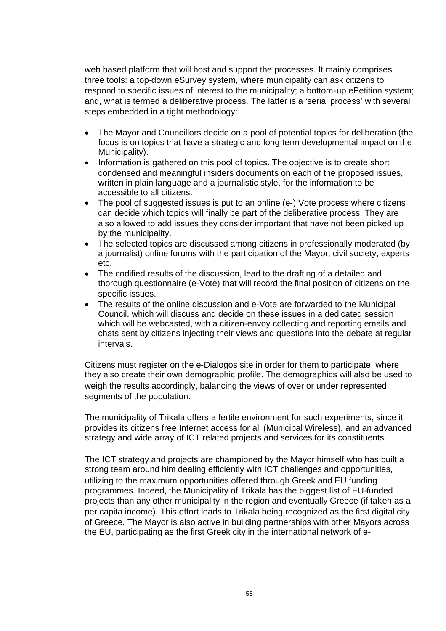web based platform that will host and support the processes. It mainly comprises three tools: a top-down eSurvey system, where municipality can ask citizens to respond to specific issues of interest to the municipality; a bottom-up ePetition system; and, what is termed a deliberative process. The latter is a 'serial process' with several steps embedded in a tight methodology:

- The Mayor and Councillors decide on a pool of potential topics for deliberation (the focus is on topics that have a strategic and long term developmental impact on the Municipality).
- Information is gathered on this pool of topics. The objective is to create short condensed and meaningful insiders documents on each of the proposed issues, written in plain language and a journalistic style, for the information to be accessible to all citizens.
- The pool of suggested issues is put to an online (e-) Vote process where citizens can decide which topics will finally be part of the deliberative process. They are also allowed to add issues they consider important that have not been picked up by the municipality.
- The selected topics are discussed among citizens in professionally moderated (by a journalist) online forums with the participation of the Mayor, civil society, experts etc.
- The codified results of the discussion, lead to the drafting of a detailed and thorough questionnaire (e-Vote) that will record the final position of citizens on the specific issues.
- The results of the online discussion and e-Vote are forwarded to the Municipal Council, which will discuss and decide on these issues in a dedicated session which will be webcasted, with a citizen-envoy collecting and reporting emails and chats sent by citizens injecting their views and questions into the debate at regular intervals.

Citizens must register on the e-Dialogos site in order for them to participate, where they also create their own demographic profile. The demographics will also be used to weigh the results accordingly, balancing the views of over or under represented segments of the population.

The municipality of Trikala offers a fertile environment for such experiments, since it provides its citizens free Internet access for all (Municipal Wireless), and an advanced strategy and wide array of ICT related projects and services for its constituents.

The ICT strategy and projects are championed by the Mayor himself who has built a strong team around him dealing efficiently with ICT challenges and opportunities, utilizing to the maximum opportunities offered through Greek and EU funding programmes. Indeed, the Municipality of Trikala has the biggest list of EU-funded projects than any other municipality in the region and eventually Greece (if taken as a per capita income). This effort leads to Trikala being recognized as the first digital city of Greece. The Mayor is also active in building partnerships with other Mayors across the EU, participating as the first Greek city in the international network of e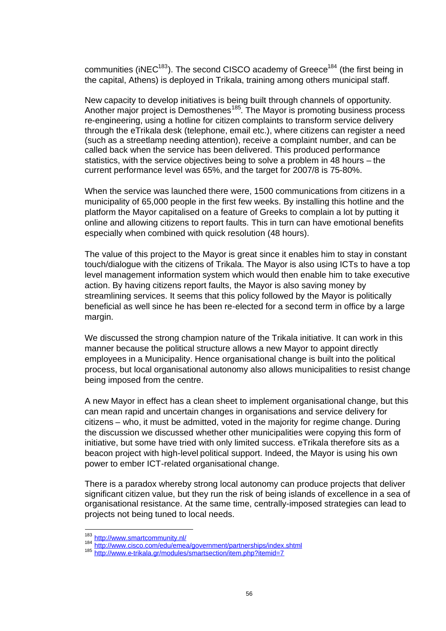communities (iNEC $<sup>183</sup>$ ). The second CISCO academy of Greece<sup>184</sup> (the first being in</sup> the capital, Athens) is deployed in Trikala, training among others municipal staff.

New capacity to develop initiatives is being built through channels of opportunity. Another major project is Demosthenes<sup>185</sup>. The Mayor is promoting business process re-engineering, using a hotline for citizen complaints to transform service delivery through the eTrikala desk (telephone, email etc.), where citizens can register a need (such as a streetlamp needing attention), receive a complaint number, and can be called back when the service has been delivered. This produced performance statistics, with the service objectives being to solve a problem in 48 hours – the current performance level was 65%, and the target for 2007/8 is 75-80%.

When the service was launched there were, 1500 communications from citizens in a municipality of 65,000 people in the first few weeks. By installing this hotline and the platform the Mayor capitalised on a feature of Greeks to complain a lot by putting it online and allowing citizens to report faults. This in turn can have emotional benefits especially when combined with quick resolution (48 hours).

The value of this project to the Mayor is great since it enables him to stay in constant touch/dialogue with the citizens of Trikala. The Mayor is also using ICTs to have a top level management information system which would then enable him to take executive action. By having citizens report faults, the Mayor is also saving money by streamlining services. It seems that this policy followed by the Mayor is politically beneficial as well since he has been re-elected for a second term in office by a large margin.

We discussed the strong champion nature of the Trikala initiative. It can work in this manner because the political structure allows a new Mayor to appoint directly employees in a Municipality. Hence organisational change is built into the political process, but local organisational autonomy also allows municipalities to resist change being imposed from the centre.

A new Mayor in effect has a clean sheet to implement organisational change, but this can mean rapid and uncertain changes in organisations and service delivery for citizens – who, it must be admitted, voted in the majority for regime change. During the discussion we discussed whether other municipalities were copying this form of initiative, but some have tried with only limited success. eTrikala therefore sits as a beacon project with high-level political support. Indeed, the Mayor is using his own power to ember ICT-related organisational change.

There is a paradox whereby strong local autonomy can produce projects that deliver significant citizen value, but they run the risk of being islands of excellence in a sea of organisational resistance. At the same time, centrally-imposed strategies can lead to projects not being tuned to local needs.

<sup>183&</sup>lt;br>184 http://www.smartcommunity.nl/

<sup>184</sup> http://www.cisco.com/edu/emea/government/partnerships/index.shtml

<sup>185</sup> http://www.e-trikala.gr/modules/smartsection/item.php?itemid=7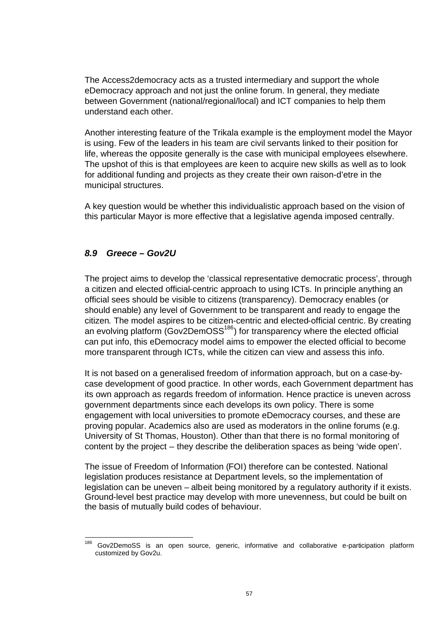The Access2democracy acts as a trusted intermediary and support the whole eDemocracy approach and not just the online forum. In general, they mediate between Government (national/regional/local) and ICT companies to help them understand each other.

Another interesting feature of the Trikala example is the employment model the Mayor is using. Few of the leaders in his team are civil servants linked to their position for life, whereas the opposite generally is the case with municipal employees elsewhere. The upshot of this is that employees are keen to acquire new skills as well as to look for additional funding and projects as they create their own raison-d'etre in the municipal structures.

A key question would be whether this individualistic approach based on the vision of this particular Mayor is more effective that a legislative agenda imposed centrally.

## *8.9 Greece – Gov2U*

The project aims to develop the 'classical representative democratic process', through a citizen and elected official-centric approach to using ICTs. In principle anything an official sees should be visible to citizens (transparency). Democracy enables (or should enable) any level of Government to be transparent and ready to engage the citizen. The model aspires to be citizen-centric and elected-official centric. By creating an evolving platform  $(Gov2DemOSS<sup>186</sup>)$  for transparency where the elected official can put info, this eDemocracy model aims to empower the elected official to become more transparent through ICTs, while the citizen can view and assess this info.

It is not based on a generalised freedom of information approach, but on a case-bycase development of good practice. In other words, each Government department has its own approach as regards freedom of information. Hence practice is uneven across government departments since each develops its own policy. There is some engagement with local universities to promote eDemocracy courses, and these are proving popular. Academics also are used as moderators in the online forums (e.g. University of St Thomas, Houston). Other than that there is no formal monitoring of content by the project – they describe the deliberation spaces as being 'wide open'.

The issue of Freedom of Information (FOI) therefore can be contested. National legislation produces resistance at Department levels, so the implementation of legislation can be uneven – albeit being monitored by a regulatory authority if it exists. Ground-level best practice may develop with more unevenness, but could be built on the basis of mutually build codes of behaviour.

<sup>&</sup>lt;sup>186</sup> Gov2DemoSS is an open source, generic, informative and collaborative e-participation platform customized by Gov2u.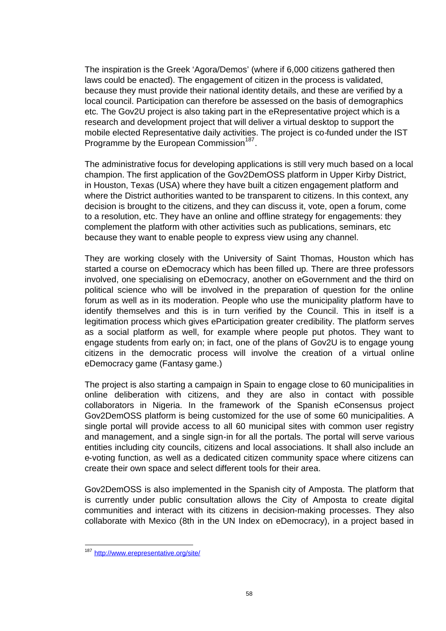The inspiration is the Greek 'Agora/Demos' (where if 6,000 citizens gathered then laws could be enacted). The engagement of citizen in the process is validated, because they must provide their national identity details, and these are verified by a local council. Participation can therefore be assessed on the basis of demographics etc. The Gov2U project is also taking part in the eRepresentative project which is a research and development project that will deliver a virtual desktop to support the mobile elected Representative daily activities. The project is co-funded under the IST Programme by the European Commission<sup>187</sup>.

The administrative focus for developing applications is still very much based on a local champion. The first application of the Gov2DemOSS platform in Upper Kirby District, in Houston, Texas (USA) where they have built a citizen engagement platform and where the District authorities wanted to be transparent to citizens. In this context, any decision is brought to the citizens, and they can discuss it, vote, open a forum, come to a resolution, etc. They have an online and offline strategy for engagements: they complement the platform with other activities such as publications, seminars, etc because they want to enable people to express view using any channel.

They are working closely with the University of Saint Thomas, Houston which has started a course on eDemocracy which has been filled up. There are three professors involved, one specialising on eDemocracy, another on eGovernment and the third on political science who will be involved in the preparation of question for the online forum as well as in its moderation. People who use the municipality platform have to identify themselves and this is in turn verified by the Council. This in itself is a legitimation process which gives eParticipation greater credibility. The platform serves as a social platform as well, for example where people put photos. They want to engage students from early on; in fact, one of the plans of Gov2U is to engage young citizens in the democratic process will involve the creation of a virtual online eDemocracy game (Fantasy game.)

The project is also starting a campaign in Spain to engage close to 60 municipalities in online deliberation with citizens, and they are also in contact with possible collaborators in Nigeria. In the framework of the Spanish eConsensus project Gov2DemOSS platform is being customized for the use of some 60 municipalities. A single portal will provide access to all 60 municipal sites with common user registry and management, and a single sign-in for all the portals. The portal will serve various entities including city councils, citizens and local associations. It shall also include an e-voting function, as well as a dedicated citizen community space where citizens can create their own space and select different tools for their area.

Gov2DemOSS is also implemented in the Spanish city of Amposta. The platform that is currently under public consultation allows the City of Amposta to create digital communities and interact with its citizens in decision-making processes. They also collaborate with Mexico (8th in the UN Index on eDemocracy), in a project based in

<sup>187</sup> http://www.erepresentative.org/site/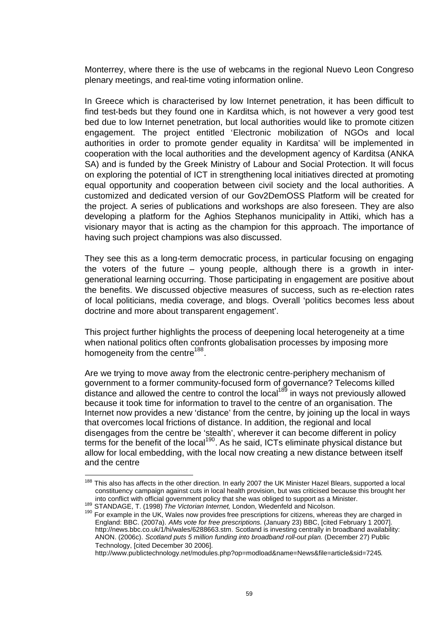Monterrey, where there is the use of webcams in the regional Nuevo Leon Congreso plenary meetings, and real-time voting information online.

In Greece which is characterised by low Internet penetration, it has been difficult to find test-beds but they found one in Karditsa which, is not however a very good test bed due to low Internet penetration, but local authorities would like to promote citizen engagement. The project entitled 'Electronic mobilization of NGOs and local authorities in order to promote gender equality in Karditsa' will be implemented in cooperation with the local authorities and the development agency of Karditsa (ANKA SA) and is funded by the Greek Ministry of Labour and Social Protection. It will focus on exploring the potential of ICT in strengthening local initiatives directed at promoting equal opportunity and cooperation between civil society and the local authorities. A customized and dedicated version of our Gov2DemOSS Platform will be created for the project. A series of publications and workshops are also foreseen. They are also developing a platform for the Aghios Stephanos municipality in Attiki, which has a visionary mayor that is acting as the champion for this approach. The importance of having such project champions was also discussed.

They see this as a long-term democratic process, in particular focusing on engaging the voters of the future – young people, although there is a growth in intergenerational learning occurring. Those participating in engagement are positive about the benefits. We discussed objective measures of success, such as re-election rates of local politicians, media coverage, and blogs. Overall 'politics becomes less about doctrine and more about transparent engagement'.

This project further highlights the process of deepening local heterogeneity at a time when national politics often confronts globalisation processes by imposing more homogeneity from the centre<sup>188</sup>.

Are we trying to move away from the electronic centre-periphery mechanism of government to a former community-focused form of governance? Telecoms killed distance and allowed the centre to control the local<sup>189</sup> in ways not previously allowed because it took time for information to travel to the centre of an organisation. The Internet now provides a new 'distance' from the centre, by joining up the local in ways that overcomes local frictions of distance. In addition, the regional and local disengages from the centre be 'stealth', wherever it can become different in policy terms for the benefit of the local<sup>190</sup>. As he said, ICTs eliminate physical distance but allow for local embedding, with the local now creating a new distance between itself and the centre

<sup>&</sup>lt;sup>188</sup> This also has affects in the other direction. In early 2007 the UK Minister Hazel Blears, supported a local constituency campaign against cuts in local health provision, but was criticised because this brought her into conflict with official government policy that she was obliged to support as a Minister.

<sup>189</sup> STANDAGE, T. (1998) *The Victorian Internet,* London, Wiedenfeld and Nicolson.

<sup>&</sup>lt;sup>190</sup> For example in the UK, Wales now provides free prescriptions for citizens, whereas they are charged in England: BBC. (2007a). *AMs vote for free prescriptions.* (January 23) BBC, [cited February 1 2007]. http://news.bbc.co.uk/1/hi/wales/6288663.stm. Scotland is investing centrally in broadband availability: ANON. (2006c). *Scotland puts 5 million funding into broadband roll-out plan.* (December 27) Public Technology, [cited December 30 2006].

http://www.publictechnology.net/modules.php?op=modload&name=News&file=article&sid=7245.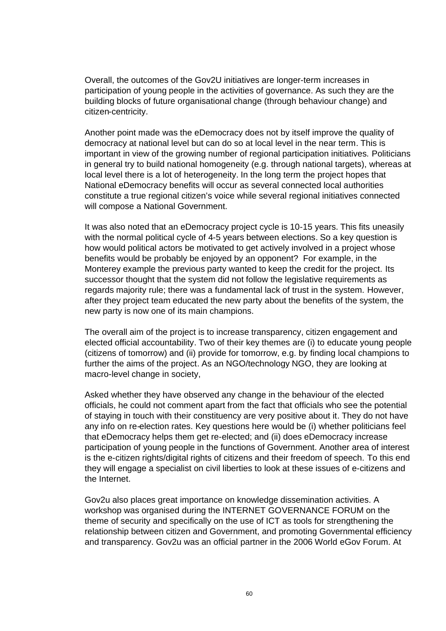Overall, the outcomes of the Gov2U initiatives are longer-term increases in participation of young people in the activities of governance. As such they are the building blocks of future organisational change (through behaviour change) and citizen-centricity.

Another point made was the eDemocracy does not by itself improve the quality of democracy at national level but can do so at local level in the near term. This is important in view of the growing number of regional participation initiatives. Politicians in general try to build national homogeneity (e.g. through national targets), whereas at local level there is a lot of heterogeneity. In the long term the project hopes that National eDemocracy benefits will occur as several connected local authorities constitute a true regional citizen's voice while several regional initiatives connected will compose a National Government.

It was also noted that an eDemocracy project cycle is 10-15 years. This fits uneasily with the normal political cycle of 4-5 years between elections. So a key question is how would political actors be motivated to get actively involved in a project whose benefits would be probably be enjoyed by an opponent? For example, in the Monterey example the previous party wanted to keep the credit for the project. Its successor thought that the system did not follow the legislative requirements as regards majority rule; there was a fundamental lack of trust in the system. However, after they project team educated the new party about the benefits of the system, the new party is now one of its main champions.

The overall aim of the project is to increase transparency, citizen engagement and elected official accountability. Two of their key themes are (i) to educate young people (citizens of tomorrow) and (ii) provide for tomorrow, e.g. by finding local champions to further the aims of the project. As an NGO/technology NGO, they are looking at macro-level change in society,

Asked whether they have observed any change in the behaviour of the elected officials, he could not comment apart from the fact that officials who see the potential of staying in touch with their constituency are very positive about it. They do not have any info on re-election rates. Key questions here would be (i) whether politicians feel that eDemocracy helps them get re-elected; and (ii) does eDemocracy increase participation of young people in the functions of Government. Another area of interest is the e-citizen rights/digital rights of citizens and their freedom of speech. To this end they will engage a specialist on civil liberties to look at these issues of e-citizens and the Internet.

Gov2u also places great importance on knowledge dissemination activities. A workshop was organised during the INTERNET GOVERNANCE FORUM on the theme of security and specifically on the use of ICT as tools for strengthening the relationship between citizen and Government, and promoting Governmental efficiency and transparency. Gov2u was an official partner in the 2006 World eGov Forum. At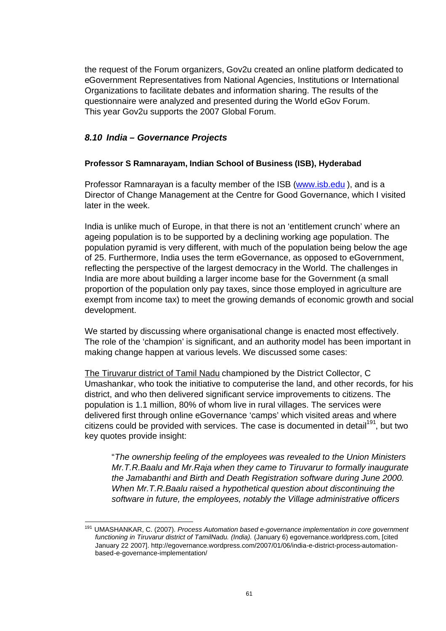the request of the Forum organizers, Gov2u created an online platform dedicated to eGovernment Representatives from National Agencies, Institutions or International Organizations to facilitate debates and information sharing. The results of the questionnaire were analyzed and presented during the World eGov Forum. This year Gov2u supports the 2007 Global Forum.

### *8.10 India – Governance Projects*

#### **Professor S Ramnarayam, Indian School of Business (ISB), Hyderabad**

Professor Ramnarayan is a faculty member of the ISB (www.isb.edu), and is a Director of Change Management at the Centre for Good Governance, which I visited later in the week.

India is unlike much of Europe, in that there is not an 'entitlement crunch' where an ageing population is to be supported by a declining working age population. The population pyramid is very different, with much of the population being below the age of 25. Furthermore, India uses the term eGovernance, as opposed to eGovernment, reflecting the perspective of the largest democracy in the World. The challenges in India are more about building a larger income base for the Government (a small proportion of the population only pay taxes, since those employed in agriculture are exempt from income tax) to meet the growing demands of economic growth and social development.

We started by discussing where organisational change is enacted most effectively. The role of the 'champion' is significant, and an authority model has been important in making change happen at various levels. We discussed some cases:

The Tiruvarur district of Tamil Nadu championed by the District Collector, C Umashankar, who took the initiative to computerise the land, and other records, for his district, and who then delivered significant service improvements to citizens. The population is 1.1 million, 80% of whom live in rural villages. The services were delivered first through online eGovernance 'camps' which visited areas and where citizens could be provided with services. The case is documented in detail<sup>191</sup>, but two key quotes provide insight:

"*The ownership feeling of the employees was revealed to the Union Ministers Mr.T.R.Baalu and Mr.Raja when they came to Tiruvarur to formally inaugurate the Jamabanthi and Birth and Death Registration software during June 2000. When Mr.T.R.Baalu raised a hypothetical question about discontinuing the software in future, the employees, notably the Village administrative officers*

<sup>191</sup> UMASHANKAR, C. (2007). *Process Automation based e-governance implementation in core government functioning in Tiruvarur district of TamilNadu. (India).* (January 6) egovernance.worldpress.com, [cited January 22 2007]. http://egovernance.wordpress.com/2007/01/06/india-e-district-process-automationbased-e-governance-implementation/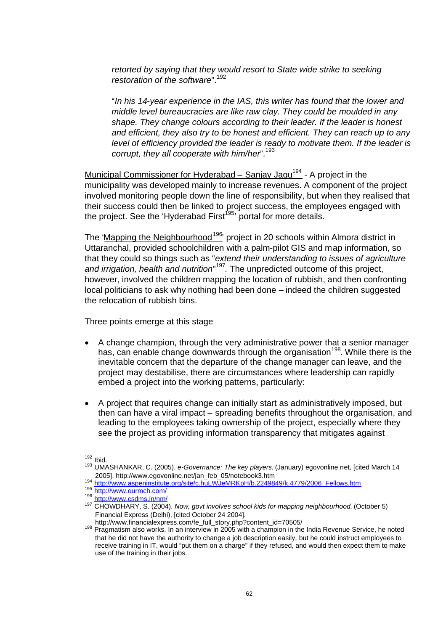*retorted by saying that they would resort to State wide strike to seeking restoration of the software*".<sup>192</sup>

"*In his 14-year experience in the IAS, this writer has found that the lower and middle level bureaucracies are like raw clay. They could be moulded in any shape. They change colours according to their leader. If the leader is honest and efficient, they also try to be honest and efficient. They can reach up to any level of efficiency provided the leader is ready to motivate them. If the leader is corrupt, they all cooperate with him/her*".<sup>193</sup>

Municipal Commissioner for Hyderabad – Sanjay Jagu<sup>194</sup> - A project in the municipality was developed mainly to increase revenues. A component of the project involved monitoring people down the line of responsibility, but when they realised that their success could then be linked to project success, the employees engaged with the project. See the 'Hyderabad First<sup>195</sup>' portal for more details.

The 'Mapping the Neighbourhood<sup>196</sup>' project in 20 schools within Almora district in Uttaranchal, provided schoolchildren with a palm-pilot GIS and map information, so that they could so things such as "*extend their understanding to issues of agriculture* and irrigation, health and nutrition<sup>"197</sup>. The unpredicted outcome of this project, however, involved the children mapping the location of rubbish, and then confronting local politicians to ask why nothing had been done – indeed the children suggested the relocation of rubbish bins.

Three points emerge at this stage

- A change champion, through the very administrative power that a senior manager has, can enable change downwards through the organisation<sup>198</sup>. While there is the inevitable concern that the departure of the change manager can leave, and the project may destabilise, there are circumstances where leadership can rapidly embed a project into the working patterns, particularly:
- A project that requires change can initially start as administratively imposed, but then can have a viral impact – spreading benefits throughout the organisation, and leading to the employees taking ownership of the project, especially where they see the project as providing information transparency that mitigates against

 $\overline{192}$  Ibid.

<sup>193</sup> UMASHANKAR, C. (2005). *e-Governance: The key players.* (January) egovonline.net, [cited March 14 2005]. http://www.egovonline.net/jan\_feb\_05/notebook3.htm

<sup>194</sup> http://www.aspeninstitute.org/site/c.huLWJeMRKpH/b.2249849/k.4779/2006\_Fellows.htm

<sup>195</sup> http://www.communic.com/

<sup>196</sup> http://www.csdms.in/nm/

<sup>197</sup> CHOWDHARY, S. (2004). *Now, govt involves school kids for mapping neighbourhood.* (October 5) Financial Express (Delhi), [cited October 24 2004].

http://www.financialexpress.com/fe\_full\_story.php?content\_id=70505/

<sup>198</sup> Pragmatism also works. In an interview in 2005 with a champion in the India Revenue Service, he noted that he did not have the authority to change a job description easily, but he could instruct employees to receive training in IT, would "put them on a charge" if they refused, and would then expect them to make use of the training in their jobs.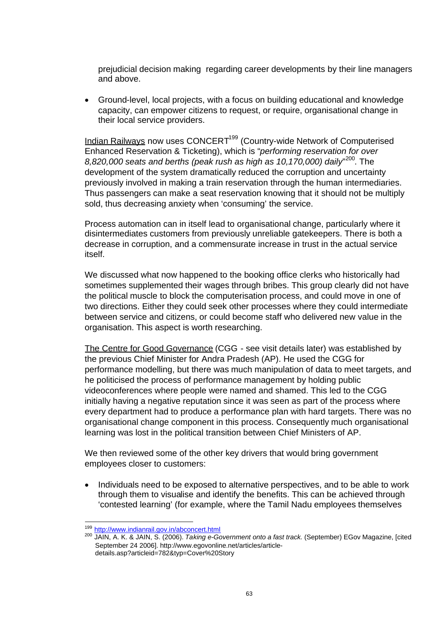prejudicial decision making regarding career developments by their line managers and above.

 Ground-level, local projects, with a focus on building educational and knowledge capacity, can empower citizens to request, or require, organisational change in their local service providers.

Indian Railways now uses CONCERT<sup>199</sup> (Country-wide Network of Computerised Enhanced Reservation & Ticketing), which is "*performing reservation for over 8,820,000 seats and berths (peak rush as high as 10,170,000) daily*" <sup>200</sup>. The development of the system dramatically reduced the corruption and uncertainty previously involved in making a train reservation through the human intermediaries. Thus passengers can make a seat reservation knowing that it should not be multiply sold, thus decreasing anxiety when 'consuming' the service.

Process automation can in itself lead to organisational change, particularly where it disintermediates customers from previously unreliable gatekeepers. There is both a decrease in corruption, and a commensurate increase in trust in the actual service itself.

We discussed what now happened to the booking office clerks who historically had sometimes supplemented their wages through bribes. This group clearly did not have the political muscle to block the computerisation process, and could move in one of two directions. Either they could seek other processes where they could intermediate between service and citizens, or could become staff who delivered new value in the organisation. This aspect is worth researching.

The Centre for Good Governance (CGG - see visit details later) was established by the previous Chief Minister for Andra Pradesh (AP). He used the CGG for performance modelling, but there was much manipulation of data to meet targets, and he politicised the process of performance management by holding public videoconferences where people were named and shamed. This led to the CGG initially having a negative reputation since it was seen as part of the process where every department had to produce a performance plan with hard targets. There was no organisational change component in this process. Consequently much organisational learning was lost in the political transition between Chief Ministers of AP.

We then reviewed some of the other key drivers that would bring government employees closer to customers:

• Individuals need to be exposed to alternative perspectives, and to be able to work through them to visualise and identify the benefits. This can be achieved through 'contested learning' (for example, where the Tamil Nadu employees themselves

<sup>199</sup> http://www.indianrail.gov.in/abconcert.html

<sup>200</sup> JAIN, A. K. & JAIN, S. (2006). *Taking e-Government onto a fast track.* (September) EGov Magazine, [cited September 24 2006]. http://www.egovonline.net/articles/articledetails.asp?articleid=782&typ=Cover%20Story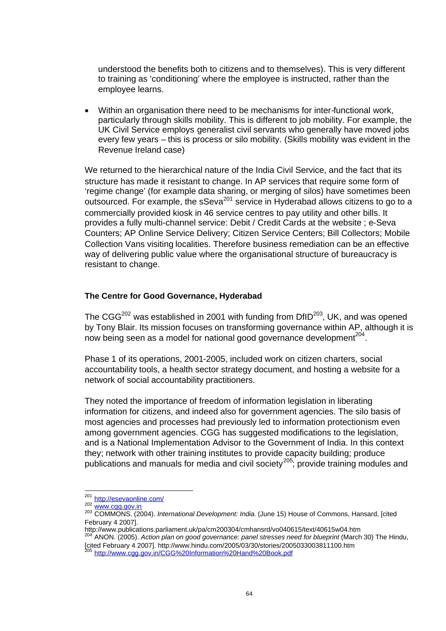understood the benefits both to citizens and to themselves). This is very different to training as 'conditioning' where the employee is instructed, rather than the employee learns.

 Within an organisation there need to be mechanisms for inter-functional work, particularly through skills mobility. This is different to job mobility. For example, the UK Civil Service employs generalist civil servants who generally have moved jobs every few years – this is process or silo mobility. (Skills mobility was evident in the Revenue Ireland case)

We returned to the hierarchical nature of the India Civil Service, and the fact that its structure has made it resistant to change. In AP services that require some form of 'regime change' (for example data sharing, or merging of silos) have sometimes been outsourced. For example, the sSeva<sup>201</sup> service in Hyderabad allows citizens to go to a commercially provided kiosk in 46 service centres to pay utility and other bills. It provides a fully multi-channel service: Debit / Credit Cards at the website ; e-Seva Counters; AP Online Service Delivery; Citizen Service Centers; Bill Collectors; Mobile Collection Vans visiting localities. Therefore business remediation can be an effective way of delivering public value where the organisational structure of bureaucracy is resistant to change.

#### **The Centre for Good Governance, Hyderabad**

The CGG $^{202}$  was established in 2001 with funding from DfID $^{203}$ , UK, and was opened by Tony Blair. Its mission focuses on transforming governance within AP, although it is now being seen as a model for national good governance development<sup>204</sup>.

Phase 1 of its operations, 2001-2005, included work on citizen charters, social accountability tools, a health sector strategy document, and hosting a website for a network of social accountability practitioners.

They noted the importance of freedom of information legislation in liberating information for citizens, and indeed also for government agencies. The silo basis of most agencies and processes had previously led to information protectionism even among government agencies. CGG has suggested modifications to the legislation, and is a National Implementation Advisor to the Government of India. In this context they; network with other training institutes to provide capacity building; produce publications and manuals for media and civil society<sup>205</sup>; provide training modules and

<sup>&</sup>lt;sup>201</sup> http://esevaonline.com/

<sup>202</sup> WWW.cgg.gov.in

<sup>203</sup> COMMONS. (2004). *International Development: India.* (June 15) House of Commons, Hansard, [cited February 4 2007].

http://www.publications.parliament.uk/pa/cm200304/cmhansrd/vo040615/text/40615w04.htm <sup>204</sup> ANON. (2005). *Action plan on good governance: panel stresses need for blueprint* (March 30) The Hindu, [cited February 4 2007]. http://www.hindu.com/2005/03/30/stories/2005033003811100.htm

<sup>205</sup> http://www.cgg.gov.in/CGG%20Information%20Hand%20Book.pdf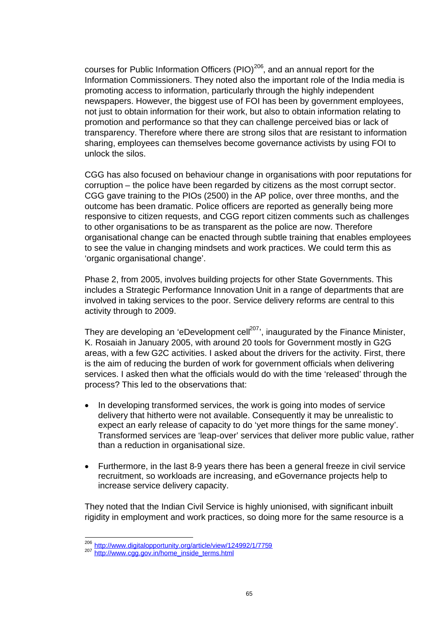courses for Public Information Officers  $(PIO)^{206}$ , and an annual report for the Information Commissioners. They noted also the important role of the India media is promoting access to information, particularly through the highly independent newspapers. However, the biggest use of FOI has been by government employees, not just to obtain information for their work, but also to obtain information relating to promotion and performance so that they can challenge perceived bias or lack of transparency. Therefore where there are strong silos that are resistant to information sharing, employees can themselves become governance activists by using FOI to unlock the silos.

CGG has also focused on behaviour change in organisations with poor reputations for corruption – the police have been regarded by citizens as the most corrupt sector. CGG gave training to the PIOs (2500) in the AP police, over three months, and the outcome has been dramatic. Police officers are reported as generally being more responsive to citizen requests, and CGG report citizen comments such as challenges to other organisations to be as transparent as the police are now. Therefore organisational change can be enacted through subtle training that enables employees to see the value in changing mindsets and work practices. We could term this as 'organic organisational change'.

Phase 2, from 2005, involves building projects for other State Governments. This includes a Strategic Performance Innovation Unit in a range of departments that are involved in taking services to the poor. Service delivery reforms are central to this activity through to 2009.

They are developing an 'eDevelopment cell $^{207}$ , inaugurated by the Finance Minister, K. Rosaiah in January 2005, with around 20 tools for Government mostly in G2G areas, with a few G2C activities. I asked about the drivers for the activity. First, there is the aim of reducing the burden of work for government officials when delivering services. I asked then what the officials would do with the time 'released' through the process? This led to the observations that:

- In developing transformed services, the work is going into modes of service delivery that hitherto were not available. Consequently it may be unrealistic to expect an early release of capacity to do 'yet more things for the same money'. Transformed services are 'leap-over' services that deliver more public value, rather than a reduction in organisational size.
- Furthermore, in the last 8-9 years there has been a general freeze in civil service recruitment, so workloads are increasing, and eGovernance projects help to increase service delivery capacity.

They noted that the Indian Civil Service is highly unionised, with significant inbuilt rigidity in employment and work practices, so doing more for the same resource is a

<sup>&</sup>lt;sup>206</sup> http://www.digitalopportunity.org/article/view/124992/1/7759

<sup>&</sup>lt;sup>207</sup> http://www.cgg.gov.in/home\_inside\_terms.html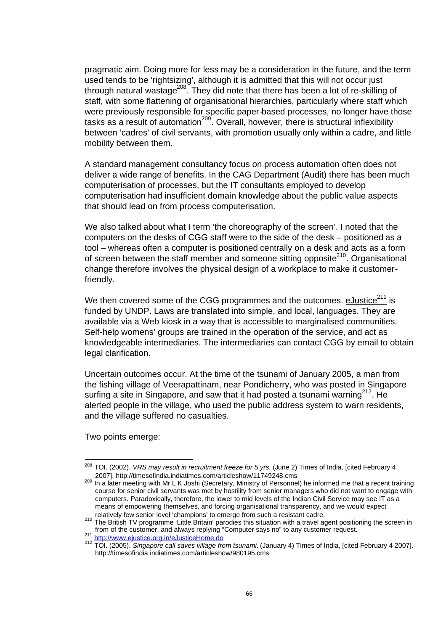pragmatic aim. Doing more for less may be a consideration in the future, and the term used tends to be 'rightsizing', although it is admitted that this will not occur just through natural wastage<sup>208</sup>. They did note that there has been a lot of re-skilling of staff, with some flattening of organisational hierarchies, particularly where staff which were previously responsible for specific paper-based processes, no longer have those tasks as a result of automation<sup>209</sup>. Overall, however, there is structural inflexibility between 'cadres' of civil servants, with promotion usually only within a cadre, and little mobility between them.

A standard management consultancy focus on process automation often does not deliver a wide range of benefits. In the CAG Department (Audit) there has been much computerisation of processes, but the IT consultants employed to develop computerisation had insufficient domain knowledge about the public value aspects that should lead on from process computerisation.

We also talked about what I term 'the choreography of the screen'. I noted that the computers on the desks of CGG staff were to the side of the desk – positioned as a tool – whereas often a computer is positioned centrally on a desk and acts as a form of screen between the staff member and someone sitting opposite $^{210}$ . Organisational change therefore involves the physical design of a workplace to make it customerfriendly.

We then covered some of the CGG programmes and the outcomes. eJustice<sup>211</sup> is funded by UNDP. Laws are translated into simple, and local, languages. They are available via a Web kiosk in a way that is accessible to marginalised communities. Self-help womens' groups are trained in the operation of the service, and act as knowledgeable intermediaries. The intermediaries can contact CGG by email to obtain legal clarification.

Uncertain outcomes occur. At the time of the tsunami of January 2005, a man from the fishing village of Veerapattinam, near Pondicherry, who was posted in Singapore surfing a site in Singapore, and saw that it had posted a tsunami warning<sup>212</sup>. He alerted people in the village, who used the public address system to warn residents, and the village suffered no casualties.

Two points emerge:

<sup>208</sup> TOI. (2002). *VRS may result in recruitment freeze for 5 yrs.* (June 2) Times of India, [cited February 4 2007]. http://timesofindia.indiatimes.com/articleshow/11749248.cms

<sup>209</sup> In a later meeting with Mr L K Joshi (Secretary, Ministry of Personnel) he informed me that a recent training course for senior civil servants was met by hostility from senior managers who did not want to engage with computers. Paradoxically, therefore, the lower to mid levels of the Indian Civil Service may see IT as a means of empowering themselves, and forcing organisational transparency, and we would expect

<sup>&</sup>lt;sup>210</sup> relatively few senior level 'champions' to emerge from such a resistant cadre.<br><sup>210</sup> The British TV programme 'Little Britain' parodies this situation with a travel agent positioning the screen in from of the customer, and always replying "Computer says no" to any customer request.

<sup>&</sup>lt;sup>211</sup> http://www.ejustice.org.in/eJusticeHome.do

<sup>212</sup> TOI. (2005). *Singapore call saves village from tsunami.* (January 4) Times of India, [cited February 4 2007]. http://timesofindia.indiatimes.com/articleshow/980195.cms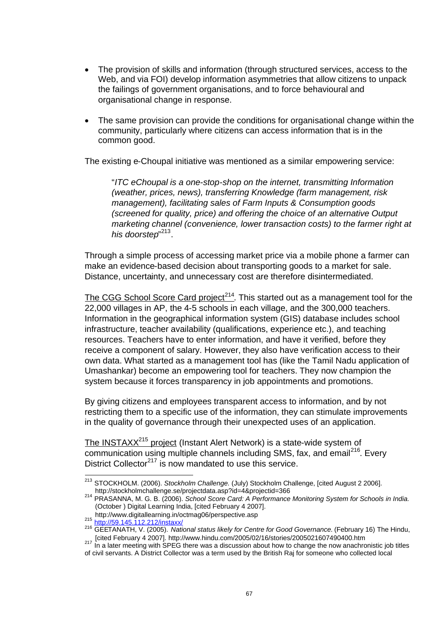- The provision of skills and information (through structured services, access to the Web, and via FOI) develop information asymmetries that allow citizens to unpack the failings of government organisations, and to force behavioural and organisational change in response.
- The same provision can provide the conditions for organisational change within the community, particularly where citizens can access information that is in the common good.

The existing e-Choupal initiative was mentioned as a similar empowering service:

"*ITC eChoupal is a one-stop-shop on the internet, transmitting Information (weather, prices, news), transferring Knowledge (farm management, risk management), facilitating sales of Farm Inputs & Consumption goods (screened for quality, price) and offering the choice of an alternative Output marketing channel (convenience, lower transaction costs) to the farmer right at* his doorstep<sup>"213</sup>.

Through a simple process of accessing market price via a mobile phone a farmer can make an evidence-based decision about transporting goods to a market for sale. Distance, uncertainty, and unnecessary cost are therefore disintermediated.

The CGG School Score Card project<sup>214</sup>. This started out as a management tool for the 22,000 villages in AP, the 4-5 schools in each village, and the 300,000 teachers. Information in the geographical information system (GIS) database includes school infrastructure, teacher availability (qualifications, experience etc.), and teaching resources. Teachers have to enter information, and have it verified, before they receive a component of salary. However, they also have verification access to their own data. What started as a management tool has (like the Tamil Nadu application of Umashankar) become an empowering tool for teachers. They now champion the system because it forces transparency in job appointments and promotions.

By giving citizens and employees transparent access to information, and by not restricting them to a specific use of the information, they can stimulate improvements in the quality of governance through their unexpected uses of an application.

The INSTAXX<sup>215</sup> project (Instant Alert Network) is a state-wide system of communication using multiple channels including SMS, fax, and email<sup>216</sup>. Every District Collector<sup>217</sup> is now mandated to use this service.

<sup>213</sup> STOCKHOLM. (2006). *Stockholm Challenge.* (July) Stockholm Challenge, [cited August 2 2006]. http://stockholmchallenge.se/projectdata.asp?id=4&projectid=366

<sup>214</sup> PRASANNA, M. G. B. (2006). *School Score Card: A Performance Monitoring System for Schools in India.* (October ) Digital Learning India, [cited February 4 2007].

http://www.digitallearning.in/octmag06/perspective.asp<br><sup>215</sup> http://59.145.112.212/instaxx/

<sup>216</sup> GEETANATH, V. (2005). *National status likely for Centre for Good Governance.* (February 16) The Hindu, port cited February 4 2007]. http://www.hindu.com/2005/02/16/stories/2005021607490400.htm<br><sup>217</sup> In a later meeting with SPEG there was a discussion about how to change the now anachronistic job titles

of civil servants. A District Collector was a term used by the British Raj for someone who collected local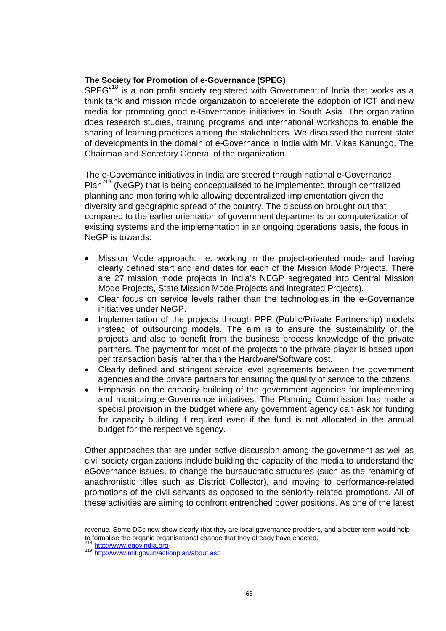#### **The Society for Promotion of e-Governance (SPEG)**

 $SPEG<sup>218</sup>$  is a non profit society registered with Government of India that works as a think tank and mission mode organization to accelerate the adoption of ICT and new media for promoting good e-Governance initiatives in South Asia. The organization does research studies, training programs and international workshops to enable the sharing of learning practices among the stakeholders. We discussed the current state of developments in the domain of e-Governance in India with Mr. Vikas Kanungo, The Chairman and Secretary General of the organization.

The e-Governance initiatives in India are steered through national e-Governance Plan<sup>219</sup> (NeGP) that is being conceptualised to be implemented through centralized planning and monitoring while allowing decentralized implementation given the diversity and geographic spread of the country. The discussion brought out that compared to the earlier orientation of government departments on computerization of existing systems and the implementation in an ongoing operations basis, the focus in NeGP is towards:

- Mission Mode approach: i.e. working in the project-oriented mode and having clearly defined start and end dates for each of the Mission Mode Projects. There are 27 mission mode projects in India's NEGP segregated into Central Mission Mode Projects, State Mission Mode Projects and Integrated Projects).
- Clear focus on service levels rather than the technologies in the e-Governance initiatives under NeGP.
- Implementation of the projects through PPP (Public/Private Partnership) models instead of outsourcing models. The aim is to ensure the sustainability of the projects and also to benefit from the business process knowledge of the private partners. The payment for most of the projects to the private player is based upon per transaction basis rather than the Hardware/Software cost.
- Clearly defined and stringent service level agreements between the government agencies and the private partners for ensuring the quality of service to the citizens.
- Emphasis on the capacity building of the government agencies for implementing and monitoring e-Governance initiatives. The Planning Commission has made a special provision in the budget where any government agency can ask for funding for capacity building if required even if the fund is not allocated in the annual budget for the respective agency.

Other approaches that are under active discussion among the government as well as civil society organizations include building the capacity of the media to understand the eGovernance issues, to change the bureaucratic structures (such as the renaming of anachronistic titles such as District Collector), and moving to performance-related promotions of the civil servants as opposed to the seniority related promotions. All of these activities are aiming to confront entrenched power positions. As one of the latest

revenue. Some DCs now show clearly that they are local governance providers, and a better term would help to formalise the organic organisational change that they already have enacted.

<sup>&</sup>lt;sup>218</sup> http://www.egovindia.org

<sup>&</sup>lt;sup>219</sup> http://www.mit.gov.in/actionplan/about.asp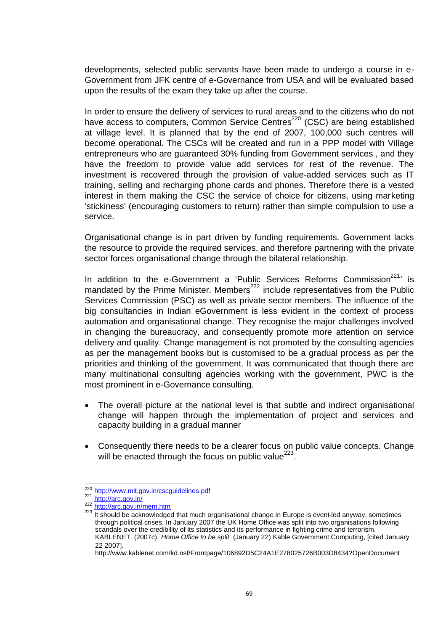developments, selected public servants have been made to undergo a course in e-Government from JFK centre of e-Governance from USA and will be evaluated based upon the results of the exam they take up after the course.

In order to ensure the delivery of services to rural areas and to the citizens who do not have access to computers, Common Service Centres<sup>220</sup> (CSC) are being established at village level. It is planned that by the end of 2007, 100,000 such centres will become operational. The CSCs will be created and run in a PPP model with Village entrepreneurs who are guaranteed 30% funding from Government services , and they have the freedom to provide value add services for rest of the revenue. The investment is recovered through the provision of value-added services such as IT training, selling and recharging phone cards and phones. Therefore there is a vested interest in them making the CSC the service of choice for citizens, using marketing 'stickiness' (encouraging customers to return) rather than simple compulsion to use a service.

Organisational change is in part driven by funding requirements. Government lacks the resource to provide the required services, and therefore partnering with the private sector forces organisational change through the bilateral relationship.

In addition to the e-Government a 'Public Services Reforms Commission<sup>221,</sup> is mandated by the Prime Minister. Members<sup>222</sup> include representatives from the Public Services Commission (PSC) as well as private sector members. The influence of the big consultancies in Indian eGovernment is less evident in the context of process automation and organisational change. They recognise the major challenges involved in changing the bureaucracy, and consequently promote more attention on service delivery and quality. Change management is not promoted by the consulting agencies as per the management books but is customised to be a gradual process as per the priorities and thinking of the government. It was communicated that though there are many multinational consulting agencies working with the government, PWC is the most prominent in e-Governance consulting.

- The overall picture at the national level is that subtle and indirect organisational change will happen through the implementation of project and services and capacity building in a gradual manner
- Consequently there needs to be a clearer focus on public value concepts. Change will be enacted through the focus on public value $^{223}$ .

<sup>220</sup> http://www.mit.gov.in/cscguidelines.pdf

<sup>221</sup> http://arc.gov.in/

<sup>222</sup> http://arc.gov.in/mem.htm

<sup>223</sup> It should be acknowledged that much organisational change in Europe is event-led anyway, sometimes through political crises. In January 2007 the UK Home Office was split into two organisations following scandals over the credibility of its statistics and its performance in fighting crime and terrorism. KABLENET. (2007c). *Home Office to be split.* (January 22) Kable Government Computing, [cited January 22 2007].

http://www.kablenet.com/kd.nsf/Frontpage/106892D5C24A1E278025726B003D8434?OpenDocument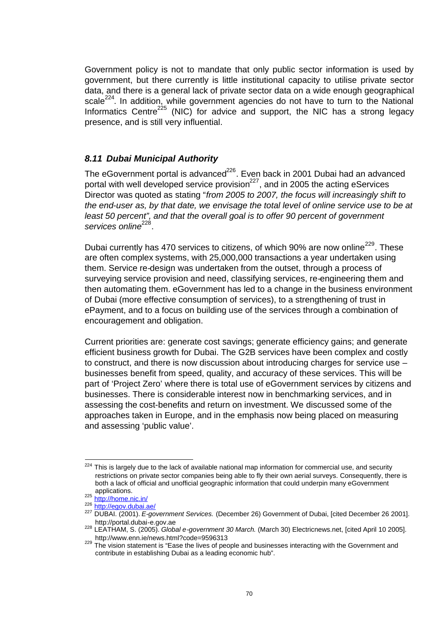Government policy is not to mandate that only public sector information is used by government, but there currently is little institutional capacity to utilise private sector data, and there is a general lack of private sector data on a wide enough geographical scale<sup>224</sup>. In addition, while government agencies do not have to turn to the National Informatics Centre<sup>225</sup> (NIC) for advice and support, the NIC has a strong legacy presence, and is still very influential.

## *8.11 Dubai Municipal Authority*

The eGovernment portal is advanced<sup>226</sup>. Even back in 2001 Dubai had an advanced portal with well developed service provision<sup>227</sup>, and in 2005 the acting eServices Director was quoted as stating "*from 2005 to 2007, the focus will increasingly shift to the end-user as, by that date, we envisage the total level of online service use to be at least 50 percent", and that the overall goal is to offer 90 percent of government* services online<sup>228</sup>.

Dubai currently has 470 services to citizens, of which 90% are now online<sup>229</sup>. These are often complex systems, with 25,000,000 transactions a year undertaken using them. Service re-design was undertaken from the outset, through a process of surveying service provision and need, classifying services, re-engineering them and then automating them. eGovernment has led to a change in the business environment of Dubai (more effective consumption of services), to a strengthening of trust in ePayment, and to a focus on building use of the services through a combination of encouragement and obligation.

Current priorities are: generate cost savings; generate efficiency gains; and generate efficient business growth for Dubai. The G2B services have been complex and costly to construct, and there is now discussion about introducing charges for service use – businesses benefit from speed, quality, and accuracy of these services. This will be part of 'Project Zero' where there is total use of eGovernment services by citizens and businesses. There is considerable interest now in benchmarking services, and in assessing the cost-benefits and return on investment. We discussed some of the approaches taken in Europe, and in the emphasis now being placed on measuring and assessing 'public value'.

<sup>&</sup>lt;sup>224</sup> This is largely due to the lack of available national map information for commercial use, and security restrictions on private sector companies being able to fly their own aerial surveys. Consequently, there is both a lack of official and unofficial geographic information that could underpin many eGovernment  $\sum_{\text{a} \cup \text{b}}$  applications.

http://home.nic.in/

<sup>226</sup> http://egov.dubai.ae/

<sup>227</sup> DUBAI. (2001). *E-government Services.* (December 26) Government of Dubai, [cited December 26 2001]. http://portal.dubai-e.gov.ae

<sup>228</sup> LEATHAM, S. (2005). *Global e-government 30 March.* (March 30) Electricnews.net, [cited April 10 2005].

http://www.enn.ie/news.html?code=9596313 <sup>229</sup> The vision statement is "Ease the lives of people and businesses interacting with the Government and contribute in establishing Dubai as a leading economic hub".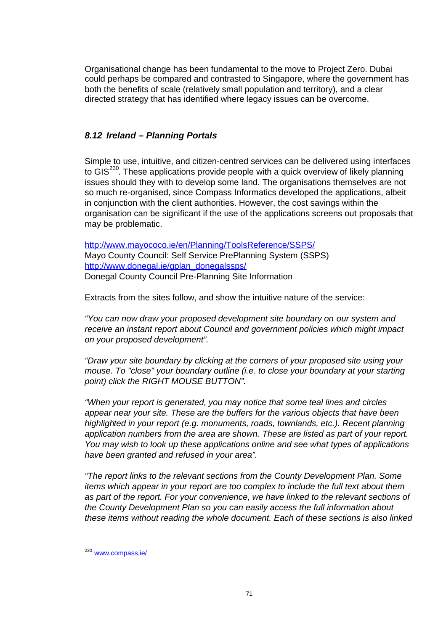Organisational change has been fundamental to the move to Project Zero. Dubai could perhaps be compared and contrasted to Singapore, where the government has both the benefits of scale (relatively small population and territory), and a clear directed strategy that has identified where legacy issues can be overcome.

## *8.12 Ireland – Planning Portals*

Simple to use, intuitive, and citizen-centred services can be delivered using interfaces to GIS<sup>230</sup>. These applications provide people with a quick overview of likely planning issues should they with to develop some land. The organisations themselves are not so much re-organised, since Compass Informatics developed the applications, albeit in conjunction with the client authorities. However, the cost savings within the organisation can be significant if the use of the applications screens out proposals that may be problematic.

http://www.mayococo.ie/en/Planning/ToolsReference/SSPS/ Mayo County Council: Self Service PrePlanning System (SSPS) http://www.donegal.ie/gplan\_donegalssps/ Donegal County Council Pre-Planning Site Information

Extracts from the sites follow, and show the intuitive nature of the service:

*"You can now draw your proposed development site boundary on our system and receive an instant report about Council and government policies which might impact on your proposed development".*

*"Draw your site boundary by clicking at the corners of your proposed site using your mouse. To "close" your boundary outline (i.e. to close your boundary at your starting point) click the RIGHT MOUSE BUTTON".*

*"When your report is generated, you may notice that some teal lines and circles appear near your site. These are the buffers for the various objects that have been highlighted in your report (e.g. monuments, roads, townlands, etc.). Recent planning application numbers from the area are shown. These are listed as part of your report. You may wish to look up these applications online and see what types of applications have been granted and refused in your area".*

*"The report links to the relevant sections from the County Development Plan. Some items which appear in your report are too complex to include the full text about them as part of the report. For your convenience, we have linked to the relevant sections of the County Development Plan so you can easily access the full information about these items without reading the whole document. Each of these sections is also linked*

<sup>230</sup> www.compass.ie/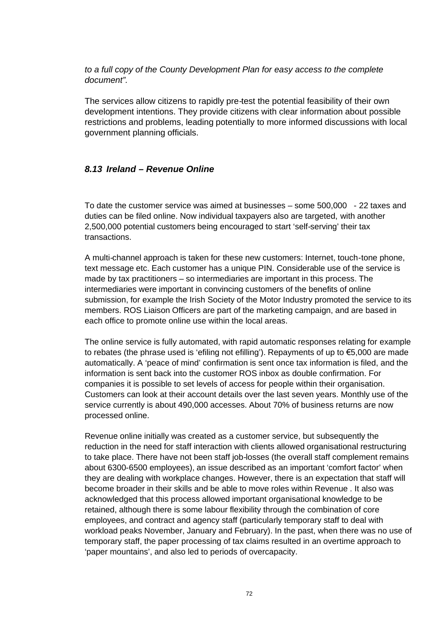*to a full copy of the County Development Plan for easy access to the complete document".*

The services allow citizens to rapidly pre-test the potential feasibility of their own development intentions. They provide citizens with clear information about possible restrictions and problems, leading potentially to more informed discussions with local government planning officials.

## *8.13 Ireland – Revenue Online*

To date the customer service was aimed at businesses – some 500,000 - 22 taxes and duties can be filed online. Now individual taxpayers also are targeted, with another 2,500,000 potential customers being encouraged to start 'self-serving' their tax transactions.

A multi-channel approach is taken for these new customers: Internet, touch-tone phone, text message etc. Each customer has a unique PIN. Considerable use of the service is made by tax practitioners – so intermediaries are important in this process. The intermediaries were important in convincing customers of the benefits of online submission, for example the Irish Society of the Motor Industry promoted the service to its members. ROS Liaison Officers are part of the marketing campaign, and are based in each office to promote online use within the local areas.

The online service is fully automated, with rapid automatic responses relating for example to rebates (the phrase used is 'efiling not efilling'). Repayments of up to €5,000 are made automatically. A 'peace of mind' confirmation is sent once tax information is filed, and the information is sent back into the customer ROS inbox as double confirmation. For companies it is possible to set levels of access for people within their organisation. Customers can look at their account details over the last seven years. Monthly use of the service currently is about 490,000 accesses. About 70% of business returns are now processed online.

Revenue online initially was created as a customer service, but subsequently the reduction in the need for staff interaction with clients allowed organisational restructuring to take place. There have not been staff job-losses (the overall staff complement remains about 6300-6500 employees), an issue described as an important 'comfort factor' when they are dealing with workplace changes. However, there is an expectation that staff will become broader in their skills and be able to move roles within Revenue . It also was acknowledged that this process allowed important organisational knowledge to be retained, although there is some labour flexibility through the combination of core employees, and contract and agency staff (particularly temporary staff to deal with workload peaks November, January and February). In the past, when there was no use of temporary staff, the paper processing of tax claims resulted in an overtime approach to 'paper mountains', and also led to periods of overcapacity.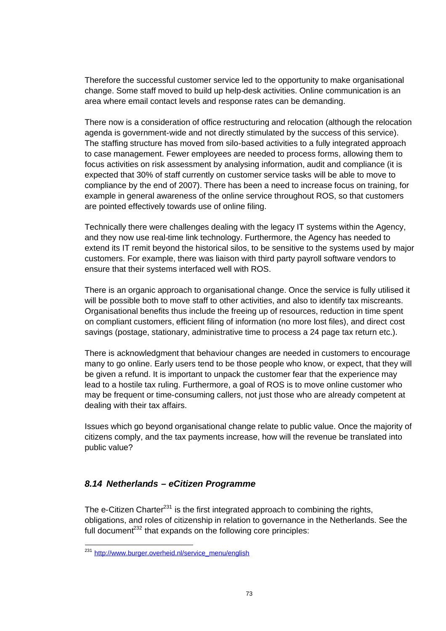Therefore the successful customer service led to the opportunity to make organisational change. Some staff moved to build up help-desk activities. Online communication is an area where email contact levels and response rates can be demanding.

There now is a consideration of office restructuring and relocation (although the relocation agenda is government-wide and not directly stimulated by the success of this service). The staffing structure has moved from silo-based activities to a fully integrated approach to case management. Fewer employees are needed to process forms, allowing them to focus activities on risk assessment by analysing information, audit and compliance (it is expected that 30% of staff currently on customer service tasks will be able to move to compliance by the end of 2007). There has been a need to increase focus on training, for example in general awareness of the online service throughout ROS, so that customers are pointed effectively towards use of online filing.

Technically there were challenges dealing with the legacy IT systems within the Agency, and they now use real-time link technology. Furthermore, the Agency has needed to extend its IT remit beyond the historical silos, to be sensitive to the systems used by major customers. For example, there was liaison with third party payroll software vendors to ensure that their systems interfaced well with ROS.

There is an organic approach to organisational change. Once the service is fully utilised it will be possible both to move staff to other activities, and also to identify tax miscreants. Organisational benefits thus include the freeing up of resources, reduction in time spent on compliant customers, efficient filing of information (no more lost files), and direct cost savings (postage, stationary, administrative time to process a 24 page tax return etc.).

There is acknowledgment that behaviour changes are needed in customers to encourage many to go online. Early users tend to be those people who know, or expect, that they will be given a refund. It is important to unpack the customer fear that the experience may lead to a hostile tax ruling. Furthermore, a goal of ROS is to move online customer who may be frequent or time-consuming callers, not just those who are already competent at dealing with their tax affairs.

Issues which go beyond organisational change relate to public value. Once the majority of citizens comply, and the tax payments increase, how will the revenue be translated into public value?

## *8.14 Netherlands – eCitizen Programme*

The e-Citizen Charter<sup>231</sup> is the first integrated approach to combining the rights, obligations, and roles of citizenship in relation to governance in the Netherlands. See the full document<sup>232</sup> that expands on the following core principles:

<sup>&</sup>lt;sup>231</sup> http://www.burger.overheid.nl/service\_menu/english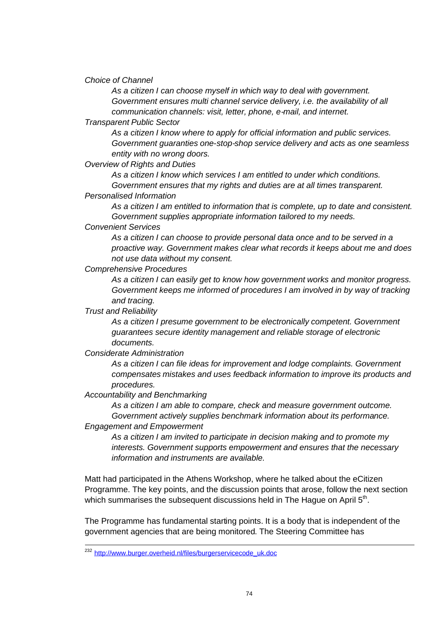*Choice of Channel*

*As a citizen I can choose myself in which way to deal with government. Government ensures multi channel service delivery, i.e. the availability of all communication channels: visit, letter, phone, e-mail, and internet.*

*Transparent Public Sector*

*As a citizen I know where to apply for official information and public services. Government guaranties one-stop-shop service delivery and acts as one seamless entity with no wrong doors.*

*Overview of Rights and Duties*

*As a citizen I know which services I am entitled to under which conditions. Government ensures that my rights and duties are at all times transparent.*

*Personalised Information*

*As a citizen I am entitled to information that is complete, up to date and consistent. Government supplies appropriate information tailored to my needs.*

#### *Convenient Services*

*As a citizen I can choose to provide personal data once and to be served in a proactive way. Government makes clear what records it keeps about me and does not use data without my consent.*

#### *Comprehensive Procedures*

*As a citizen I can easily get to know how government works and monitor progress. Government keeps me informed of procedures I am involved in by way of tracking and tracing.*

*Trust and Reliability*

*As a citizen I presume government to be electronically competent. Government guarantees secure identity management and reliable storage of electronic documents.*

#### *Considerate Administration*

*As a citizen I can file ideas for improvement and lodge complaints. Government compensates mistakes and uses feedback information to improve its products and procedures.*

*Accountability and Benchmarking*

*As a citizen I am able to compare, check and measure government outcome. Government actively supplies benchmark information about its performance.*

#### *Engagement and Empowerment*

*As a citizen I am invited to participate in decision making and to promote my interests. Government supports empowerment and ensures that the necessary information and instruments are available.*

Matt had participated in the Athens Workshop, where he talked about the eCitizen Programme. The key points, and the discussion points that arose, follow the next section which summarises the subsequent discussions held in The Hague on April  $5<sup>th</sup>$ .

The Programme has fundamental starting points. It is a body that is independent of the government agencies that are being monitored. The Steering Committee has

<sup>&</sup>lt;sup>232</sup> http://www.burger.overheid.nl/files/burgerservicecode\_uk.doc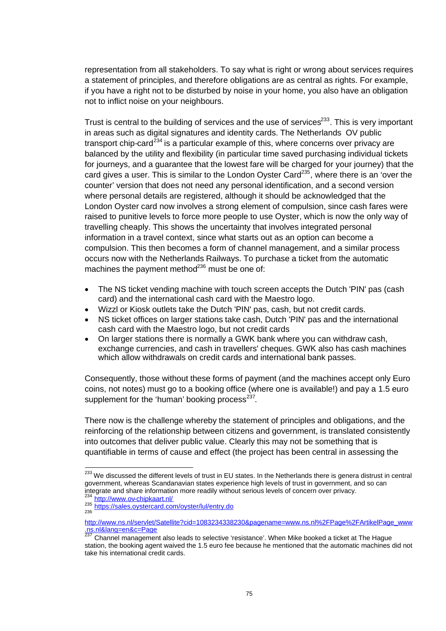representation from all stakeholders. To say what is right or wrong about services requires a statement of principles, and therefore obligations are as central as rights. For example, if you have a right not to be disturbed by noise in your home, you also have an obligation not to inflict noise on your neighbours.

Trust is central to the building of services and the use of services<sup>233</sup>. This is very important in areas such as digital signatures and identity cards. The Netherlands OV public transport chip-card<sup>234</sup> is a particular example of this, where concerns over privacy are balanced by the utility and flexibility (in particular time saved purchasing individual tickets for journeys, and a guarantee that the lowest fare will be charged for your journey) that the card gives a user. This is similar to the London Oyster Card<sup>235</sup>, where there is an 'over the counter' version that does not need any personal identification, and a second version where personal details are registered, although it should be acknowledged that the London Oyster card now involves a strong element of compulsion, since cash fares were raised to punitive levels to force more people to use Oyster, which is now the only way of travelling cheaply. This shows the uncertainty that involves integrated personal information in a travel context, since what starts out as an option can become a compulsion. This then becomes a form of channel management, and a similar process occurs now with the Netherlands Railways. To purchase a ticket from the automatic machines the payment method $^{236}$  must be one of:

- The NS ticket vending machine with touch screen accepts the Dutch 'PIN' pas (cash card) and the international cash card with the Maestro logo.
- Wizzl or Kiosk outlets take the Dutch 'PIN' pas, cash, but not credit cards.
- NS ticket offices on larger stations take cash, Dutch 'PIN' pas and the international cash card with the Maestro logo, but not credit cards
- On larger stations there is normally a GWK bank where you can withdraw cash, exchange currencies, and cash in travellers' cheques. GWK also has cash machines which allow withdrawals on credit cards and international bank passes.

Consequently, those without these forms of payment (and the machines accept only Euro coins, not notes) must go to a booking office (where one is available!) and pay a 1.5 euro supplement for the 'human' booking process<sup>237</sup>.

There now is the challenge whereby the statement of principles and obligations, and the reinforcing of the relationship between citizens and government, is translated consistently into outcomes that deliver public value. Clearly this may not be something that is quantifiable in terms of cause and effect (the project has been central in assessing the

<sup>&</sup>lt;sup>233</sup> We discussed the different levels of trust in EU states. In the Netherlands there is genera distrust in central government, whereas Scandanavian states experience high levels of trust in government, and so can integrate and share information more readily without serious levels of concern over privacy. http://www.ov-chipkaart.nl/

<sup>&</sup>lt;sup>235</sup> https://sales.oystercard.com/oyster/lul/entry.do<br><sub>236</sub>

http://www.ns.nl/servlet/Satellite?cid=1083234338230&pagename=www.ns.nl%2FPage%2FArtikelPage\_www .ns.nl&lang=en&c=Page<br>237 CL

<sup>237</sup> Channel management also leads to selective 'resistance'. When Mike booked a ticket at The Hague station, the booking agent waived the 1.5 euro fee because he mentioned that the automatic machines did not take his international credit cards.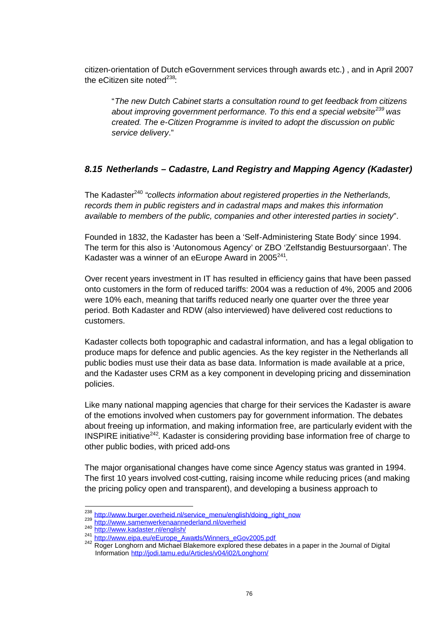citizen-orientation of Dutch eGovernment services through awards etc.) , and in April 2007 the eCitizen site noted $^{238}$ :

"*The new Dutch Cabinet starts a consultation round to get feedback from citizens about improving government performance. To this end a special website<sup>239</sup> was created. The e-Citizen Programme is invited to adopt the discussion on public service delivery*."

## *8.15 Netherlands – Cadastre, Land Registry and Mapping Agency (Kadaster)*

The Kadaster<sup>240</sup> "collects information about registered properties in the Netherlands, *records them in public registers and in cadastral maps and makes this information available to members of the public, companies and other interested parties in society*".

Founded in 1832, the Kadaster has been a 'Self-Administering State Body' since 1994. The term for this also is 'Autonomous Agency' or ZBO 'Zelfstandig Bestuursorgaan'. The Kadaster was a winner of an eEurope Award in 2005<sup>241</sup>.

Over recent years investment in IT has resulted in efficiency gains that have been passed onto customers in the form of reduced tariffs: 2004 was a reduction of 4%, 2005 and 2006 were 10% each, meaning that tariffs reduced nearly one quarter over the three year period. Both Kadaster and RDW (also interviewed) have delivered cost reductions to customers.

Kadaster collects both topographic and cadastral information, and has a legal obligation to produce maps for defence and public agencies. As the key register in the Netherlands all public bodies must use their data as base data. Information is made available at a price, and the Kadaster uses CRM as a key component in developing pricing and dissemination policies.

Like many national mapping agencies that charge for their services the Kadaster is aware of the emotions involved when customers pay for government information. The debates about freeing up information, and making information free, are particularly evident with the INSPIRE initiative<sup>242</sup>. Kadaster is considering providing base information free of charge to other public bodies, with priced add-ons

The major organisational changes have come since Agency status was granted in 1994. The first 10 years involved cost-cutting, raising income while reducing prices (and making the pricing policy open and transparent), and developing a business approach to

<sup>238</sup> http://www.burger.overheid.nl/service\_menu/english/doing\_right\_now

<sup>239</sup> http://www.samenwerkenaannederland.nl/overheid

<sup>240</sup> http://www.kadaster.nl/english/

http://www.eipa.eu/eEurope\_Awards/Winners\_eGov2005.pdf

<sup>242</sup> Roger Longhorn and Michael Blakemore explored these debates in a paper in the Journal of Digital Information http://jodi.tamu.edu/Articles/v04/i02/Longhorn/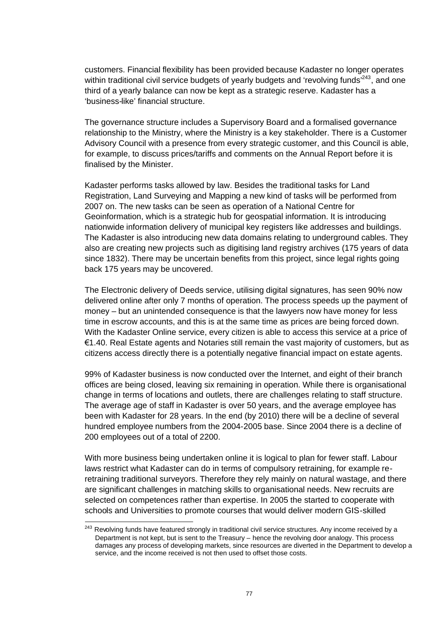customers. Financial flexibility has been provided because Kadaster no longer operates within traditional civil service budgets of yearly budgets and 'revolving funds<sup>'243</sup>, and one third of a yearly balance can now be kept as a strategic reserve. Kadaster has a 'business-like' financial structure.

The governance structure includes a Supervisory Board and a formalised governance relationship to the Ministry, where the Ministry is a key stakeholder. There is a Customer Advisory Council with a presence from every strategic customer, and this Council is able, for example, to discuss prices/tariffs and comments on the Annual Report before it is finalised by the Minister.

Kadaster performs tasks allowed by law. Besides the traditional tasks for Land Registration, Land Surveying and Mapping a new kind of tasks will be performed from 2007 on. The new tasks can be seen as operation of a National Centre for Geoinformation, which is a strategic hub for geospatial information. It is introducing nationwide information delivery of municipal key registers like addresses and buildings. The Kadaster is also introducing new data domains relating to underground cables. They also are creating new projects such as digitising land registry archives (175 years of data since 1832). There may be uncertain benefits from this project, since legal rights going back 175 years may be uncovered.

The Electronic delivery of Deeds service, utilising digital signatures, has seen 90% now delivered online after only 7 months of operation. The process speeds up the payment of money – but an unintended consequence is that the lawyers now have money for less time in escrow accounts, and this is at the same time as prices are being forced down. With the Kadaster Online service, every citizen is able to access this service at a price of €1.40. Real Estate agents and Notaries still remain the vast majority of customers, but as citizens access directly there is a potentially negative financial impact on estate agents.

99% of Kadaster business is now conducted over the Internet, and eight of their branch offices are being closed, leaving six remaining in operation. While there is organisational change in terms of locations and outlets, there are challenges relating to staff structure. The average age of staff in Kadaster is over 50 years, and the average employee has been with Kadaster for 28 years. In the end (by 2010) there will be a decline of several hundred employee numbers from the 2004-2005 base. Since 2004 there is a decline of 200 employees out of a total of 2200.

With more business being undertaken online it is logical to plan for fewer staff. Labour laws restrict what Kadaster can do in terms of compulsory retraining, for example reretraining traditional surveyors. Therefore they rely mainly on natural wastage, and there are significant challenges in matching skills to organisational needs. New recruits are selected on competences rather than expertise. In 2005 the started to cooperate with schools and Universities to promote courses that would deliver modern GIS-skilled

<sup>&</sup>lt;sup>243</sup> Revolving funds have featured strongly in traditional civil service structures. Any income received by a Department is not kept, but is sent to the Treasury – hence the revolving door analogy. This process damages any process of developing markets, since resources are diverted in the Department to develop a service, and the income received is not then used to offset those costs.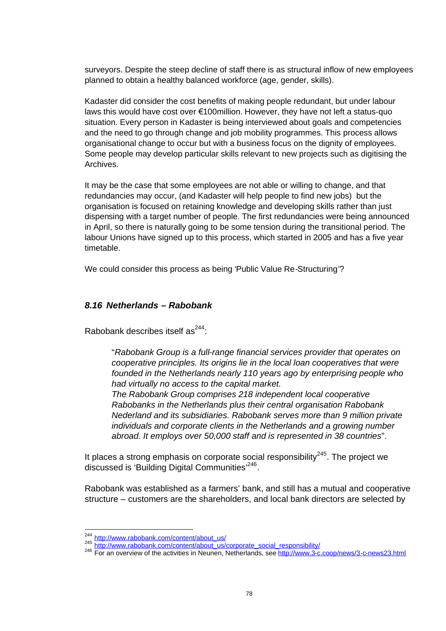surveyors. Despite the steep decline of staff there is as structural inflow of new employees planned to obtain a healthy balanced workforce (age, gender, skills).

Kadaster did consider the cost benefits of making people redundant, but under labour laws this would have cost over €100million. However, they have not left a status-quo situation. Every person in Kadaster is being interviewed about goals and competencies and the need to go through change and job mobility programmes. This process allows organisational change to occur but with a business focus on the dignity of employees. Some people may develop particular skills relevant to new projects such as digitising the Archives.

It may be the case that some employees are not able or willing to change, and that redundancies may occur, (and Kadaster will help people to find new jobs) but the organisation is focused on retaining knowledge and developing skills rather than just dispensing with a target number of people. The first redundancies were being announced in April, so there is naturally going to be some tension during the transitional period. The labour Unions have signed up to this process, which started in 2005 and has a five year timetable.

We could consider this process as being 'Public Value Re-Structuring'?

#### *8.16 Netherlands – Rabobank*

Rabobank describes itself as $^{244}$ :

"*Rabobank Group is a full-range financial services provider that operates on cooperative principles. Its origins lie in the local loan cooperatives that were founded in the Netherlands nearly 110 years ago by enterprising people who had virtually no access to the capital market. The Rabobank Group comprises 218 independent local cooperative*

*Rabobanks in the Netherlands plus their central organisation Rabobank Nederland and its subsidiaries. Rabobank serves more than 9 million private individuals and corporate clients in the Netherlands and a growing number abroad. It employs over 50,000 staff and is represented in 38 countries*".

It places a strong emphasis on corporate social responsibility<sup>245</sup>. The project we discussed is 'Building Digital Communities'<sup>246</sup>.

Rabobank was established as a farmers' bank, and still has a mutual and cooperative structure – customers are the shareholders, and local bank directors are selected by

<sup>&</sup>lt;sup>244</sup> http://www.rabobank.com/content/about\_us/

<sup>&</sup>lt;sup>245</sup> http://www.rabobank.com/content/about\_us/corporate\_social\_responsibility/

<sup>&</sup>lt;sup>246</sup> For an overview of the activities in Neunen, Netherlands, see http://www.3-c.coop/news/3-c-news23.html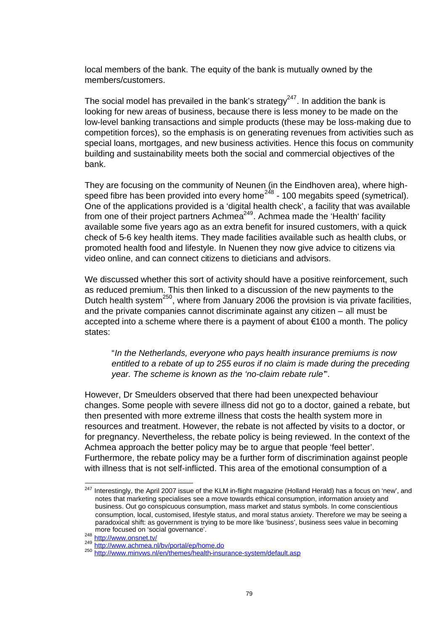local members of the bank. The equity of the bank is mutually owned by the members/customers.

The social model has prevailed in the bank's strategy<sup>247</sup>. In addition the bank is looking for new areas of business, because there is less money to be made on the low-level banking transactions and simple products (these may be loss-making due to competition forces), so the emphasis is on generating revenues from activities such as special loans, mortgages, and new business activities. Hence this focus on community building and sustainability meets both the social and commercial objectives of the bank.

They are focusing on the community of Neunen (in the Eindhoven area), where highspeed fibre has been provided into every home<sup>248</sup> - 100 megabits speed (symetrical). One of the applications provided is a 'digital health check', a facility that was available from one of their project partners Achmea<sup>249</sup>. Achmea made the 'Health' facility available some five years ago as an extra benefit for insured customers, with a quick check of 5-6 key health items. They made facilities available such as health clubs, or promoted health food and lifestyle. In Nuenen they now give advice to citizens via video online, and can connect citizens to dieticians and advisors.

We discussed whether this sort of activity should have a positive reinforcement, such as reduced premium. This then linked to a discussion of the new payments to the Dutch health system<sup>250</sup>, where from January 2006 the provision is via private facilities, and the private companies cannot discriminate against any citizen – all must be accepted into a scheme where there is a payment of about €100 a month. The policy states:

"*In the Netherlands, everyone who pays health insurance premiums is now entitled to a rebate of up to 255 euros if no claim is made during the preceding year. The scheme is known as the 'no-claim rebate rule'*".

However, Dr Smeulders observed that there had been unexpected behaviour changes. Some people with severe illness did not go to a doctor, gained a rebate, but then presented with more extreme illness that costs the health system more in resources and treatment. However, the rebate is not affected by visits to a doctor, or for pregnancy. Nevertheless, the rebate policy is being reviewed. In the context of the Achmea approach the better policy may be to argue that people 'feel better'. Furthermore, the rebate policy may be a further form of discrimination against people with illness that is not self-inflicted. This area of the emotional consumption of a

<sup>&</sup>lt;sup>247</sup> Interestingly, the April 2007 issue of the KLM in-flight magazine (Holland Herald) has a focus on 'new', and notes that marketing specialises see a move towards ethical consumption, information anxiety and business. Out go conspicuous consumption, mass market and status symbols. In come conscientious consumption, local, customised, lifestyle status, and moral status anxiety. Therefore we may be seeing a paradoxical shift: as government is trying to be more like 'business', business sees value in becoming more focused on 'social governance'.

 $^{248}$  http://www.onsnet.tv/<br> $^{249}$  http://www.onsnet.tv/

http://www.achmea.nl/bv/portal/ep/home.do

<sup>&</sup>lt;sup>250</sup> http://www.minvws.nl/en/themes/health-insurance-system/default.asp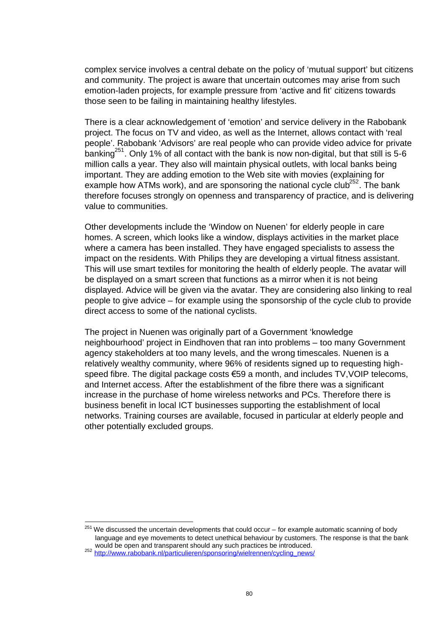complex service involves a central debate on the policy of 'mutual support' but citizens and community. The project is aware that uncertain outcomes may arise from such emotion-laden projects, for example pressure from 'active and fit' citizens towards those seen to be failing in maintaining healthy lifestyles.

There is a clear acknowledgement of 'emotion' and service delivery in the Rabobank project. The focus on TV and video, as well as the Internet, allows contact with 'real people'. Rabobank 'Advisors' are real people who can provide video advice for private banking<sup>251</sup>. Only 1% of all contact with the bank is now non-digital, but that still is 5-6 million calls a year. They also will maintain physical outlets, with local banks being important. They are adding emotion to the Web site with movies (explaining for example how  $\widehat{ATMs}$  work), and are sponsoring the national cycle club<sup>252</sup>. The bank therefore focuses strongly on openness and transparency of practice, and is delivering value to communities.

Other developments include the 'Window on Nuenen' for elderly people in care homes. A screen, which looks like a window, displays activities in the market place where a camera has been installed. They have engaged specialists to assess the impact on the residents. With Philips they are developing a virtual fitness assistant. This will use smart textiles for monitoring the health of elderly people. The avatar will be displayed on a smart screen that functions as a mirror when it is not being displayed. Advice will be given via the avatar. They are considering also linking to real people to give advice – for example using the sponsorship of the cycle club to provide direct access to some of the national cyclists.

The project in Nuenen was originally part of a Government 'knowledge neighbourhood' project in Eindhoven that ran into problems – too many Government agency stakeholders at too many levels, and the wrong timescales. Nuenen is a relatively wealthy community, where 96% of residents signed up to requesting highspeed fibre. The digital package costs €59 a month, and includes TV, VOIP telecoms, and Internet access. After the establishment of the fibre there was a significant increase in the purchase of home wireless networks and PCs. Therefore there is business benefit in local ICT businesses supporting the establishment of local networks. Training courses are available, focused in particular at elderly people and other potentially excluded groups.

 $251$  We discussed the uncertain developments that could occur – for example automatic scanning of body language and eye movements to detect unethical behaviour by customers. The response is that the bank would be open and transparent should any such practices be introduced.

<sup>252</sup> http://www.rabobank.nl/particulieren/sponsoring/wielrennen/cycling\_news/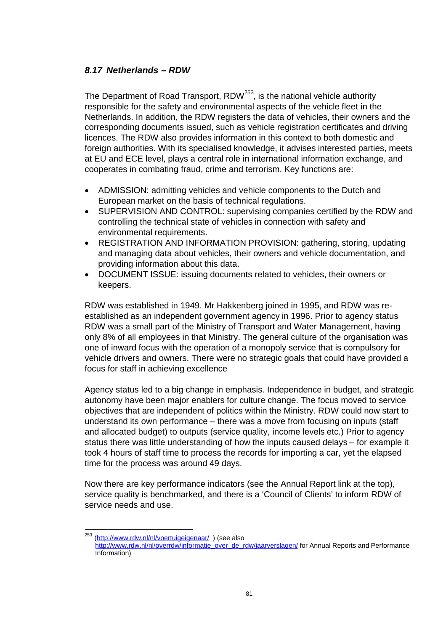# *8.17 Netherlands – RDW*

The Department of Road Transport,  $RDW^{253}$ , is the national vehicle authority responsible for the safety and environmental aspects of the vehicle fleet in the Netherlands. In addition, the RDW registers the data of vehicles, their owners and the corresponding documents issued, such as vehicle registration certificates and driving licences. The RDW also provides information in this context to both domestic and foreign authorities. With its specialised knowledge, it advises interested parties, meets at EU and ECE level, plays a central role in international information exchange, and cooperates in combating fraud, crime and terrorism. Key functions are:

- ADMISSION: admitting vehicles and vehicle components to the Dutch and European market on the basis of technical regulations.
- SUPERVISION AND CONTROL: supervising companies certified by the RDW and controlling the technical state of vehicles in connection with safety and environmental requirements.
- REGISTRATION AND INFORMATION PROVISION: gathering, storing, updating and managing data about vehicles, their owners and vehicle documentation, and providing information about this data.
- DOCUMENT ISSUE: issuing documents related to vehicles, their owners or keepers.

RDW was established in 1949. Mr Hakkenberg joined in 1995, and RDW was reestablished as an independent government agency in 1996. Prior to agency status RDW was a small part of the Ministry of Transport and Water Management, having only 8% of all employees in that Ministry. The general culture of the organisation was one of inward focus with the operation of a monopoly service that is compulsory for vehicle drivers and owners. There were no strategic goals that could have provided a focus for staff in achieving excellence

Agency status led to a big change in emphasis. Independence in budget, and strategic autonomy have been major enablers for culture change. The focus moved to service objectives that are independent of politics within the Ministry. RDW could now start to understand its own performance – there was a move from focusing on inputs (staff and allocated budget) to outputs (service quality, income levels etc.) Prior to agency status there was little understanding of how the inputs caused delays – for example it took 4 hours of staff time to process the records for importing a car, yet the elapsed time for the process was around 49 days.

Now there are key performance indicators (see the Annual Report link at the top), service quality is benchmarked, and there is a 'Council of Clients' to inform RDW of service needs and use.

<sup>(</sup>http://www.rdw.nl/nl/voertuigeigenaar/) (see also

http://www.rdw.nl/nl/overrdw/informatie\_over\_de\_rdw/jaarverslagen/ for Annual Reports and Performance Information)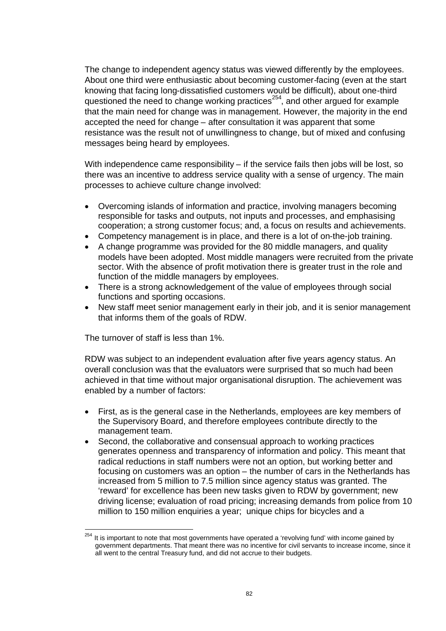The change to independent agency status was viewed differently by the employees. About one third were enthusiastic about becoming customer-facing (even at the start knowing that facing long-dissatisfied customers would be difficult), about one-third questioned the need to change working practices<sup>254</sup>, and other argued for example that the main need for change was in management. However, the majority in the end accepted the need for change – after consultation it was apparent that some resistance was the result not of unwillingness to change, but of mixed and confusing messages being heard by employees.

With independence came responsibility – if the service fails then jobs will be lost, so there was an incentive to address service quality with a sense of urgency. The main processes to achieve culture change involved:

- Overcoming islands of information and practice, involving managers becoming responsible for tasks and outputs, not inputs and processes, and emphasising cooperation; a strong customer focus; and, a focus on results and achievements.
- Competency management is in place, and there is a lot of on-the-job training.
- A change programme was provided for the 80 middle managers, and quality models have been adopted. Most middle managers were recruited from the private sector. With the absence of profit motivation there is greater trust in the role and function of the middle managers by employees.
- There is a strong acknowledgement of the value of employees through social functions and sporting occasions.
- New staff meet senior management early in their job, and it is senior management that informs them of the goals of RDW.

The turnover of staff is less than 1%.

RDW was subject to an independent evaluation after five years agency status. An overall conclusion was that the evaluators were surprised that so much had been achieved in that time without major organisational disruption. The achievement was enabled by a number of factors:

- First, as is the general case in the Netherlands, employees are key members of the Supervisory Board, and therefore employees contribute directly to the management team.
- Second, the collaborative and consensual approach to working practices generates openness and transparency of information and policy. This meant that radical reductions in staff numbers were not an option, but working better and focusing on customers was an option – the number of cars in the Netherlands has increased from 5 million to 7.5 million since agency status was granted. The 'reward' for excellence has been new tasks given to RDW by government; new driving license; evaluation of road pricing; increasing demands from police from 10 million to 150 million enquiries a year; unique chips for bicycles and a

It is important to note that most governments have operated a 'revolving fund' with income gained by government departments. That meant there was no incentive for civil servants to increase income, since it all went to the central Treasury fund, and did not accrue to their budgets.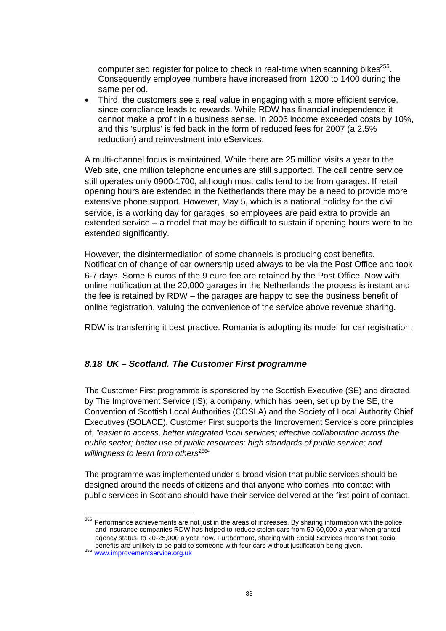computerised register for police to check in real-time when scanning bikes $^{255}$ . Consequently employee numbers have increased from 1200 to 1400 during the same period.

 Third, the customers see a real value in engaging with a more efficient service, since compliance leads to rewards. While RDW has financial independence it cannot make a profit in a business sense. In 2006 income exceeded costs by 10%, and this 'surplus' is fed back in the form of reduced fees for 2007 (a 2.5% reduction) and reinvestment into eServices.

A multi-channel focus is maintained. While there are 25 million visits a year to the Web site, one million telephone enquiries are still supported. The call centre service still operates only 0900-1700, although most calls tend to be from garages. If retail opening hours are extended in the Netherlands there may be a need to provide more extensive phone support. However, May 5, which is a national holiday for the civil service, is a working day for garages, so employees are paid extra to provide an extended service – a model that may be difficult to sustain if opening hours were to be extended significantly.

However, the disintermediation of some channels is producing cost benefits. Notification of change of car ownership used always to be via the Post Office and took 6-7 days. Some 6 euros of the 9 euro fee are retained by the Post Office. Now with online notification at the 20,000 garages in the Netherlands the process is instant and the fee is retained by RDW – the garages are happy to see the business benefit of online registration, valuing the convenience of the service above revenue sharing.

RDW is transferring it best practice. Romania is adopting its model for car registration.

# *8.18 UK – Scotland. The Customer First programme*

The Customer First programme is sponsored by the Scottish Executive (SE) and directed by The Improvement Service (IS); a company, which has been, set up by the SE, the Convention of Scottish Local Authorities (COSLA) and the Society of Local Authority Chief Executives (SOLACE). Customer First supports the Improvement Service's core principles of, *"easier to access, better integrated local services; effective collaboration across the public sector; better use of public resources; high standards of public service; and* willingness to learn from others<sup>2564</sup>

The programme was implemented under a broad vision that public services should be designed around the needs of citizens and that anyone who comes into contact with public services in Scotland should have their service delivered at the first point of contact.

<sup>255</sup> Performance achievements are not just in the areas of increases. By sharing information with the police and insurance companies RDW has helped to reduce stolen cars from 50-60,000 a year when granted agency status, to 20-25,000 a year now. Furthermore, sharing with Social Services means that social benefits are unlikely to be paid to someone with four cars without justification being given.

<sup>256</sup> www.improvementservice.org.uk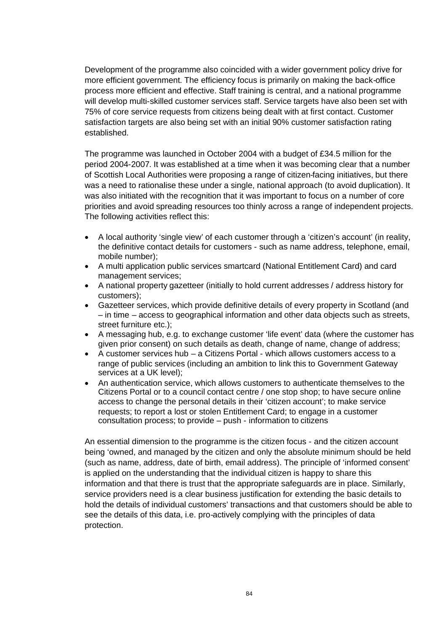Development of the programme also coincided with a wider government policy drive for more efficient government. The efficiency focus is primarily on making the back-office process more efficient and effective. Staff training is central, and a national programme will develop multi-skilled customer services staff. Service targets have also been set with 75% of core service requests from citizens being dealt with at first contact. Customer satisfaction targets are also being set with an initial 90% customer satisfaction rating established.

The programme was launched in October 2004 with a budget of £34.5 million for the period 2004-2007. It was established at a time when it was becoming clear that a number of Scottish Local Authorities were proposing a range of citizen-facing initiatives, but there was a need to rationalise these under a single, national approach (to avoid duplication). It was also initiated with the recognition that it was important to focus on a number of core priorities and avoid spreading resources too thinly across a range of independent projects. The following activities reflect this:

- A local authority 'single view' of each customer through a 'citizen's account' (in reality, the definitive contact details for customers - such as name address, telephone, email, mobile number);
- A multi application public services smartcard (National Entitlement Card) and card management services;
- A national property gazetteer (initially to hold current addresses / address history for customers);
- Gazetteer services, which provide definitive details of every property in Scotland (and – in time – access to geographical information and other data objects such as streets, street furniture etc.);
- A messaging hub, e.g. to exchange customer 'life event' data (where the customer has given prior consent) on such details as death, change of name, change of address;
- A customer services hub a Citizens Portal which allows customers access to a range of public services (including an ambition to link this to Government Gateway services at a UK level);
- An authentication service, which allows customers to authenticate themselves to the Citizens Portal or to a council contact centre / one stop shop; to have secure online access to change the personal details in their 'citizen account'; to make service requests; to report a lost or stolen Entitlement Card; to engage in a customer consultation process; to provide – push - information to citizens

An essential dimension to the programme is the citizen focus - and the citizen account being 'owned, and managed by the citizen and only the absolute minimum should be held (such as name, address, date of birth, email address). The principle of 'informed consent' is applied on the understanding that the individual citizen is happy to share this information and that there is trust that the appropriate safeguards are in place. Similarly, service providers need is a clear business justification for extending the basic details to hold the details of individual customers' transactions and that customers should be able to see the details of this data, i.e. pro-actively complying with the principles of data protection.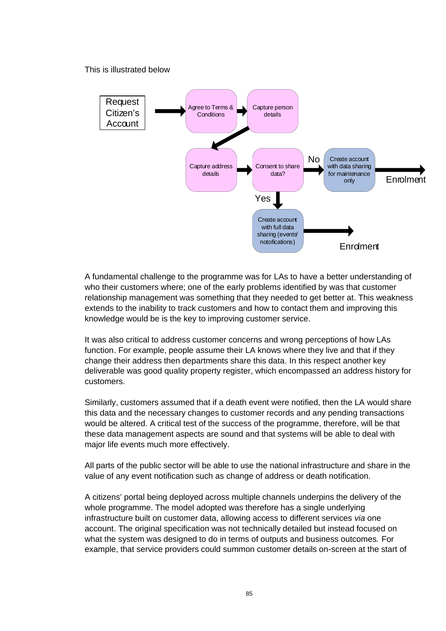This is illustrated below



A fundamental challenge to the programme was for LAs to have a better understanding of who their customers where; one of the early problems identified by was that customer relationship management was something that they needed to get better at. This weakness extends to the inability to track customers and how to contact them and improving this knowledge would be is the key to improving customer service.

It was also critical to address customer concerns and wrong perceptions of how LAs function. For example, people assume their LA knows where they live and that if they change their address then departments share this data. In this respect another key deliverable was good quality property register, which encompassed an address history for customers.

Similarly, customers assumed that if a death event were notified, then the LA would share this data and the necessary changes to customer records and any pending transactions would be altered. A critical test of the success of the programme, therefore, will be that these data management aspects are sound and that systems will be able to deal with major life events much more effectively.

All parts of the public sector will be able to use the national infrastructure and share in the value of any event notification such as change of address or death notification.

A citizens' portal being deployed across multiple channels underpins the delivery of the whole programme. The model adopted was therefore has a single underlying infrastructure built on customer data, allowing access to different services *via* one account. The original specification was not technically detailed but instead focused on what the system was designed to do in terms of outputs and business outcomes. For example, that service providers could summon customer details on-screen at the start of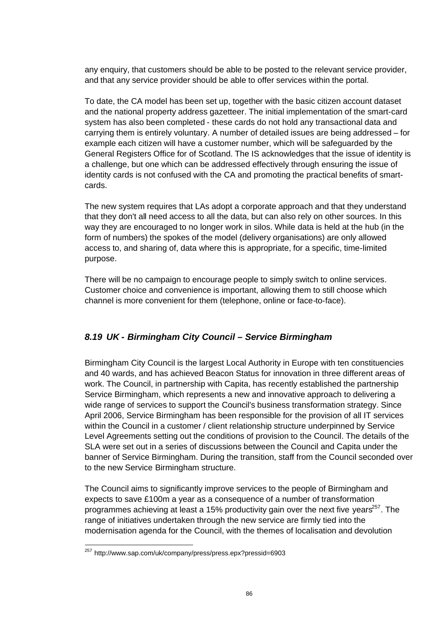any enquiry, that customers should be able to be posted to the relevant service provider, and that any service provider should be able to offer services within the portal.

To date, the CA model has been set up, together with the basic citizen account dataset and the national property address gazetteer. The initial implementation of the smart-card system has also been completed - these cards do not hold any transactional data and carrying them is entirely voluntary. A number of detailed issues are being addressed – for example each citizen will have a customer number, which will be safeguarded by the General Registers Office for of Scotland. The IS acknowledges that the issue of identity is a challenge, but one which can be addressed effectively through ensuring the issue of identity cards is not confused with the CA and promoting the practical benefits of smartcards.

The new system requires that LAs adopt a corporate approach and that they understand that they don't all need access to all the data, but can also rely on other sources. In this way they are encouraged to no longer work in silos. While data is held at the hub (in the form of numbers) the spokes of the model (delivery organisations) are only allowed access to, and sharing of, data where this is appropriate, for a specific, time-limited purpose.

There will be no campaign to encourage people to simply switch to online services. Customer choice and convenience is important, allowing them to still choose which channel is more convenient for them (telephone, online or face-to-face).

# *8.19 UK - Birmingham City Council – Service Birmingham*

Birmingham City Council is the largest Local Authority in Europe with ten constituencies and 40 wards, and has achieved Beacon Status for innovation in three different areas of work. The Council, in partnership with Capita, has recently established the partnership Service Birmingham, which represents a new and innovative approach to delivering a wide range of services to support the Council's business transformation strategy. Since April 2006, Service Birmingham has been responsible for the provision of all IT services within the Council in a customer / client relationship structure underpinned by Service Level Agreements setting out the conditions of provision to the Council. The details of the SLA were set out in a series of discussions between the Council and Capita under the banner of Service Birmingham. During the transition, staff from the Council seconded over to the new Service Birmingham structure.

The Council aims to significantly improve services to the people of Birmingham and expects to save £100m a year as a consequence of a number of transformation programmes achieving at least a 15% productivity gain over the next five years<sup>257</sup>. The range of initiatives undertaken through the new service are firmly tied into the modernisation agenda for the Council, with the themes of localisation and devolution

<sup>257</sup> http://www.sap.com/uk/company/press/press.epx?pressid=6903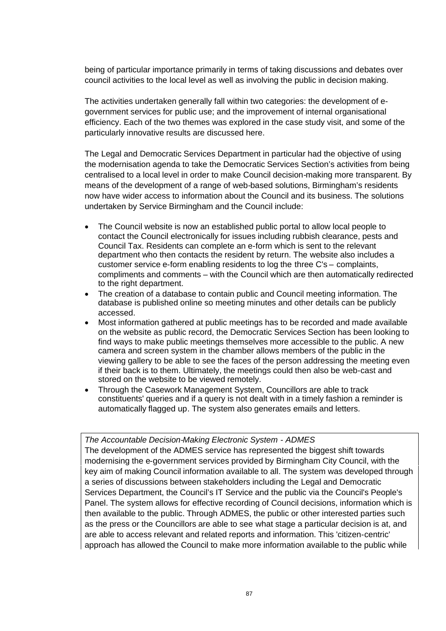being of particular importance primarily in terms of taking discussions and debates over council activities to the local level as well as involving the public in decision making.

The activities undertaken generally fall within two categories: the development of egovernment services for public use; and the improvement of internal organisational efficiency. Each of the two themes was explored in the case study visit, and some of the particularly innovative results are discussed here.

The Legal and Democratic Services Department in particular had the objective of using the modernisation agenda to take the Democratic Services Section's activities from being centralised to a local level in order to make Council decision-making more transparent. By means of the development of a range of web-based solutions, Birmingham's residents now have wider access to information about the Council and its business. The solutions undertaken by Service Birmingham and the Council include:

- The Council website is now an established public portal to allow local people to contact the Council electronically for issues including rubbish clearance, pests and Council Tax. Residents can complete an e-form which is sent to the relevant department who then contacts the resident by return. The website also includes a customer service e-form enabling residents to log the three C's – complaints, compliments and comments – with the Council which are then automatically redirected to the right department.
- The creation of a database to contain public and Council meeting information. The database is published online so meeting minutes and other details can be publicly accessed.
- Most information gathered at public meetings has to be recorded and made available on the website as public record, the Democratic Services Section has been looking to find ways to make public meetings themselves more accessible to the public. A new camera and screen system in the chamber allows members of the public in the viewing gallery to be able to see the faces of the person addressing the meeting even if their back is to them. Ultimately, the meetings could then also be web-cast and stored on the website to be viewed remotely*.*
- Through the Casework Management System, Councillors are able to track constituents' queries and if a query is not dealt with in a timely fashion a reminder is automatically flagged up. The system also generates emails and letters.

# *The Accountable Decision-Making Electronic System - ADMES*

The development of the ADMES service has represented the biggest shift towards modernising the e-government services provided by Birmingham City Council, with the key aim of making Council information available to all. The system was developed through a series of discussions between stakeholders including the Legal and Democratic Services Department, the Council's IT Service and the public via the Council's People's Panel. The system allows for effective recording of Council decisions, information which is then available to the public. Through ADMES, the public or other interested parties such as the press or the Councillors are able to see what stage a particular decision is at, and are able to access relevant and related reports and information. This 'citizen-centric' approach has allowed the Council to make more information available to the public while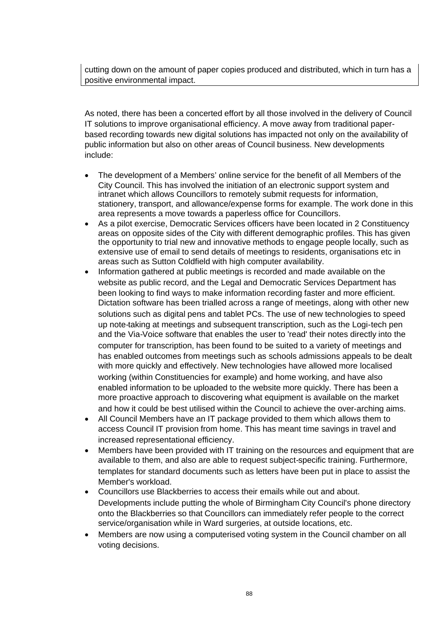cutting down on the amount of paper copies produced and distributed, which in turn has a positive environmental impact.

As noted, there has been a concerted effort by all those involved in the delivery of Council IT solutions to improve organisational efficiency. A move away from traditional paperbased recording towards new digital solutions has impacted not only on the availability of public information but also on other areas of Council business. New developments include:

- The development of a Members' online service for the benefit of all Members of the City Council. This has involved the initiation of an electronic support system and intranet which allows Councillors to remotely submit requests for information, stationery, transport, and allowance/expense forms for example. The work done in this area represents a move towards a paperless office for Councillors.
- As a pilot exercise, Democratic Services officers have been located in 2 Constituency areas on opposite sides of the City with different demographic profiles. This has given the opportunity to trial new and innovative methods to engage people locally, such as extensive use of email to send details of meetings to residents, organisations etc in areas such as Sutton Coldfield with high computer availability.
- Information gathered at public meetings is recorded and made available on the website as public record, and the Legal and Democratic Services Department has been looking to find ways to make information recording faster and more efficient. Dictation software has been trialled across a range of meetings, along with other new solutions such as digital pens and tablet PCs. The use of new technologies to speed up note-taking at meetings and subsequent transcription, such as the Logi-tech pen and the Via-Voice software that enables the user to 'read' their notes directly into the computer for transcription, has been found to be suited to a variety of meetings and has enabled outcomes from meetings such as schools admissions appeals to be dealt with more quickly and effectively. New technologies have allowed more localised working (within Constituencies for example) and home working, and have also enabled information to be uploaded to the website more quickly. There has been a more proactive approach to discovering what equipment is available on the market and how it could be best utilised within the Council to achieve the over-arching aims.
- All Council Members have an IT package provided to them which allows them to access Council IT provision from home. This has meant time savings in travel and increased representational efficiency.
- Members have been provided with IT training on the resources and equipment that are available to them, and also are able to request subject-specific training. Furthermore, templates for standard documents such as letters have been put in place to assist the Member's workload.
- Councillors use Blackberries to access their emails while out and about. Developments include putting the whole of Birmingham City Council's phone directory onto the Blackberries so that Councillors can immediately refer people to the correct service/organisation while in Ward surgeries, at outside locations, etc.
- Members are now using a computerised voting system in the Council chamber on all voting decisions.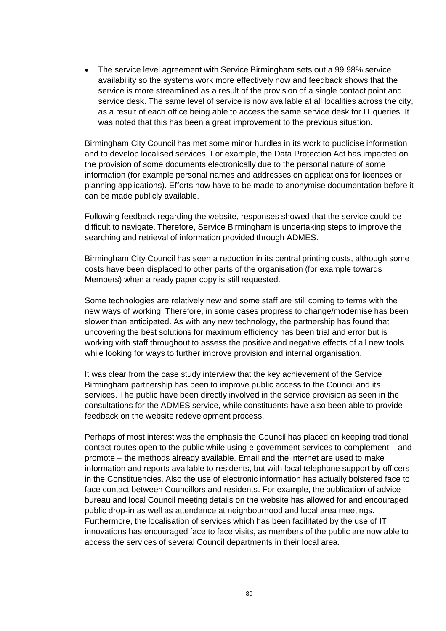The service level agreement with Service Birmingham sets out a 99.98% service availability so the systems work more effectively now and feedback shows that the service is more streamlined as a result of the provision of a single contact point and service desk. The same level of service is now available at all localities across the city, as a result of each office being able to access the same service desk for IT queries. It was noted that this has been a great improvement to the previous situation.

Birmingham City Council has met some minor hurdles in its work to publicise information and to develop localised services. For example, the Data Protection Act has impacted on the provision of some documents electronically due to the personal nature of some information (for example personal names and addresses on applications for licences or planning applications). Efforts now have to be made to anonymise documentation before it can be made publicly available.

Following feedback regarding the website, responses showed that the service could be difficult to navigate. Therefore, Service Birmingham is undertaking steps to improve the searching and retrieval of information provided through ADMES.

Birmingham City Council has seen a reduction in its central printing costs, although some costs have been displaced to other parts of the organisation (for example towards Members) when a ready paper copy is still requested.

Some technologies are relatively new and some staff are still coming to terms with the new ways of working. Therefore, in some cases progress to change/modernise has been slower than anticipated. As with any new technology, the partnership has found that uncovering the best solutions for maximum efficiency has been trial and error but is working with staff throughout to assess the positive and negative effects of all new tools while looking for ways to further improve provision and internal organisation.

It was clear from the case study interview that the key achievement of the Service Birmingham partnership has been to improve public access to the Council and its services. The public have been directly involved in the service provision as seen in the consultations for the ADMES service, while constituents have also been able to provide feedback on the website redevelopment process.

Perhaps of most interest was the emphasis the Council has placed on keeping traditional contact routes open to the public while using e-government services to complement – and promote – the methods already available. Email and the internet are used to make information and reports available to residents, but with local telephone support by officers in the Constituencies. Also the use of electronic information has actually bolstered face to face contact between Councillors and residents. For example, the publication of advice bureau and local Council meeting details on the website has allowed for and encouraged public drop-in as well as attendance at neighbourhood and local area meetings. Furthermore, the localisation of services which has been facilitated by the use of IT innovations has encouraged face to face visits, as members of the public are now able to access the services of several Council departments in their local area.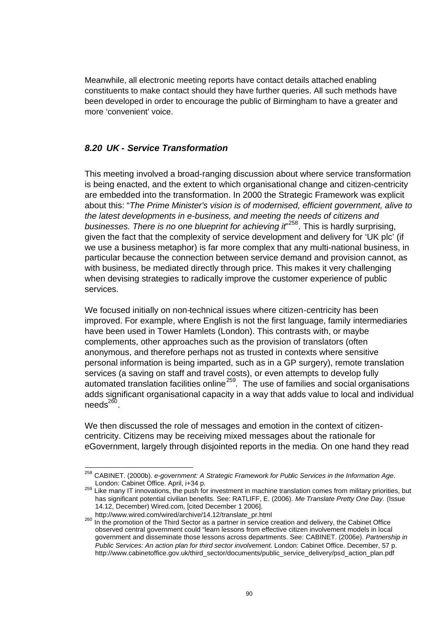Meanwhile, all electronic meeting reports have contact details attached enabling constituents to make contact should they have further queries. All such methods have been developed in order to encourage the public of Birmingham to have a greater and more 'convenient' voice.

## *8.20 UK - Service Transformation*

This meeting involved a broad-ranging discussion about where service transformation is being enacted, and the extent to which organisational change and citizen-centricity are embedded into the transformation. In 2000 the Strategic Framework was explicit about this: "*The Prime Minister's vision is of modernised, efficient government, alive to the latest developments in e-business, and meeting the needs of citizens and* businesses. There is no one blueprint for achieving it<sup>1258</sup>. This is hardly surprising, given the fact that the complexity of service development and delivery for 'UK plc' (if we use a business metaphor) is far more complex that any multi-national business, in particular because the connection between service demand and provision cannot, as with business, be mediated directly through price. This makes it very challenging when devising strategies to radically improve the customer experience of public services.

We focused initially on non-technical issues where citizen-centricity has been improved. For example, where English is not the first language, family intermediaries have been used in Tower Hamlets (London). This contrasts with, or maybe complements, other approaches such as the provision of translators (often anonymous, and therefore perhaps not as trusted in contexts where sensitive personal information is being imparted, such as in a GP surgery), remote translation services (a saving on staff and travel costs), or even attempts to develop fully automated translation facilities online<sup>259</sup>. The use of families and social organisations adds significant organisational capacity in a way that adds value to local and individual needs $^{26\hskip-2.5pt\bar{\hskip-1.2pt\bar{\hskip-1.2pt\bar{\hskip-1.2pt\bar{\hskip-1.2pt\bar{\hskip-1.2pt\bar{\hskip-1.2pt\bar{\hskip-1.2pt\bar{\hskip-1.2pt\bar{\hskip-1.2pt\bar{\hskip-1.2pt\bar{\hskip-1.2pt\bar{\hskip-1.2pt\bar{\hskip-1.2pt\bar{\hskip-1.2pt\bar{\hskip-1.2pt\bar{\hskip-1.2pt\bar{\hskip-1.2pt\bar{\hskip-1.2pt\bar{\hskip-1.2pt\bar{\hskip-1.2pt\bar{\h$ 

We then discussed the role of messages and emotion in the context of citizencentricity. Citizens may be receiving mixed messages about the rationale for eGovernment, largely through disjointed reports in the media. On one hand they read

<sup>258</sup> CABINET. (2000b). *e-government: A Strategic Framework for Public Services in the Information Age*. London: Cabinet Office. April, i+34 p.

<sup>259</sup> Like many IT innovations, the push for investment in machine translation comes from military priorities, but has significant potential civilian benefits. See: RATLIFF, E. (2006). *Me Translate Pretty One Day.* (Issue 14.12, December) Wired.com, [cited December 1 2006].

http://www.wired.com/wired/archive/14.12/translate\_pr.html <sup>260</sup> In the promotion of the Third Sector as a partner in service creation and delivery, the Cabinet Office observed central government could "learn lessons from effective citizen involvement models in local government and disseminate those lessons across departments. See: CABINET. (2006e). *Partnership in Public Services: An action plan for third sector involvement*. London: Cabinet Office. December, 57 p. http://www.cabinetoffice.gov.uk/third\_sector/documents/public\_service\_delivery/psd\_action\_plan.pdf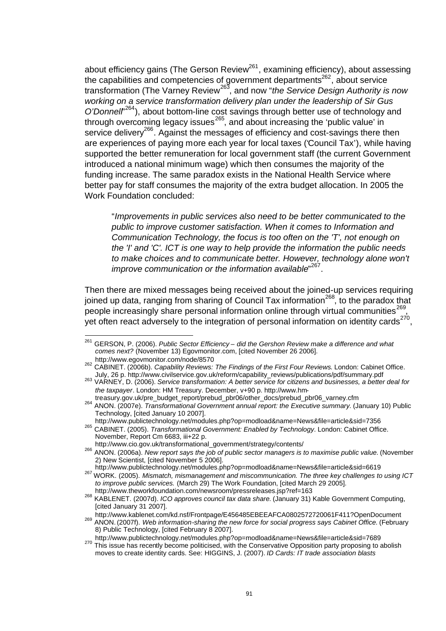about efficiency gains (The Gerson Review<sup>261</sup>, examining efficiency), about assessing the capabilities and competencies of government departments<sup>262</sup>, about service transformation (The Varney Review<sup>263</sup>, and now "*the Service Design Authority is now working on a service transformation delivery plan under the leadership of Sir Gus* O'Donnell<sup>264</sup>), about bottom-line cost savings through better use of technology and through overcoming legacy issues<sup>265</sup>, and about increasing the 'public value' in service delivery<sup>266</sup>. Against the messages of efficiency and cost-savings there then are experiences of paying more each year for local taxes ('Council Tax'), while having supported the better remuneration for local government staff (the current Government introduced a national minimum wage) which then consumes the majority of the funding increase. The same paradox exists in the National Health Service where better pay for staff consumes the majority of the extra budget allocation. In 2005 the Work Foundation concluded:

"*Improvements in public services also need to be better communicated to the public to improve customer satisfaction. When it comes to Information and Communication Technology, the focus is too often on the 'T', not enough on the 'I' and 'C'. ICT is one way to help provide the information the public needs to make choices and to communicate better. However, technology alone won't* improve communication or the information available"<sup>267</sup>.

Then there are mixed messages being received about the joined-up services requiring joined up data, ranging from sharing of Council Tax information<sup>268</sup>, to the paradox that people increasingly share personal information online through virtual communities $^{269}$ ,  $\gamma$ et often react adversely to the integration of personal information on identity cards<sup>270</sup>,

<sup>261</sup> GERSON, P. (2006). *Public Sector Efficiency – did the Gershon Review make a difference and what comes next?* (November 13) Egovmonitor.com, [cited November 26 2006].

http://www.egovmonitor.com/node/8570 <sup>262</sup> CABINET. (2006b). *Capability Reviews: The Findings of the First Four Reviews*. London: Cabinet Office. July, 26 p. http://www.civilservice.gov.uk/reform/capability\_reviews/publications/pdf/summary.pdf

<sup>263</sup> VARNEY, D. (2006). *Service transformation: A better service for citizens and businesses, a better deal for the taxpayer*. London: HM Treasury. December, v+90 p. http://www.hm-

treasury.gov.uk/pre\_budget\_report/prebud\_pbr06/other\_docs/prebud\_pbr06\_varney.cfm <sup>264</sup> ANON. (2007e). *Transformational Government annual report: the Executive summary.* (January 10) Public Technology, [cited January 10 2007].

http://www.publictechnology.net/modules.php?op=modload&name=News&file=article&sid=7356 <sup>265</sup> CABINET. (2005). *Transformational Government: Enabled by Technology*. London: Cabinet Office. November, Report Cm 6683, iii+22 p. http://www.cio.gov.uk/transformational\_government/strategy/contents/

<sup>266</sup> ANON. (2006a). *New report says the job of public sector managers is to maximise public value.* (November 2) New Scientist, [cited November 5 2006].

http://www.publictechnology.net/modules.php?op=modload&name=News&file=article&sid=6619 <sup>267</sup> WORK. (2005). *Mismatch, mismanagement and miscommunication. The three key challenges to using ICT to improve public services.* (March 29) The Work Foundation, [cited March 29 2005].

http://www.theworkfoundation.com/newsroom/pressreleases.jsp?ref=163 <sup>268</sup> KABLENET. (2007d). *ICO approves council tax data share.* (January 31) Kable Government Computing, [cited January 31 2007].

http://www.kablenet.com/kd.nsf/Frontpage/E456485EBEEAFCA0802572720061F411?OpenDocument <sup>269</sup> ANON.(2007f). *Web information-sharing the new force for social progress says Cabinet Office.* (February 8) Public Technology, [cited February 8 2007].

http://www.publictechnology.net/modules.php?op=modload&name=News&file=article&sid=7689 <sup>270</sup> This issue has recently become politicised, with the Conservative Opposition party proposing to abolish moves to create identity cards. See: HIGGINS, J. (2007). *ID Cards: IT trade association blasts*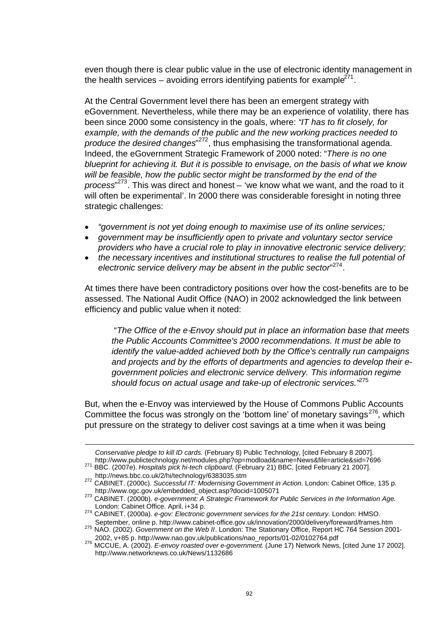even though there is clear public value in the use of electronic identity management in the health services – avoiding errors identifying patients for example<sup>271</sup>.

At the Central Government level there has been an emergent strategy with eGovernment. Nevertheless, while there may be an experience of volatility, there has been since 2000 some consistency in the goals, where: *"IT has to fit closely, for example, with the demands of the public and the new working practices needed to produce the desired changes*" <sup>272</sup>, thus emphasising the transformational agenda. Indeed, the eGovernment Strategic Framework of 2000 noted: "*There is no one blueprint for achieving it. But it is possible to envisage, on the basis of what we know will be feasible, how the public sector might be transformed by the end of the process*" <sup>273</sup>. This was direct and honest – 'we know what we want, and the road to it will often be experimental'. In 2000 there was considerable foresight in noting three strategic challenges:

- *"government is not yet doing enough to maximise use of its online services;*
- *government may be insufficiently open to private and voluntary sector service providers who have a crucial role to play in innovative electronic service delivery;*
- *the necessary incentives and institutional structures to realise the full potential of* electronic service delivery may be absent in the public sector<sup>"274</sup>.

At times there have been contradictory positions over how the cost-benefits are to be assessed. The National Audit Office (NAO) in 2002 acknowledged the link between efficiency and public value when it noted:

"*The Office of the e-Envoy should put in place an information base that meets the Public Accounts Committee's 2000 recommendations. It must be able to identify the value-added achieved both by the Office's centrally run campaigns and projects and by the efforts of departments and agencies to develop their egovernment policies and electronic service delivery. This information regime should focus on actual usage and take-up of electronic services.*" 275

But, when the e-Envoy was interviewed by the House of Commons Public Accounts Committee the focus was strongly on the 'bottom line' of monetary savings $276$ , which put pressure on the strategy to deliver cost savings at a time when it was being

*Conservative pledge to kill ID cards.* (February 8) Public Technology, [cited February 8 2007]. http://www.publictechnology.net/modules.php?op=modload&name=News&file=article&sid=7696

<sup>271</sup> BBC. (2007e). *Hospitals pick hi-tech clipboard.* (February 21) BBC, [cited February 21 2007]. http://news.bbc.co.uk/2/hi/technology/6383035.stm <sup>272</sup> CABINET. (2000c). *Successful IT: Modernising Government in Action*. London: Cabinet Office, 135 p.

http://www.ogc.gov.uk/embedded\_object.asp?docid=1005071

<sup>273</sup> CABINET. (2000b). *e-government: A Strategic Framework for Public Services in the Information Age*. London: Cabinet Office. April, i+34 p.

<sup>274</sup> CABINET. (2000a). *e-gov: Electronic government services for the 21st century*. London: HMSO. September, online p. http://www.cabinet-office.gov.uk/innovation/2000/delivery/foreward/frames.htm

<sup>275</sup> NAO. (2002). *Government on the Web II*. London: The Stationary Office, Report HC 764 Session 2001- 2002, v+85 p. http://www.nao.gov.uk/publications/nao\_reports/01-02/0102764.pdf <sup>276</sup> MCCUE, A. (2002). *E-envoy roasted over e-government.* (June 17) Network News, [cited June 17 2002].

http://www.networknews.co.uk/News/1132686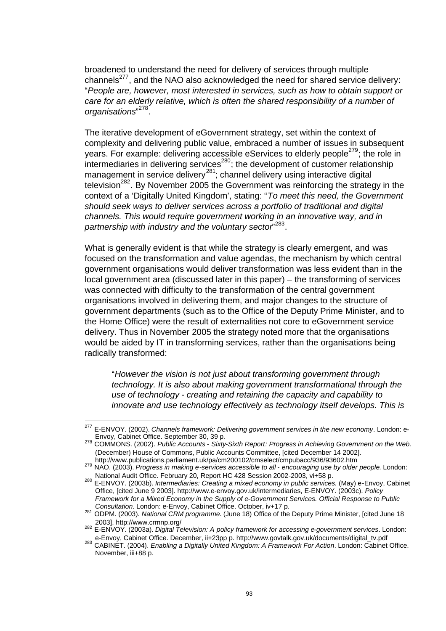broadened to understand the need for delivery of services through multiple channels<sup>277</sup>, and the NAO also acknowledged the need for shared service delivery: "*People are, however, most interested in services, such as how to obtain support or care for an elderly relative, which is often the shared responsibility of a number of organisations*" 278 .

The iterative development of eGovernment strategy, set within the context of complexity and delivering public value, embraced a number of issues in subsequent years. For example: delivering accessible eServices to elderly people<sup>279</sup>; the role in intermediaries in delivering services $^{280}$ ; the development of customer relationship management in service delivery<sup>281</sup>; channel delivery using interactive digital television<sup>282</sup>. By November 2005 the Government was reinforcing the strategy in the context of a 'Digitally United Kingdom', stating: "*To meet this need, the Government should seek ways to deliver services across a portfolio of traditional and digital channels. This would require government working in an innovative way, and in* partnership with industry and the voluntary sector<sup>"283</sup>.

What is generally evident is that while the strategy is clearly emergent, and was focused on the transformation and value agendas, the mechanism by which central government organisations would deliver transformation was less evident than in the local government area (discussed later in this paper) – the transforming of services was connected with difficulty to the transformation of the central government organisations involved in delivering them, and major changes to the structure of government departments (such as to the Office of the Deputy Prime Minister, and to the Home Office) were the result of externalities not core to eGovernment service delivery. Thus in November 2005 the strategy noted more that the organisations would be aided by IT in transforming services, rather than the organisations being radically transformed:

"*However the vision is not just about transforming government through technology. It is also about making government transformational through the use of technology - creating and retaining the capacity and capability to innovate and use technology effectively as technology itself develops. This is*

<sup>277</sup> E-ENVOY. (2002). *Channels framework: Delivering government services in the new economy*. London: e-Envoy, Cabinet Office. September 30, 39 p.

<sup>278</sup> COMMONS. (2002). *Public Accounts - Sixty-Sixth Report: Progress in Achieving Government on the Web.* (December) House of Commons, Public Accounts Committee, [cited December 14 2002]. http://www.publications.parliament.uk/pa/cm200102/cmselect/cmpubacc/936/93602.htm

<sup>279</sup> NAO. (2003). *Progress in making e-services accessible to all - encouraging use by older people*. London:

National Audit Office. February 20, Report HC 428 Session 2002-2003, vi+58 p. <sup>280</sup> E-ENVOY. (2003b). *Intermediaries: Creating a mixed economy in public services.* (May) e-Envoy, Cabinet Office, [cited June 9 2003]. http://www.e-envoy.gov.uk/intermediaries, E-ENVOY. (2003c). *Policy Framework for a Mixed Economy in the Supply of e-Government Services. Official Response to Public Consultation*. London: e-Envoy, Cabinet Office. October, iv+17 p.

<sup>281</sup> ODPM. (2003). *National CRM programme.* (June 18) Office of the Deputy Prime Minister, [cited June 18 2003]. http://www.crmnp.org/

<sup>282</sup> E-ENVOY. (2003a). *Digital Television: A policy framework for accessing e-government services*. London:

e-Envoy, Cabinet Office. December, ii+23pp p. http://www.govtalk.gov.uk/documents/digital\_tv.pdf <sup>283</sup> CABINET. (2004). *Enabling a Digitally United Kingdom: A Framework For Action*. London: Cabinet Office. November, iii+88 p.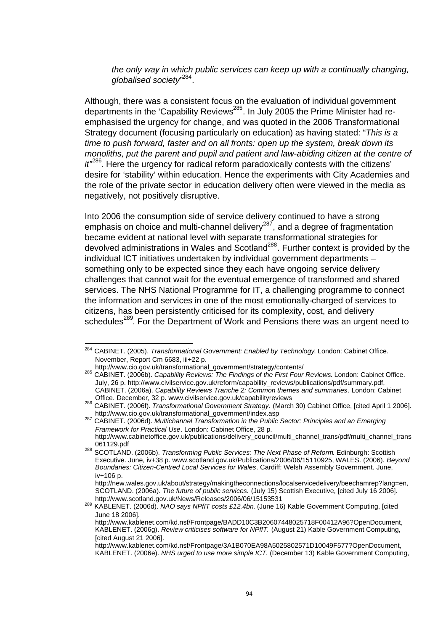*the only way in which public services can keep up with a continually changing,* globalised society<sup>284</sup>.

Although, there was a consistent focus on the evaluation of individual government departments in the 'Capability Reviews<sup>285</sup>. In July 2005 the Prime Minister had reemphasised the urgency for change, and was quoted in the 2006 Transformational Strategy document (focusing particularly on education) as having stated: "*This is a time to push forward, faster and on all fronts: open up the system, break down its monoliths, put the parent and pupil and patient and law-abiding citizen at the centre of* it<sup>286</sup>. Here the urgency for radical reform paradoxically contests with the citizens' desire for 'stability' within education. Hence the experiments with City Academies and the role of the private sector in education delivery often were viewed in the media as negatively, not positively disruptive.

Into 2006 the consumption side of service delivery continued to have a strong emphasis on choice and multi-channel delivery $^{287}$ , and a degree of fragmentation became evident at national level with separate transformational strategies for devolved administrations in Wales and Scotland<sup>288</sup>. Further context is provided by the individual ICT initiatives undertaken by individual government departments – something only to be expected since they each have ongoing service delivery challenges that cannot wait for the eventual emergence of transformed and shared services. The NHS National Programme for IT, a challenging programme to connect the information and services in one of the most emotionally-charged of services to citizens, has been persistently criticised for its complexity, cost, and delivery schedules<sup>289</sup>. For the Department of Work and Pensions there was an urgent need to

<sup>284</sup> CABINET. (2005). *Transformational Government: Enabled by Technology*. London: Cabinet Office. November, Report Cm 6683, iii+22 p.

http://www.cio.gov.uk/transformational\_government/strategy/contents/

<sup>285</sup> CABINET. (2006b). *Capability Reviews: The Findings of the First Four Reviews*. London: Cabinet Office. July, 26 p. http://www.civilservice.gov.uk/reform/capability\_reviews/publications/pdf/summary.pdf, CABINET. (2006a). *Capability Reviews Tranche 2: Common themes and summaries*. London: Cabinet Office. December, 32 p. www.civilservice.gov.uk/capabilityreviews

<sup>286</sup> CABINET. (2006f). *Transformational Government Strategy.* (March 30) Cabinet Office, [cited April 1 2006]. http://www.cio.gov.uk/transformational\_government/index.asp

<sup>287</sup> CABINET. (2006d). *Multichannel Transformation in the Public Sector: Principles and an Emerging Framework for Practical Use*. London: Cabinet Office, 28 p. http://www.cabinetoffice.gov.uk/publications/delivery\_council/multi\_channel\_trans/pdf/multi\_channel\_trans 061129.pdf

<sup>288</sup> SCOTLAND. (2006b). *Transforming Public Services: The Next Phase of Reform*. Edinburgh: Scottish Executive. June, iv+38 p. www.scotland.gov.uk/Publications/2006/06/15110925, WALES. (2006). *Beyond Boundaries: Citizen-Centred Local Services for Wales*. Cardiff: Welsh Assembly Government. June, iv+106 p.

http://new.wales.gov.uk/about/strategy/makingtheconnections/localservicedelivery/beechamrep?lang=en, SCOTLAND. (2006a). *The future of public services.* (July 15) Scottish Executive, [cited July 16 2006]. http://www.scotland.gov.uk/News/Releases/2006/06/15153531

<sup>289</sup> KABLENET. (2006d). *NAO says NPfIT costs £12.4bn.* (June 16) Kable Government Computing, [cited June 18 2006].

http://www.kablenet.com/kd.nsf/Frontpage/BADD10C3B20607448025718F00412A96?OpenDocument, KABLENET. (2006g). *Review criticises software for NPfIT.* (August 21) Kable Government Computing, [cited August 21 2006].

http://www.kablenet.com/kd.nsf/Frontpage/3A1B070EA98A5025802571D10049F577?OpenDocument, KABLENET. (2006e). *NHS urged to use more simple ICT.* (December 13) Kable Government Computing,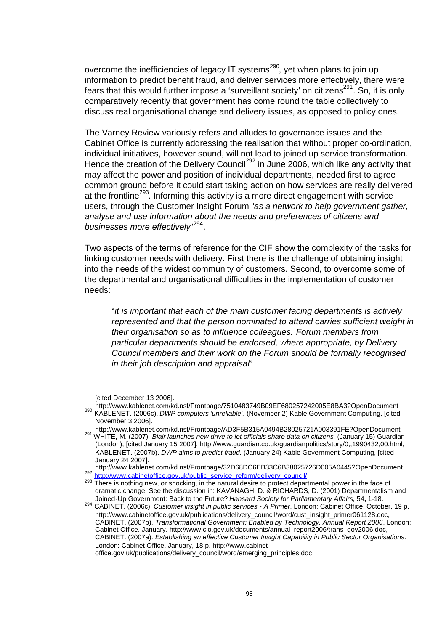overcome the inefficiencies of legacy IT systems<sup>290</sup>, yet when plans to join up information to predict benefit fraud, and deliver services more effectively, there were fears that this would further impose a 'surveillant society' on citizens<sup>291</sup>. So, it is only comparatively recently that government has come round the table collectively to discuss real organisational change and delivery issues, as opposed to policy ones.

The Varney Review variously refers and alludes to governance issues and the Cabinet Office is currently addressing the realisation that without proper co-ordination, individual initiatives, however sound, will not lead to joined up service transformation. Hence the creation of the Delivery Council<sup>292</sup> in June 2006, which like any activity that may affect the power and position of individual departments, needed first to agree common ground before it could start taking action on how services are really delivered at the frontline<sup>293</sup>. Informing this activity is a more direct engagement with service users, through the Customer Insight Forum "*as a network to help government gather, analyse and use information about the needs and preferences of citizens and* businesses more effectively<sup>"294</sup>.

Two aspects of the terms of reference for the CIF show the complexity of the tasks for linking customer needs with delivery. First there is the challenge of obtaining insight into the needs of the widest community of customers. Second, to overcome some of the departmental and organisational difficulties in the implementation of customer needs:

"*it is important that each of the main customer facing departments is actively represented and that the person nominated to attend carries sufficient weight in their organisation so as to influence colleagues. Forum members from particular departments should be endorsed, where appropriate, by Delivery Council members and their work on the Forum should be formally recognised in their job description and appraisal*"

[cited December 13 2006].

office.gov.uk/publications/delivery\_council/word/emerging\_principles.doc

http://www.kablenet.com/kd.nsf/Frontpage/7510483749B09EF680257242005E8BA3?OpenDocument <sup>290</sup> KABLENET. (2006c). *DWP computers 'unreliable'.* (November 2) Kable Government Computing, [cited November 3 2006].

http://www.kablenet.com/kd.nsf/Frontpage/AD3F5B315A0494B28025721A003391FE?OpenDocument

<sup>291</sup> WHITE, M. (2007). *Blair launches new drive to let officials share data on citizens.* (January 15) Guardian (London), [cited January 15 2007]. http://www.guardian.co.uk/guardianpolitics/story/0,,1990432,00.html, KABLENET. (2007b). *DWP aims to predict fraud.* (January 24) Kable Government Computing, [cited January 24 2007].

http://www.kablenet.com/kd.nsf/Frontpage/32D68DC6EB33C6B38025726D005A0445?OpenDocument

<sup>292</sup> http://www.nabieriet.com/namo/monetary.cz=cc=cc=c=c=c=c<br>http://www.cabinetoffice.gov.uk/public\_service\_reform/delivery\_council/

<sup>&</sup>lt;sup>293</sup> There is nothing new, or shocking, in the natural desire to protect departmental power in the face of dramatic change. See the discussion in: KAVANAGH, D. & RICHARDS, D. (2001) Departmentalism and Joined-Up Government: Back to the Future? *Hansard Society for Parliamentary Affairs,* 54**,** 1-18.

<sup>294</sup> CABINET. (2006c). *Customer insight in public services - A Primer*. London: Cabinet Office. October, 19 p. http://www.cabinetoffice.gov.uk/publications/delivery\_council/word/cust\_insight\_primer061128.doc, CABINET. (2007b). *Transformational Government: Enabled by Technology. Annual Report 2006*. London: Cabinet Office. January. http://www.cio.gov.uk/documents/annual\_report2006/trans\_gov2006.doc, CABINET. (2007a). *Establishing an effective Customer Insight Capability in Public Sector Organisations*. London: Cabinet Office. January, 18 p. http://www.cabinet-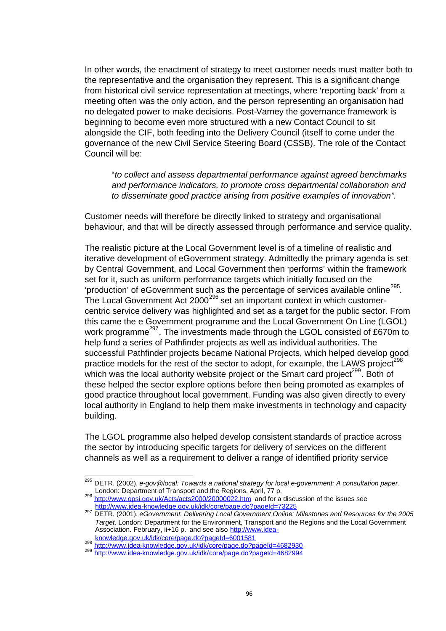In other words, the enactment of strategy to meet customer needs must matter both to the representative and the organisation they represent. This is a significant change from historical civil service representation at meetings, where 'reporting back' from a meeting often was the only action, and the person representing an organisation had no delegated power to make decisions. Post-Varney the governance framework is beginning to become even more structured with a new Contact Council to sit alongside the CIF, both feeding into the Delivery Council (itself to come under the governance of the new Civil Service Steering Board (CSSB). The role of the Contact Council will be:

"*to collect and assess departmental performance against agreed benchmarks and performance indicators, to promote cross departmental collaboration and to disseminate good practice arising from positive examples of innovation"*.

Customer needs will therefore be directly linked to strategy and organisational behaviour, and that will be directly assessed through performance and service quality.

The realistic picture at the Local Government level is of a timeline of realistic and iterative development of eGovernment strategy. Admittedly the primary agenda is set by Central Government, and Local Government then 'performs' within the framework set for it, such as uniform performance targets which initially focused on the 'production' of eGovernment such as the percentage of services available online<sup>295</sup>. The Local Government Act 2000<sup>296</sup> set an important context in which customercentric service delivery was highlighted and set as a target for the public sector. From this came the e Government programme and the Local Government On Line (LGOL) work programme<sup>297</sup>. The investments made through the LGOL consisted of £670m to help fund a series of Pathfinder projects as well as individual authorities. The successful Pathfinder projects became National Projects, which helped develop good practice models for the rest of the sector to adopt, for example, the LAWS project<sup>29</sup> which was the local authority website project or the Smart card project<sup>299</sup>. Both of these helped the sector explore options before then being promoted as examples of good practice throughout local government. Funding was also given directly to every local authority in England to help them make investments in technology and capacity building.

The LGOL programme also helped develop consistent standards of practice across the sector by introducing specific targets for delivery of services on the different channels as well as a requirement to deliver a range of identified priority service

<sup>295</sup> DETR. (2002). *e-gov@local: Towards a national strategy for local e-government: A consultation paper*. London: Department of Transport and the Regions. April, 77 p.

<sup>&</sup>lt;sup>296</sup> http://www.opsi.gov.uk/Acts/acts2000/20000022.htm and for a discussion of the issues see http://www.idea-knowledge.gov.uk/idk/core/page.do?pageId=73225

<sup>297</sup> DETR. (2001). *eGovernment. Delivering Local Government Online: Milestones and Resources for the 2005 Target*. London: Department for the Environment, Transport and the Regions and the Local Government Association. February, ii+16 p. and see also http://www.idea-

knowledge.gov.uk/idk/core/page.do?pageId=6001581

<sup>298</sup> http://www.idea-knowledge.gov.uk/idk/core/page.do?pageId=4682930

<sup>299</sup> http://www.idea-knowledge.gov.uk/idk/core/page.do?pageId=4682994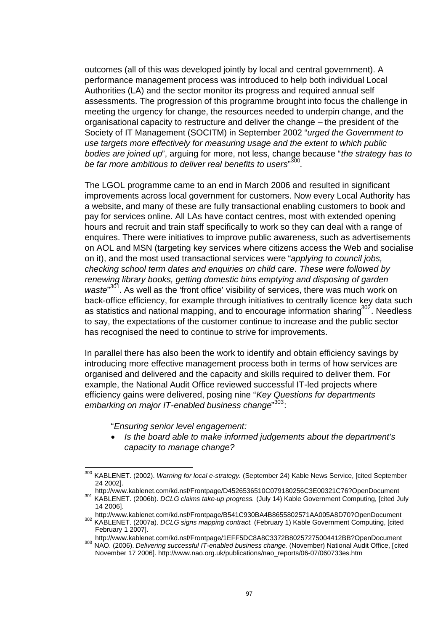outcomes (all of this was developed jointly by local and central government). A performance management process was introduced to help both individual Local Authorities (LA) and the sector monitor its progress and required annual self assessments. The progression of this programme brought into focus the challenge in meeting the urgency for change, the resources needed to underpin change, and the organisational capacity to restructure and deliver the change – the president of the Society of IT Management (SOCITM) in September 2002 "*urged the Government to use targets more effectively for measuring usage and the extent to which public bodies are joined up*", arguing for more, not less, change because "*the strategy has to be far more ambitious to deliver real benefits to users*" 300 .

The LGOL programme came to an end in March 2006 and resulted in significant improvements across local government for customers. Now every Local Authority has a website, and many of these are fully transactional enabling customers to book and pay for services online. All LAs have contact centres, most with extended opening hours and recruit and train staff specifically to work so they can deal with a range of enquires. There were initiatives to improve public awareness, such as advertisements on AOL and MSN (targeting key services where citizens access the Web and socialise on it), and the most used transactional services were "*applying to council jobs, checking school term dates and enquiries on child care. These were followed by renewing library books, getting domestic bins emptying and disposing of garden* waste<sup>"301</sup>. As well as the 'front office' visibility of services, there was much work on back-office efficiency, for example through initiatives to centrally licence key data such as statistics and national mapping, and to encourage information sharing  $302$ . Needless to say, the expectations of the customer continue to increase and the public sector has recognised the need to continue to strive for improvements.

In parallel there has also been the work to identify and obtain efficiency savings by introducing more effective management process both in terms of how services are organised and delivered and the capacity and skills required to deliver them. For example, the National Audit Office reviewed successful IT-led projects where efficiency gains were delivered, posing nine "*Key Questions for departments* embarking on major IT-enabled business change"<sup>303</sup>:

"*Ensuring senior level engagement:*

 *Is the board able to make informed judgements about the department's capacity to manage change?*

<sup>300</sup> KABLENET. (2002). *Warning for local e-strategy.* (September 24) Kable News Service, [cited September 24 2002].

http://www.kablenet.com/kd.nsf/Frontpage/D4526536510C079180256C3E00321C76?OpenDocument <sup>301</sup> KABLENET. (2006b). *DCLG claims take-up progress.* (July 14) Kable Government Computing, [cited July 14 2006].

http://www.kablenet.com/kd.nsf/Frontpage/B541C930BA4B8655802571AA005A8D70?OpenDocument <sup>302</sup> KABLENET. (2007a). *DCLG signs mapping contract.* (February 1) Kable Government Computing, [cited

February 1 2007].

http://www.kablenet.com/kd.nsf/Frontpage/1EFF5DC8A8C3372B80257275004412BB?OpenDocument <sup>303</sup> NAO. (2006). *Delivering successful IT-enabled business change.* (November) National Audit Office, [cited November 17 2006]. http://www.nao.org.uk/publications/nao\_reports/06-07/060733es.htm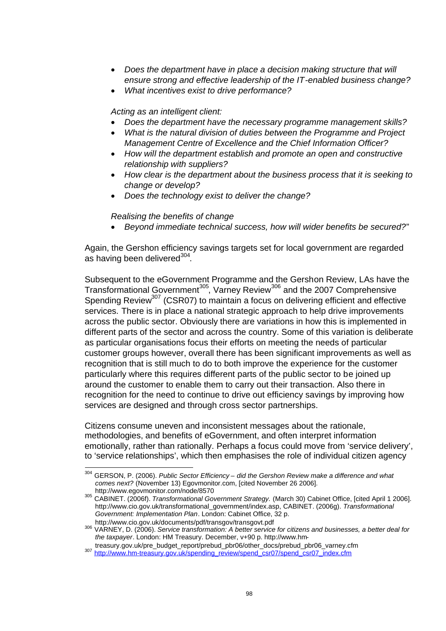- *Does the department have in place a decision making structure that will ensure strong and effective leadership of the IT-enabled business change?*
- *What incentives exist to drive performance?*

*Acting as an intelligent client:*

- *Does the department have the necessary programme management skills?*
- *What is the natural division of duties between the Programme and Project Management Centre of Excellence and the Chief Information Officer?*
- *How will the department establish and promote an open and constructive relationship with suppliers?*
- *How clear is the department about the business process that it is seeking to change or develop?*
- *Does the technology exist to deliver the change?*

#### *Realising the benefits of change*

*Beyond immediate technical success, how will wider benefits be secured?*"

Again, the Gershon efficiency savings targets set for local government are regarded as having been delivered $304$ .

Subsequent to the eGovernment Programme and the Gershon Review, LAs have the Transformational Government<sup>305</sup>, Varney Review<sup>306</sup> and the 2007 Comprehensive Spending Review<sup>307</sup> (CSR07) to maintain a focus on delivering efficient and effective services. There is in place a national strategic approach to help drive improvements across the public sector. Obviously there are variations in how this is implemented in different parts of the sector and across the country. Some of this variation is deliberate as particular organisations focus their efforts on meeting the needs of particular customer groups however, overall there has been significant improvements as well as recognition that is still much to do to both improve the experience for the customer particularly where this requires different parts of the public sector to be joined up around the customer to enable them to carry out their transaction. Also there in recognition for the need to continue to drive out efficiency savings by improving how services are designed and through cross sector partnerships.

Citizens consume uneven and inconsistent messages about the rationale, methodologies, and benefits of eGovernment, and often interpret information emotionally, rather than rationally. Perhaps a focus could move from 'service delivery', to 'service relationships', which then emphasises the role of individual citizen agency

<sup>304</sup> GERSON, P. (2006). *Public Sector Efficiency – did the Gershon Review make a difference and what comes next?* (November 13) Egovmonitor.com, [cited November 26 2006]. http://www.egovmonitor.com/node/8570

<sup>305</sup> CABINET. (2006f). *Transformational Government Strategy.* (March 30) Cabinet Office, [cited April 1 2006]. http://www.cio.gov.uk/transformational\_government/index.asp, CABINET. (2006g). *Transformational Government: Implementation Plan*. London: Cabinet Office, 32 p. http://www.cio.gov.uk/documents/pdf/transgov/transgovt.pdf

<sup>306</sup> VARNEY, D. (2006). *Service transformation: A better service for citizens and businesses, a better deal for the taxpayer*. London: HM Treasury. December, v+90 p. http://www.hm-

treasury.gov.uk/pre\_budget\_report/prebud\_pbr06/other\_docs/prebud\_pbr06\_varney.cfm <sup>307</sup> http://www.hm-treasury.gov.uk/spending\_review/spend\_csr07/spend\_csr07\_index.cfm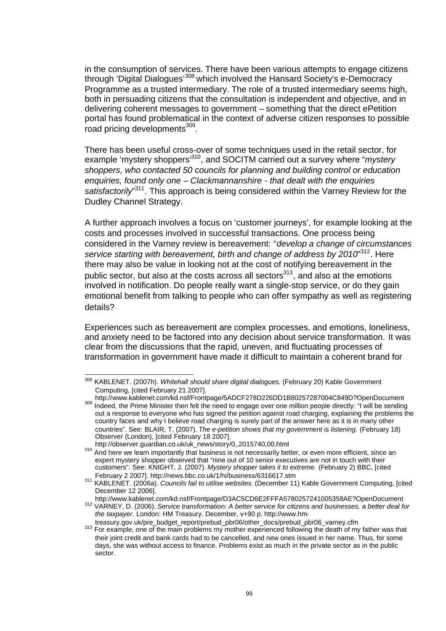in the consumption of services. There have been various attempts to engage citizens through 'Digital Dialogues'<sup>308</sup> which involved the Hansard Society's e-Democracy Programme as a trusted intermediary. The role of a trusted intermediary seems high, both in persuading citizens that the consultation is independent and objective, and in delivering coherent messages to government – something that the direct ePetition portal has found problematical in the context of adverse citizen responses to possible road pricing developments<sup>309</sup>.

There has been useful cross-over of some techniques used in the retail sector, for example 'mystery shoppers'<sup>310</sup>, and SOCITM carried out a survey where "*mystery shoppers, who contacted 50 councils for planning and building control or education enquiries, found only one – Clackmannanshire - that dealt with the enquiries* satisfactorily<sup>, 311</sup>. This approach is being considered within the Varney Review for the Dudley Channel Strategy.

A further approach involves a focus on 'customer journeys', for example looking at the costs and processes involved in successful transactions. One process being considered in the Varney review is bereavement: "*develop a change of circumstances service starting with bereavement, birth and change of address by 2010*" <sup>312</sup>. Here there may also be value in looking not at the cost of notifying bereavement in the public sector, but also at the costs across all sectors<sup>313</sup>, and also at the emotions involved in notification. Do people really want a single-stop service, or do they gain emotional benefit from talking to people who can offer sympathy as well as registering details?

Experiences such as bereavement are complex processes, and emotions, loneliness, and anxiety need to be factored into any decision about service transformation. It was clear from the discussions that the rapid, uneven, and fluctuating processes of transformation in government have made it difficult to maintain a coherent brand for

<sup>308</sup> KABLENET. (2007h). *Whitehall should share digital dialogues.* (February 20) Kable Government Computing, [cited February 21 2007].

http://www.kablenet.com/kd.nsf/Frontpage/5ADCF278D226DD1B80257287004C849D?OpenDocument 309 Indeed, the Prime Minister then felt the need to engage over one million people directly: "I will be sending out a response to everyone who has signed the petition against road charging, explaining the problems the country faces and why I believe road charging is surely part of the answer here as it is in many other countries". See: BLAIR, T. (2007). *The e-petition shows that my government is listening.* (February 18) Observer (London), [cited February 18 2007].

http://observer.guardian.co.uk/uk\_news/story/0,,2015740,00.html 310 And here we learn importantly that business is not necessarily better, or even more efficient, since an

expert mystery shopper observed that "nine out of 10 senior executives are not in touch with their customers". See: KNIGHT, J. (2007). *Mystery shopper takes it to extreme.* (February 2) BBC, [cited

February 2 2007]. http://news.bbc.co.uk/1/hi/business/6316617.stm <sup>311</sup> KABLENET. (2006a). *Councils fail to utilise websites.* (December 11) Kable Government Computing, [cited December 12 2006].

http://www.kablenet.com/kd.nsf/Frontpage/D3AC5CD6E2FFFA5780257241005358AE?OpenDocument <sup>312</sup> VARNEY, D. (2006). *Service transformation: A better service for citizens and businesses, a better deal for the taxpayer*. London: HM Treasury. December, v+90 p. http://www.hm-

treasury.gov.uk/pre\_budget\_report/prebud\_pbr06/other\_docs/prebud\_pbr06\_varney.cfm 313 For example, one of the main problems my mother experienced following the death of my father was that their joint credit and bank cards had to be cancelled, and new ones issued in her name. Thus, for some days, she was without access to finance. Problems exist as much in the private sector as in the public sector.